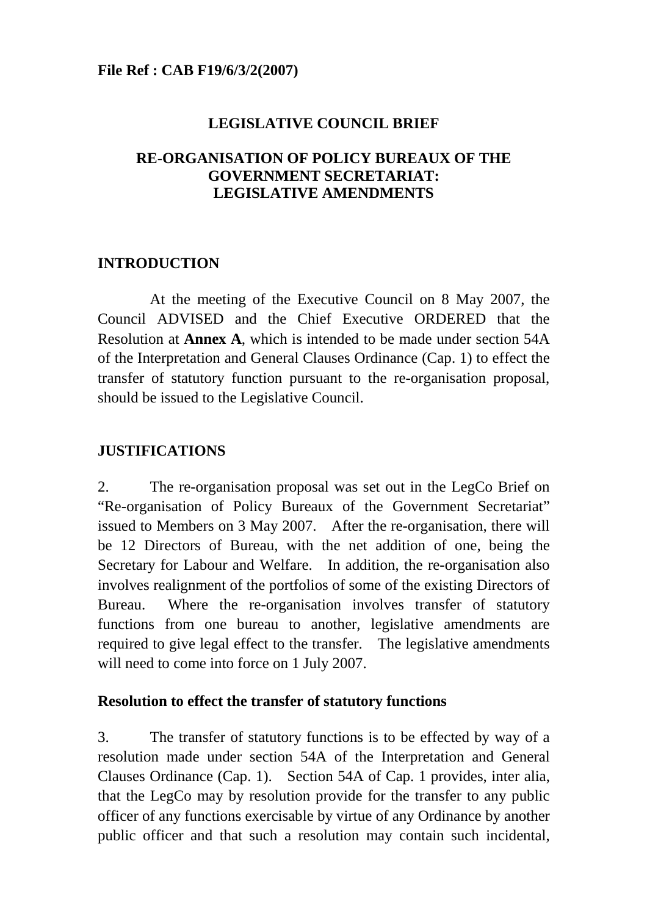# **LEGISLATIVE COUNCIL BRIEF**

## **RE-ORGANISATION OF POLICY BUREAUX OF THE GOVERNMENT SECRETARIAT: LEGISLATIVE AMENDMENTS**

## **INTRODUCTION**

 At the meeting of the Executive Council on 8 May 2007, the Council ADVISED and the Chief Executive ORDERED that the Resolution at **Annex A**, which is intended to be made under section 54A of the Interpretation and General Clauses Ordinance (Cap. 1) to effect the transfer of statutory function pursuant to the re-organisation proposal, should be issued to the Legislative Council.

## **JUSTIFICATIONS**

2. The re-organisation proposal was set out in the LegCo Brief on "Re-organisation of Policy Bureaux of the Government Secretariat" issued to Members on 3 May 2007. After the re-organisation, there will be 12 Directors of Bureau, with the net addition of one, being the Secretary for Labour and Welfare. In addition, the re-organisation also involves realignment of the portfolios of some of the existing Directors of Bureau. Where the re-organisation involves transfer of statutory functions from one bureau to another, legislative amendments are required to give legal effect to the transfer. The legislative amendments will need to come into force on 1 July 2007.

### **Resolution to effect the transfer of statutory functions**

3. The transfer of statutory functions is to be effected by way of a resolution made under section 54A of the Interpretation and General Clauses Ordinance (Cap. 1). Section 54A of Cap. 1 provides, inter alia, that the LegCo may by resolution provide for the transfer to any public officer of any functions exercisable by virtue of any Ordinance by another public officer and that such a resolution may contain such incidental,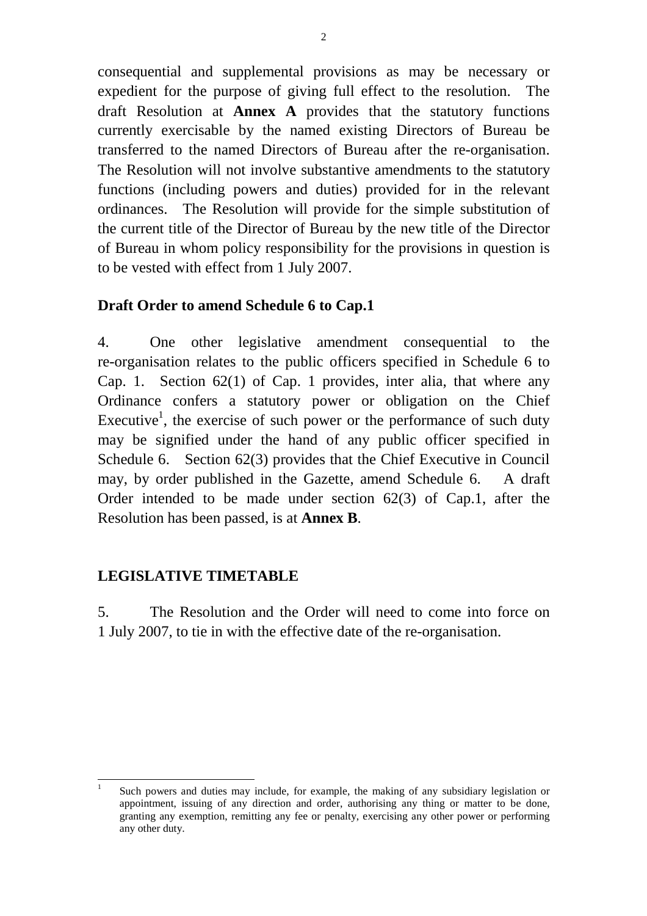consequential and supplemental provisions as may be necessary or expedient for the purpose of giving full effect to the resolution. The draft Resolution at **Annex A** provides that the statutory functions currently exercisable by the named existing Directors of Bureau be transferred to the named Directors of Bureau after the re-organisation. The Resolution will not involve substantive amendments to the statutory functions (including powers and duties) provided for in the relevant ordinances. The Resolution will provide for the simple substitution of the current title of the Director of Bureau by the new title of the Director of Bureau in whom policy responsibility for the provisions in question is to be vested with effect from 1 July 2007.

# **Draft Order to amend Schedule 6 to Cap.1**

4. One other legislative amendment consequential to the re-organisation relates to the public officers specified in Schedule 6 to Cap. 1. Section 62(1) of Cap. 1 provides, inter alia, that where any Ordinance confers a statutory power or obligation on the Chief Executive<sup>1</sup>, the exercise of such power or the performance of such duty may be signified under the hand of any public officer specified in Schedule 6. Section 62(3) provides that the Chief Executive in Council may, by order published in the Gazette, amend Schedule 6. A draft Order intended to be made under section 62(3) of Cap.1, after the Resolution has been passed, is at **Annex B**.

### **LEGISLATIVE TIMETABLE**

5. The Resolution and the Order will need to come into force on 1 July 2007, to tie in with the effective date of the re-organisation.

l 1 Such powers and duties may include, for example, the making of any subsidiary legislation or appointment, issuing of any direction and order, authorising any thing or matter to be done, granting any exemption, remitting any fee or penalty, exercising any other power or performing any other duty.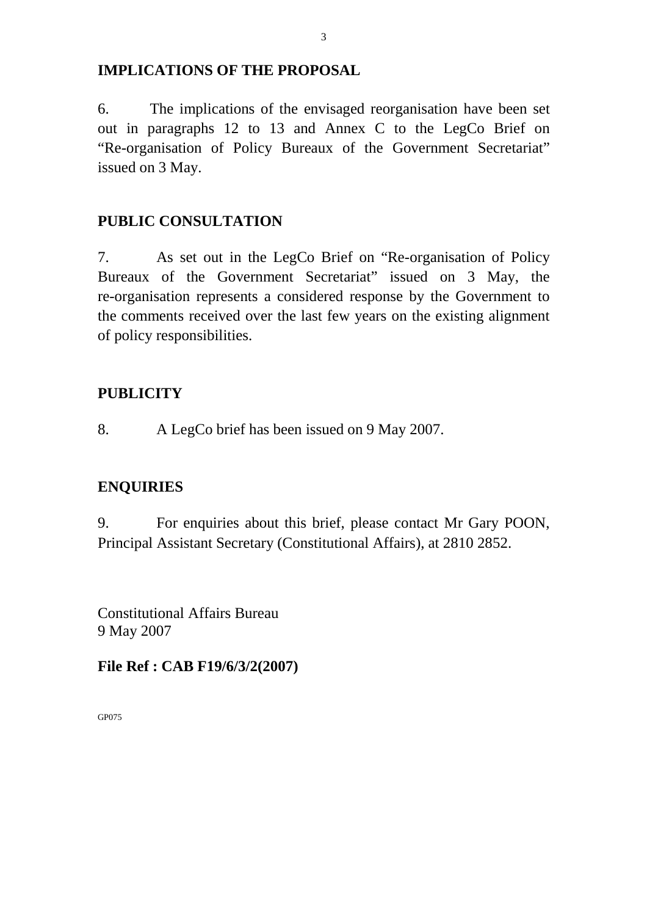#### **IMPLICATIONS OF THE PROPOSAL**

6. The implications of the envisaged reorganisation have been set out in paragraphs 12 to 13 and Annex C to the LegCo Brief on "Re-organisation of Policy Bureaux of the Government Secretariat" issued on 3 May.

## **PUBLIC CONSULTATION**

7. As set out in the LegCo Brief on "Re-organisation of Policy Bureaux of the Government Secretariat" issued on 3 May, the re-organisation represents a considered response by the Government to the comments received over the last few years on the existing alignment of policy responsibilities.

### **PUBLICITY**

8. A LegCo brief has been issued on 9 May 2007.

# **ENQUIRIES**

9. For enquiries about this brief, please contact Mr Gary POON, Principal Assistant Secretary (Constitutional Affairs), at 2810 2852.

Constitutional Affairs Bureau 9 May 2007

**File Ref : CAB F19/6/3/2(2007)** 

GP075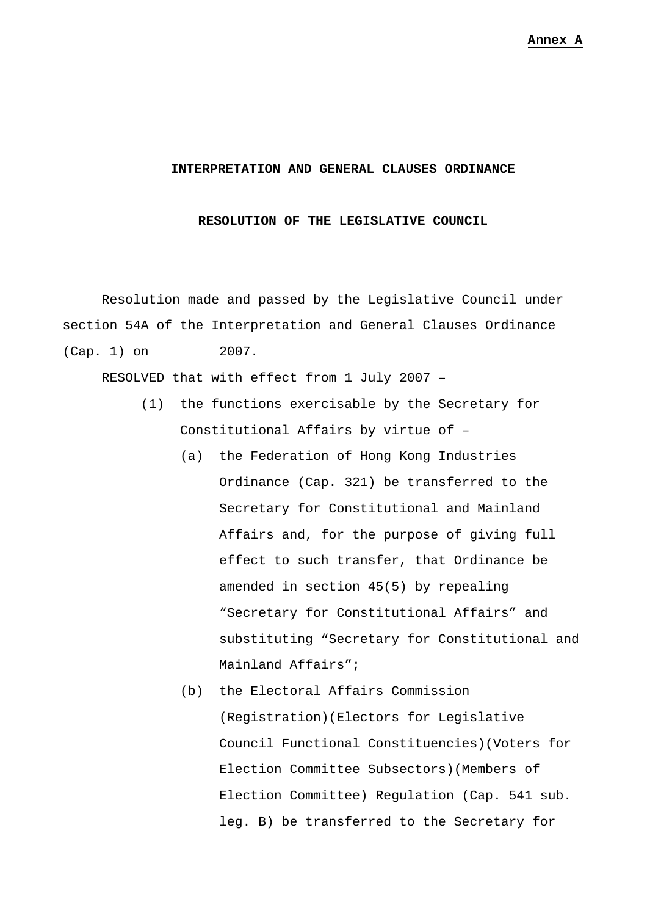#### **INTERPRETATION AND GENERAL CLAUSES ORDINANCE**

#### **RESOLUTION OF THE LEGISLATIVE COUNCIL**

 Resolution made and passed by the Legislative Council under section 54A of the Interpretation and General Clauses Ordinance (Cap. 1) on 2007.

RESOLVED that with effect from 1 July 2007 –

- (1) the functions exercisable by the Secretary for Constitutional Affairs by virtue of –
	- (a) the Federation of Hong Kong Industries Ordinance (Cap. 321) be transferred to the Secretary for Constitutional and Mainland Affairs and, for the purpose of giving full effect to such transfer, that Ordinance be amended in section 45(5) by repealing "Secretary for Constitutional Affairs" and substituting "Secretary for Constitutional and Mainland Affairs";
	- (b) the Electoral Affairs Commission (Registration)(Electors for Legislative Council Functional Constituencies)(Voters for Election Committee Subsectors)(Members of Election Committee) Regulation (Cap. 541 sub. leg. B) be transferred to the Secretary for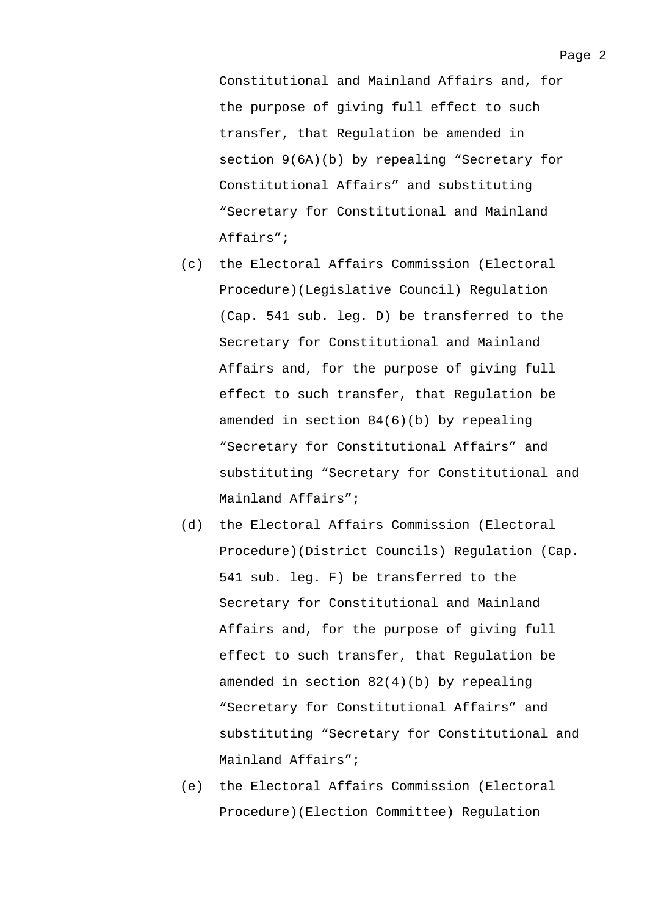Constitutional and Mainland Affairs and, for the purpose of giving full effect to such transfer, that Regulation be amended in section 9(6A)(b) by repealing "Secretary for Constitutional Affairs" and substituting "Secretary for Constitutional and Mainland Affairs";

- (c) the Electoral Affairs Commission (Electoral Procedure)(Legislative Council) Regulation (Cap. 541 sub. leg. D) be transferred to the Secretary for Constitutional and Mainland Affairs and, for the purpose of giving full effect to such transfer, that Regulation be amended in section 84(6)(b) by repealing "Secretary for Constitutional Affairs" and substituting "Secretary for Constitutional and Mainland Affairs";
- (d) the Electoral Affairs Commission (Electoral Procedure)(District Councils) Regulation (Cap. 541 sub. leg. F) be transferred to the Secretary for Constitutional and Mainland Affairs and, for the purpose of giving full effect to such transfer, that Regulation be amended in section 82(4)(b) by repealing "Secretary for Constitutional Affairs" and substituting "Secretary for Constitutional and Mainland Affairs";
- (e) the Electoral Affairs Commission (Electoral Procedure)(Election Committee) Regulation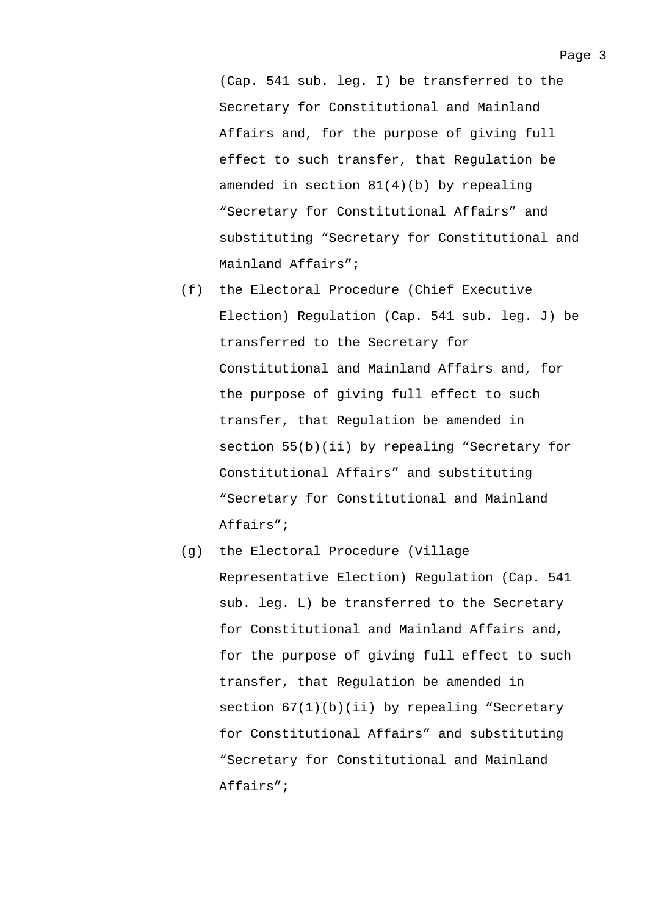(Cap. 541 sub. leg. I) be transferred to the Secretary for Constitutional and Mainland Affairs and, for the purpose of giving full effect to such transfer, that Regulation be amended in section 81(4)(b) by repealing "Secretary for Constitutional Affairs" and substituting "Secretary for Constitutional and Mainland Affairs";

- (f) the Electoral Procedure (Chief Executive Election) Regulation (Cap. 541 sub. leg. J) be transferred to the Secretary for Constitutional and Mainland Affairs and, for the purpose of giving full effect to such transfer, that Regulation be amended in section 55(b)(ii) by repealing "Secretary for Constitutional Affairs" and substituting "Secretary for Constitutional and Mainland Affairs";
- (g) the Electoral Procedure (Village Representative Election) Regulation (Cap. 541 sub. leg. L) be transferred to the Secretary for Constitutional and Mainland Affairs and, for the purpose of giving full effect to such transfer, that Regulation be amended in section  $67(1)(b)(ii)$  by repealing "Secretary for Constitutional Affairs" and substituting "Secretary for Constitutional and Mainland Affairs";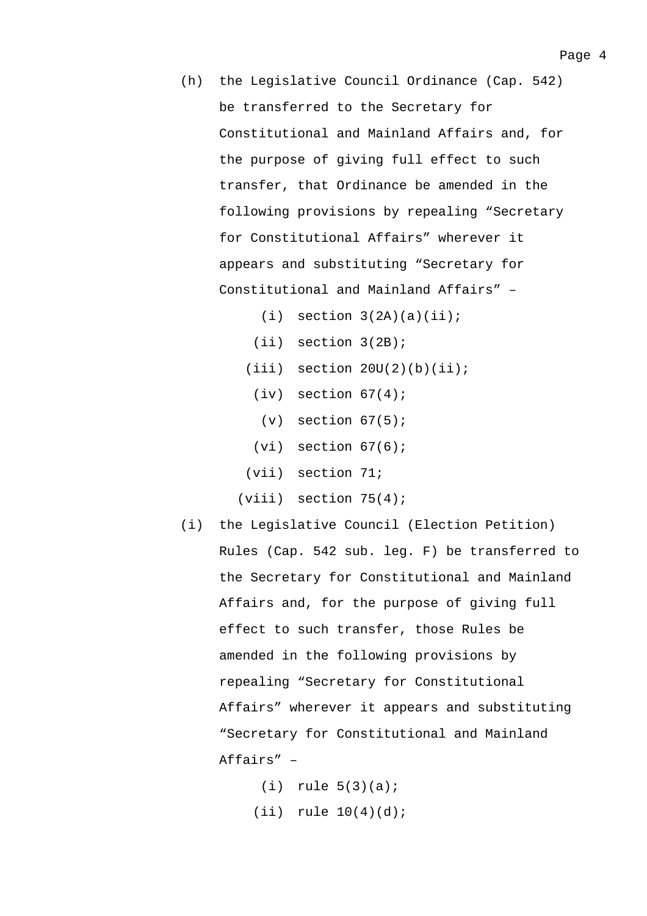- (h) the Legislative Council Ordinance (Cap. 542) be transferred to the Secretary for Constitutional and Mainland Affairs and, for the purpose of giving full effect to such transfer, that Ordinance be amended in the following provisions by repealing "Secretary for Constitutional Affairs" wherever it appears and substituting "Secretary for Constitutional and Mainland Affairs" –
	- $(i)$  section  $3(2A)(a)(ii)$ ;
	- (ii) section 3(2B);
	- $(iii)$  section  $20U(2)(b)(ii);$ 
		- $(iv)$  section  $67(4)$ ;
			- $(v)$  section  $67(5)$ ;
		- $(vi)$  section  $67(6)$ ;
	- (vii) section 71;
	- $(viii)$  section  $75(4)$ ;
- (i) the Legislative Council (Election Petition) Rules (Cap. 542 sub. leg. F) be transferred to the Secretary for Constitutional and Mainland Affairs and, for the purpose of giving full effect to such transfer, those Rules be amended in the following provisions by repealing "Secretary for Constitutional Affairs" wherever it appears and substituting "Secretary for Constitutional and Mainland Affairs" –
	- $(i)$  rule  $5(3)(a)$ ;  $(iii)$  rule  $10(4)(d)$ ;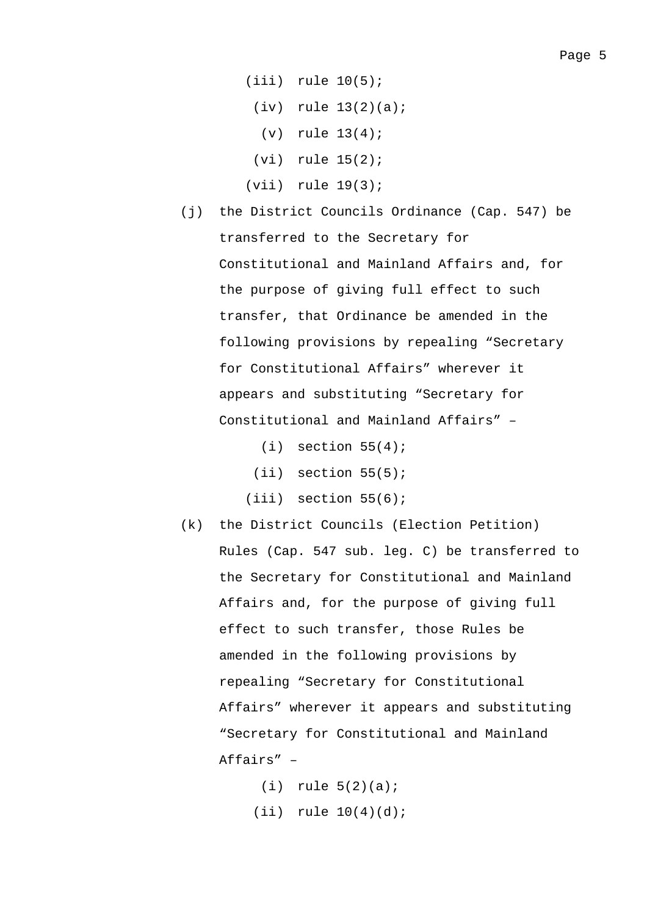- (iii) rule 10(5);
	- $(iv)$  rule  $13(2)(a)$ ;
		- (v) rule 13(4);
	- (vi) rule 15(2);
- (vii) rule 19(3);
- (j) the District Councils Ordinance (Cap. 547) be transferred to the Secretary for Constitutional and Mainland Affairs and, for the purpose of giving full effect to such transfer, that Ordinance be amended in the following provisions by repealing "Secretary for Constitutional Affairs" wherever it appears and substituting "Secretary for Constitutional and Mainland Affairs" –
	- $(i)$  section  $55(4)$ ;  $(iii)$  section  $55(5)$ ;  $(iii)$  section  $55(6)$ ;
- (k) the District Councils (Election Petition) Rules (Cap. 547 sub. leg. C) be transferred to the Secretary for Constitutional and Mainland Affairs and, for the purpose of giving full effect to such transfer, those Rules be amended in the following provisions by repealing "Secretary for Constitutional Affairs" wherever it appears and substituting "Secretary for Constitutional and Mainland Affairs" –
	- $(i)$  rule  $5(2)(a)$ ;  $(iii)$  rule  $10(4)(d)$ ;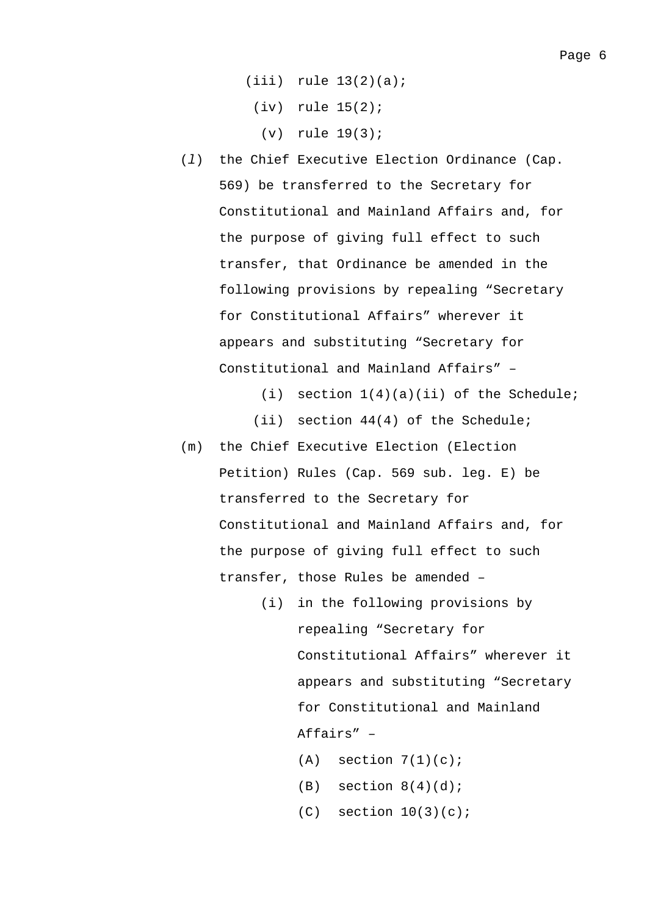- $(iii)$  rule  $13(2)(a)$ ;
- (iv) rule 15(2);
	- (v) rule 19(3);
- (*l*) the Chief Executive Election Ordinance (Cap. 569) be transferred to the Secretary for Constitutional and Mainland Affairs and, for the purpose of giving full effect to such transfer, that Ordinance be amended in the following provisions by repealing "Secretary for Constitutional Affairs" wherever it appears and substituting "Secretary for Constitutional and Mainland Affairs" –

(i) section  $1(4)(a)(ii)$  of the Schedule;

- (ii) section 44(4) of the Schedule;
- (m) the Chief Executive Election (Election Petition) Rules (Cap. 569 sub. leg. E) be transferred to the Secretary for Constitutional and Mainland Affairs and, for the purpose of giving full effect to such transfer, those Rules be amended –
	- (i) in the following provisions by repealing "Secretary for Constitutional Affairs" wherever it appears and substituting "Secretary for Constitutional and Mainland Affairs" –
		- $(A)$  section  $7(1)(c)$ ;
		- $(B)$  section  $8(4)(d)$ ;
		- $(C)$  section  $10(3)(c)$ ;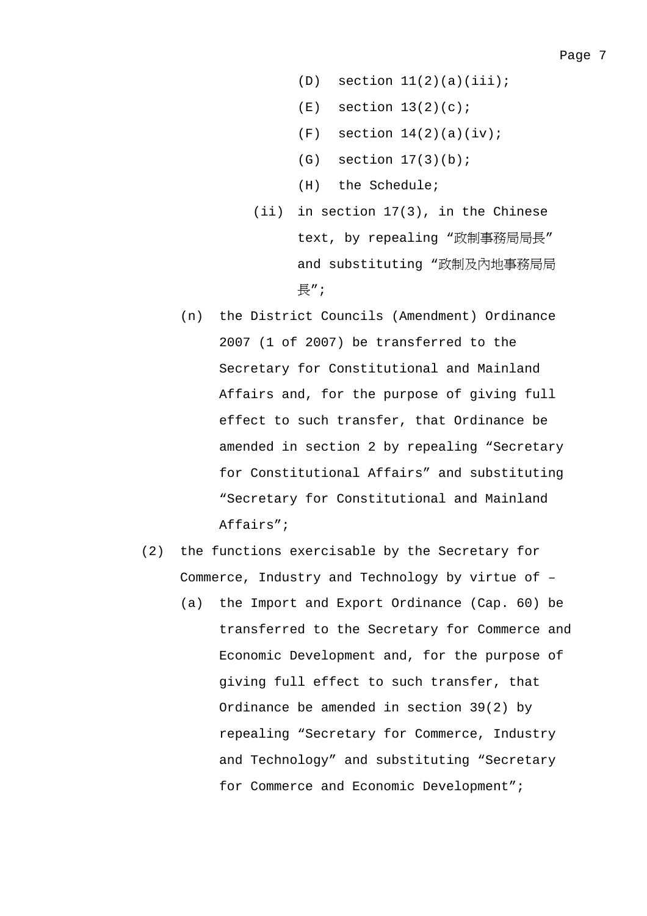- $(D)$  section  $11(2)(a)(iii)$ ;
- $(E)$  section  $13(2)(c)$ ;
- $(F)$  section  $14(2)(a)(iv)$ ;
- (G) section 17(3)(b);
- (H) the Schedule;
- (ii) in section 17(3), in the Chinese text, by repealing "政制事務局局長" and substituting "政制及內地事務局局 長";
- (n) the District Councils (Amendment) Ordinance 2007 (1 of 2007) be transferred to the Secretary for Constitutional and Mainland Affairs and, for the purpose of giving full effect to such transfer, that Ordinance be amended in section 2 by repealing "Secretary for Constitutional Affairs" and substituting "Secretary for Constitutional and Mainland Affairs";
- (2) the functions exercisable by the Secretary for Commerce, Industry and Technology by virtue of –
	- (a) the Import and Export Ordinance (Cap. 60) be transferred to the Secretary for Commerce and Economic Development and, for the purpose of giving full effect to such transfer, that Ordinance be amended in section 39(2) by repealing "Secretary for Commerce, Industry and Technology" and substituting "Secretary for Commerce and Economic Development";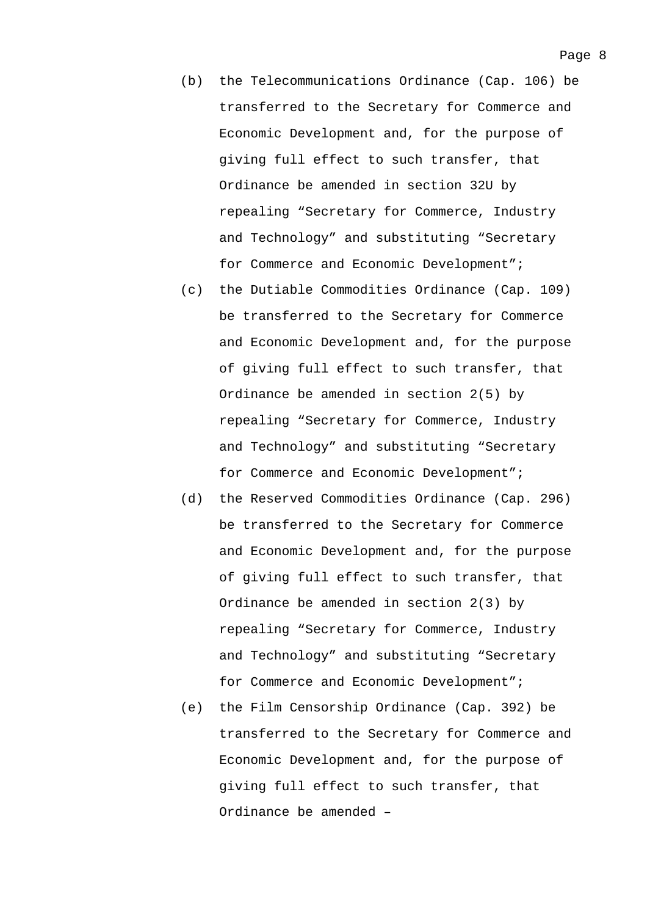- (b) the Telecommunications Ordinance (Cap. 106) be transferred to the Secretary for Commerce and Economic Development and, for the purpose of giving full effect to such transfer, that Ordinance be amended in section 32U by repealing "Secretary for Commerce, Industry and Technology" and substituting "Secretary for Commerce and Economic Development";
- (c) the Dutiable Commodities Ordinance (Cap. 109) be transferred to the Secretary for Commerce and Economic Development and, for the purpose of giving full effect to such transfer, that Ordinance be amended in section 2(5) by repealing "Secretary for Commerce, Industry and Technology" and substituting "Secretary for Commerce and Economic Development";
- (d) the Reserved Commodities Ordinance (Cap. 296) be transferred to the Secretary for Commerce and Economic Development and, for the purpose of giving full effect to such transfer, that Ordinance be amended in section 2(3) by repealing "Secretary for Commerce, Industry and Technology" and substituting "Secretary for Commerce and Economic Development";
- (e) the Film Censorship Ordinance (Cap. 392) be transferred to the Secretary for Commerce and Economic Development and, for the purpose of giving full effect to such transfer, that Ordinance be amended –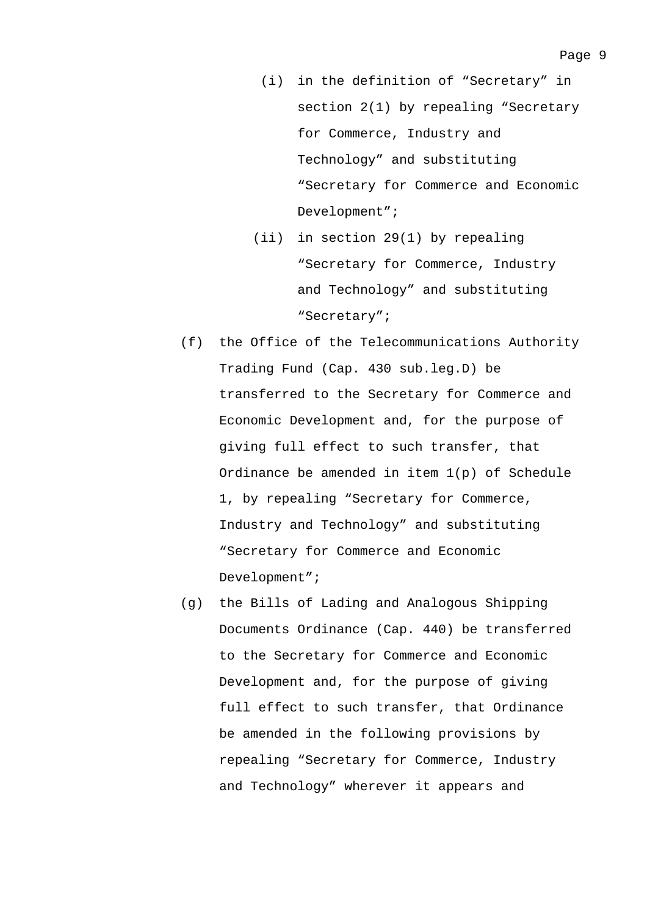- (i) in the definition of "Secretary" in section 2(1) by repealing "Secretary for Commerce, Industry and Technology" and substituting "Secretary for Commerce and Economic Development";
- (ii) in section 29(1) by repealing "Secretary for Commerce, Industry and Technology" and substituting "Secretary";
- (f) the Office of the Telecommunications Authority Trading Fund (Cap. 430 sub.leg.D) be transferred to the Secretary for Commerce and Economic Development and, for the purpose of giving full effect to such transfer, that Ordinance be amended in item 1(p) of Schedule 1, by repealing "Secretary for Commerce, Industry and Technology" and substituting "Secretary for Commerce and Economic Development";
- (g) the Bills of Lading and Analogous Shipping Documents Ordinance (Cap. 440) be transferred to the Secretary for Commerce and Economic Development and, for the purpose of giving full effect to such transfer, that Ordinance be amended in the following provisions by repealing "Secretary for Commerce, Industry and Technology" wherever it appears and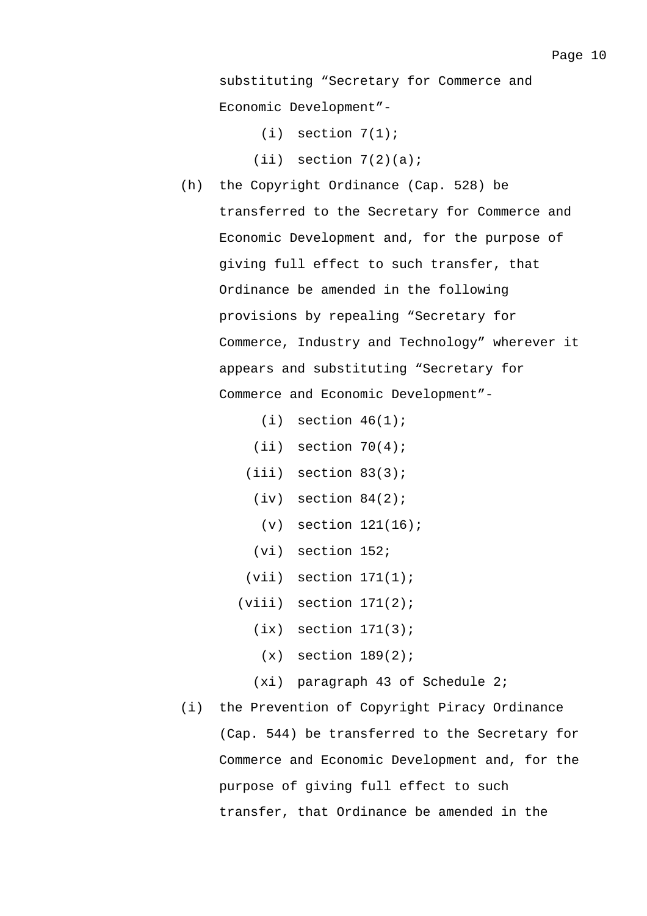substituting "Secretary for Commerce and Economic Development"-

 $(i)$  section  $7(1)$ ;

- $(iii)$  section  $7(2)(a)$ ;
- (h) the Copyright Ordinance (Cap. 528) be transferred to the Secretary for Commerce and Economic Development and, for the purpose of giving full effect to such transfer, that Ordinance be amended in the following provisions by repealing "Secretary for Commerce, Industry and Technology" wherever it appears and substituting "Secretary for Commerce and Economic Development"-
	- $(i)$  section  $46(1)$ ;
	- $(iii)$  section  $70(4)$ ;
	- (iii) section 83(3);
		- $(iv)$  section  $84(2)$ ;
			- (v) section 121(16);
		- (vi) section 152;
	- $(vii)$  section  $171(1)$ ;
	- $(viii)$  section  $171(2)$ ;
		- $(ix)$  section  $171(3)$ ;
		- $(x)$  section  $189(2)$ ;
		- (xi) paragraph 43 of Schedule 2;
- (i) the Prevention of Copyright Piracy Ordinance (Cap. 544) be transferred to the Secretary for Commerce and Economic Development and, for the purpose of giving full effect to such transfer, that Ordinance be amended in the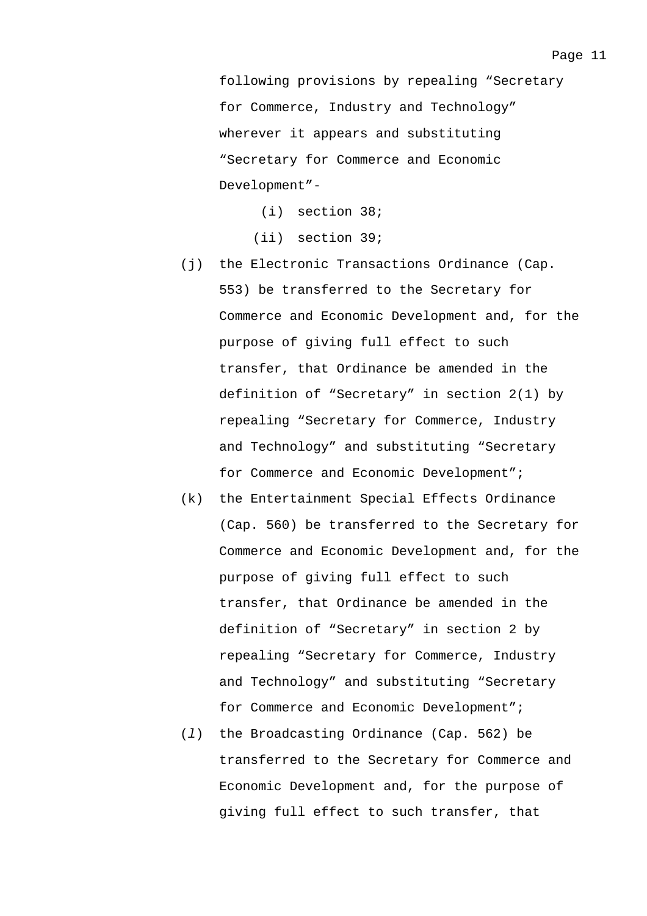following provisions by repealing "Secretary for Commerce, Industry and Technology" wherever it appears and substituting "Secretary for Commerce and Economic Development"-

(i) section 38;

(ii) section 39;

- (j) the Electronic Transactions Ordinance (Cap. 553) be transferred to the Secretary for Commerce and Economic Development and, for the purpose of giving full effect to such transfer, that Ordinance be amended in the definition of "Secretary" in section 2(1) by repealing "Secretary for Commerce, Industry and Technology" and substituting "Secretary for Commerce and Economic Development";
- (k) the Entertainment Special Effects Ordinance (Cap. 560) be transferred to the Secretary for Commerce and Economic Development and, for the purpose of giving full effect to such transfer, that Ordinance be amended in the definition of "Secretary" in section 2 by repealing "Secretary for Commerce, Industry and Technology" and substituting "Secretary for Commerce and Economic Development";
- (*l*) the Broadcasting Ordinance (Cap. 562) be transferred to the Secretary for Commerce and Economic Development and, for the purpose of giving full effect to such transfer, that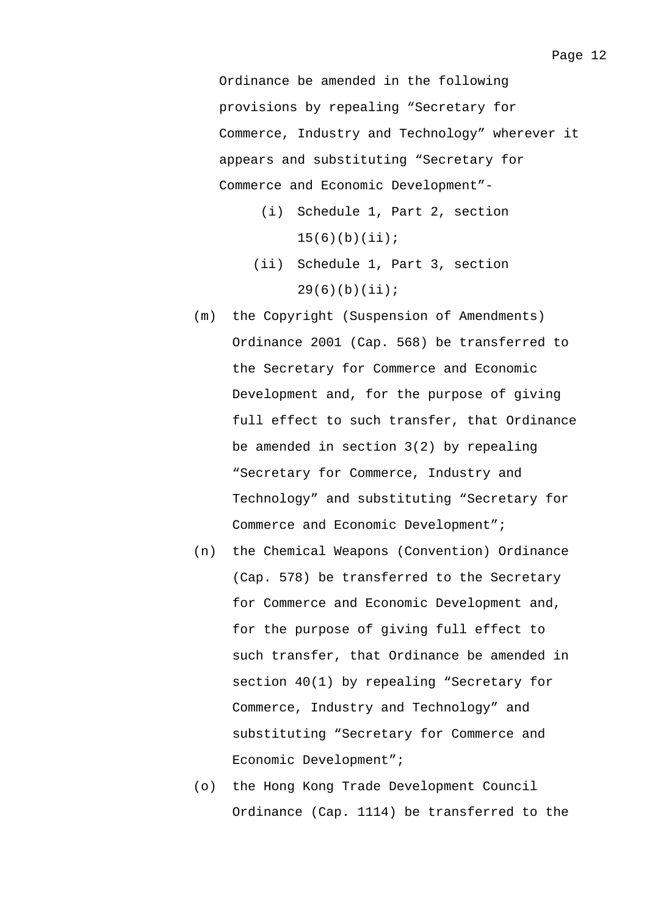Ordinance be amended in the following provisions by repealing "Secretary for Commerce, Industry and Technology" wherever it appears and substituting "Secretary for Commerce and Economic Development"-

- (i) Schedule 1, Part 2, section  $15(6)(b)(ii);$
- (ii) Schedule 1, Part 3, section  $29(6)(b)(ii);$
- (m) the Copyright (Suspension of Amendments) Ordinance 2001 (Cap. 568) be transferred to the Secretary for Commerce and Economic Development and, for the purpose of giving full effect to such transfer, that Ordinance be amended in section 3(2) by repealing "Secretary for Commerce, Industry and Technology" and substituting "Secretary for Commerce and Economic Development";
- (n) the Chemical Weapons (Convention) Ordinance (Cap. 578) be transferred to the Secretary for Commerce and Economic Development and, for the purpose of giving full effect to such transfer, that Ordinance be amended in section 40(1) by repealing "Secretary for Commerce, Industry and Technology" and substituting "Secretary for Commerce and Economic Development";
- (o) the Hong Kong Trade Development Council Ordinance (Cap. 1114) be transferred to the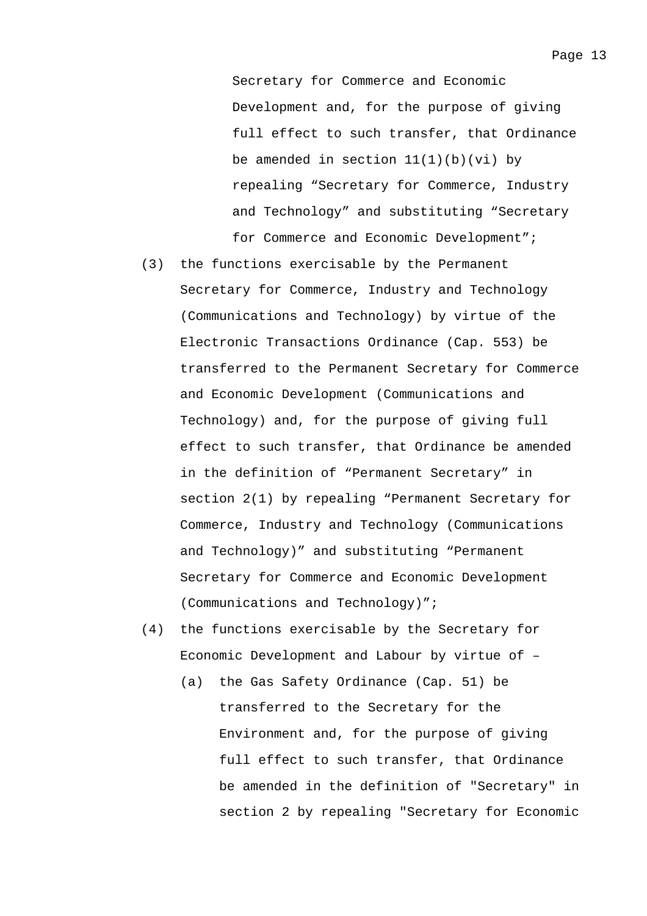Secretary for Commerce and Economic Development and, for the purpose of giving full effect to such transfer, that Ordinance be amended in section  $11(1)(b)(vi)$  by repealing "Secretary for Commerce, Industry and Technology" and substituting "Secretary for Commerce and Economic Development";

- (3) the functions exercisable by the Permanent Secretary for Commerce, Industry and Technology (Communications and Technology) by virtue of the Electronic Transactions Ordinance (Cap. 553) be transferred to the Permanent Secretary for Commerce and Economic Development (Communications and Technology) and, for the purpose of giving full effect to such transfer, that Ordinance be amended in the definition of "Permanent Secretary" in section 2(1) by repealing "Permanent Secretary for Commerce, Industry and Technology (Communications and Technology)" and substituting "Permanent Secretary for Commerce and Economic Development (Communications and Technology)";
- (4) the functions exercisable by the Secretary for Economic Development and Labour by virtue of –
	- (a) the Gas Safety Ordinance (Cap. 51) be transferred to the Secretary for the Environment and, for the purpose of giving full effect to such transfer, that Ordinance be amended in the definition of "Secretary" in section 2 by repealing "Secretary for Economic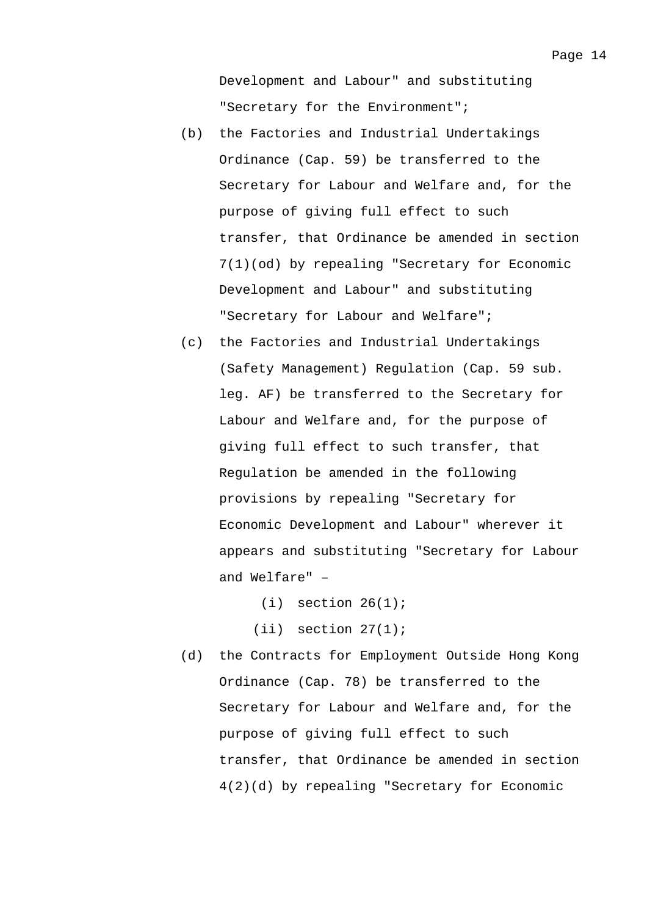- (b) the Factories and Industrial Undertakings Ordinance (Cap. 59) be transferred to the Secretary for Labour and Welfare and, for the purpose of giving full effect to such transfer, that Ordinance be amended in section 7(1)(od) by repealing "Secretary for Economic Development and Labour" and substituting "Secretary for Labour and Welfare";
- (c) the Factories and Industrial Undertakings (Safety Management) Regulation (Cap. 59 sub. leg. AF) be transferred to the Secretary for Labour and Welfare and, for the purpose of giving full effect to such transfer, that Regulation be amended in the following provisions by repealing "Secretary for Economic Development and Labour" wherever it appears and substituting "Secretary for Labour and Welfare" –

```
(i) section 26(1);
```

```
(iii) section 27(1);
```
(d) the Contracts for Employment Outside Hong Kong Ordinance (Cap. 78) be transferred to the Secretary for Labour and Welfare and, for the purpose of giving full effect to such transfer, that Ordinance be amended in section 4(2)(d) by repealing "Secretary for Economic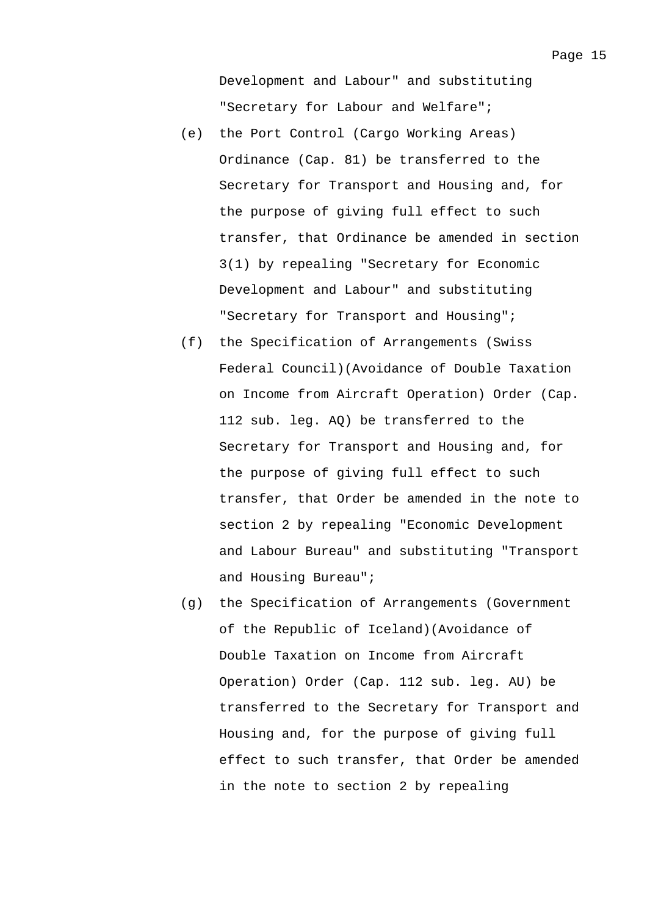- (e) the Port Control (Cargo Working Areas) Ordinance (Cap. 81) be transferred to the Secretary for Transport and Housing and, for the purpose of giving full effect to such transfer, that Ordinance be amended in section 3(1) by repealing "Secretary for Economic Development and Labour" and substituting "Secretary for Transport and Housing";
- (f) the Specification of Arrangements (Swiss Federal Council)(Avoidance of Double Taxation on Income from Aircraft Operation) Order (Cap. 112 sub. leg. AQ) be transferred to the Secretary for Transport and Housing and, for the purpose of giving full effect to such transfer, that Order be amended in the note to section 2 by repealing "Economic Development and Labour Bureau" and substituting "Transport and Housing Bureau";
- (g) the Specification of Arrangements (Government of the Republic of Iceland)(Avoidance of Double Taxation on Income from Aircraft Operation) Order (Cap. 112 sub. leg. AU) be transferred to the Secretary for Transport and Housing and, for the purpose of giving full effect to such transfer, that Order be amended in the note to section 2 by repealing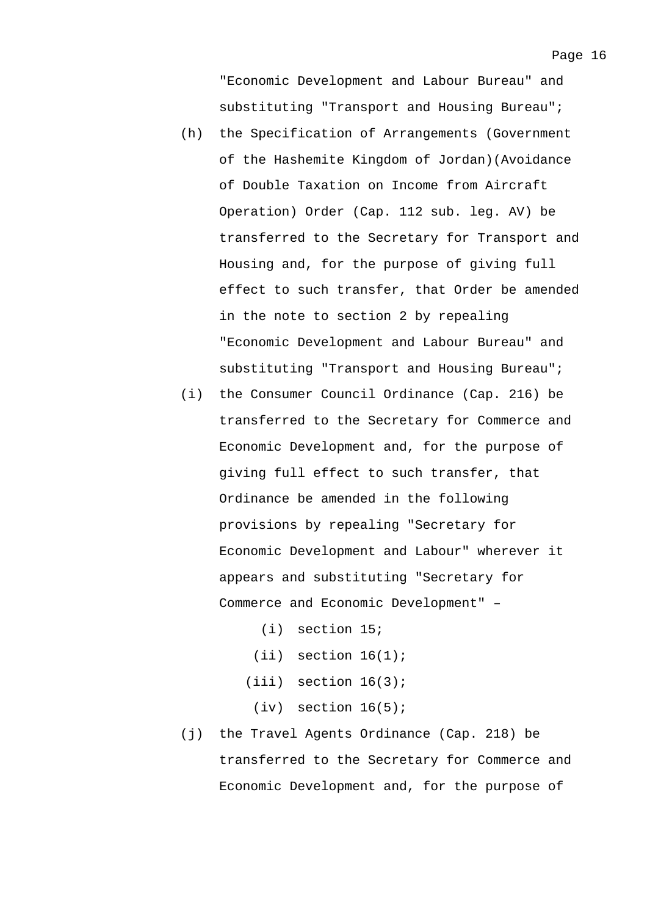"Economic Development and Labour Bureau" and substituting "Transport and Housing Bureau";

- (h) the Specification of Arrangements (Government of the Hashemite Kingdom of Jordan)(Avoidance of Double Taxation on Income from Aircraft Operation) Order (Cap. 112 sub. leg. AV) be transferred to the Secretary for Transport and Housing and, for the purpose of giving full effect to such transfer, that Order be amended in the note to section 2 by repealing "Economic Development and Labour Bureau" and substituting "Transport and Housing Bureau";
- (i) the Consumer Council Ordinance (Cap. 216) be transferred to the Secretary for Commerce and Economic Development and, for the purpose of giving full effect to such transfer, that Ordinance be amended in the following provisions by repealing "Secretary for Economic Development and Labour" wherever it appears and substituting "Secretary for Commerce and Economic Development" –
	- (i) section 15;
	- $(iii)$  section  $16(1)$ ;
	- $(iii)$  section  $16(3)$ ;
		- $(iv)$  section  $16(5)$ ;
- (j) the Travel Agents Ordinance (Cap. 218) be transferred to the Secretary for Commerce and Economic Development and, for the purpose of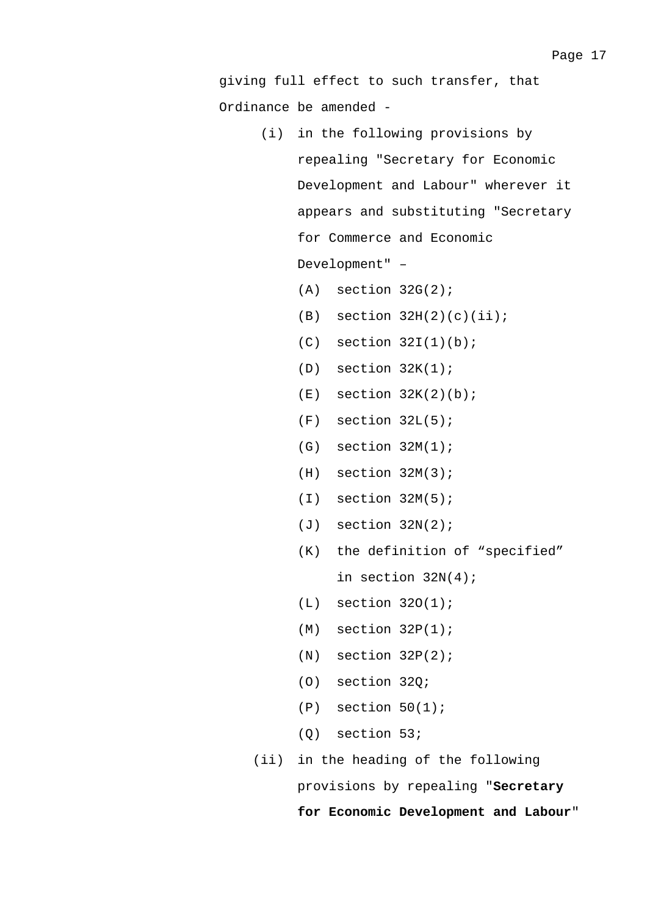- (i) in the following provisions by repealing "Secretary for Economic Development and Labour" wherever it appears and substituting "Secretary for Commerce and Economic Development" –
	- $(A)$  section  $32G(2)$ ;
	- $(B)$  section  $32H(2)(c)(ii);$
	- $(C)$  section  $32I(1)(b)$ ;
	- $(D)$  section  $32K(1)$ ;
	- $(E)$  section  $32K(2)(b)$ ;
	- $(F)$  section  $32L(5)$ ;
	- $(G)$  section  $32M(1)$ ;
	- $(H)$  section  $32M(3)$ ;
	- $(I)$  section  $32M(5)$ ;
	- (J) section 32N(2);
	- (K) the definition of "specified" in section 32N(4);
	- $(L)$  section  $320(1)$ ;
	- $(M)$  section  $32P(1)$ ;
	- $(N)$  section  $32P(2)$ ;
	- (O) section 32Q;
	- $(P)$  section  $50(1)$ ;
	- (Q) section 53;
- (ii) in the heading of the following

provisions by repealing "**Secretary** 

**for Economic Development and Labour**"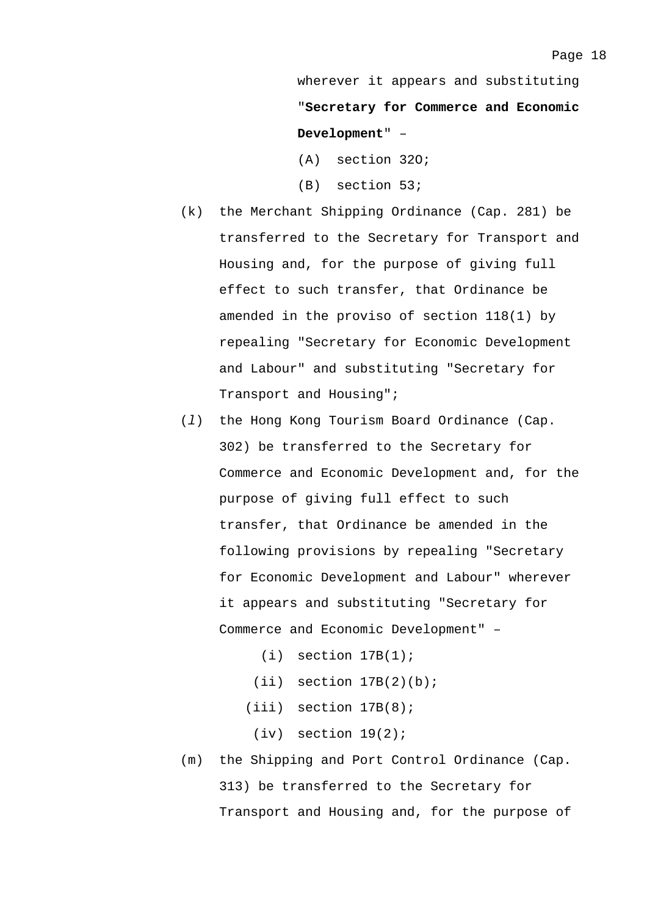wherever it appears and substituting "**Secretary for Commerce and Economic Development**" –

- (A) section 32O;
- (B) section 53;
- (k) the Merchant Shipping Ordinance (Cap. 281) be transferred to the Secretary for Transport and Housing and, for the purpose of giving full effect to such transfer, that Ordinance be amended in the proviso of section 118(1) by repealing "Secretary for Economic Development and Labour" and substituting "Secretary for Transport and Housing";
- (*l*) the Hong Kong Tourism Board Ordinance (Cap. 302) be transferred to the Secretary for Commerce and Economic Development and, for the purpose of giving full effect to such transfer, that Ordinance be amended in the following provisions by repealing "Secretary for Economic Development and Labour" wherever it appears and substituting "Secretary for Commerce and Economic Development" –
	- $(i)$  section  $17B(1)$ ;
	- $(iii)$  section  $17B(2)(b)$ ;
	- (iii) section 17B(8);
		- $(iv)$  section  $19(2)$ ;
- (m) the Shipping and Port Control Ordinance (Cap. 313) be transferred to the Secretary for Transport and Housing and, for the purpose of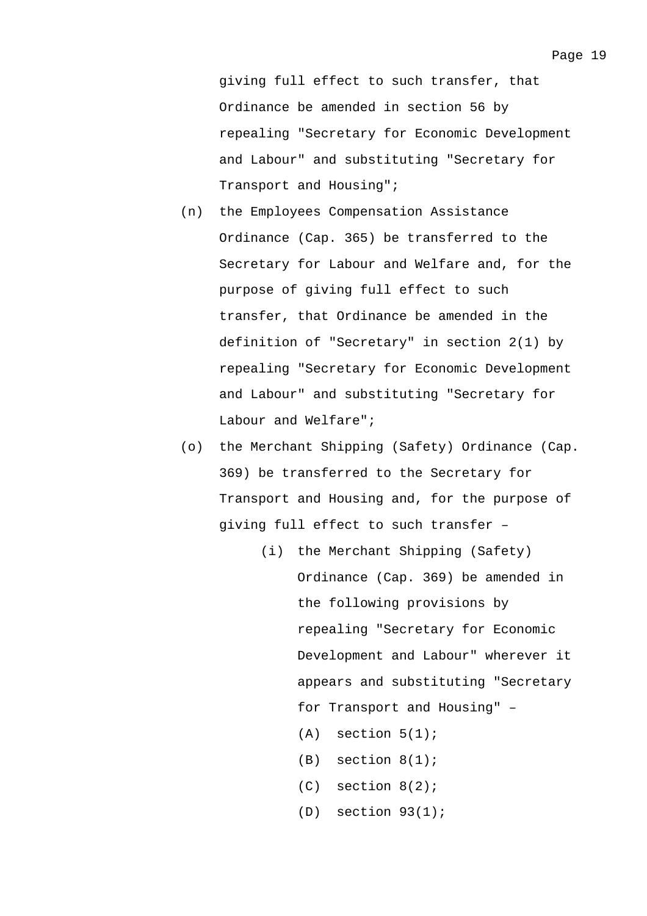giving full effect to such transfer, that Ordinance be amended in section 56 by repealing "Secretary for Economic Development and Labour" and substituting "Secretary for Transport and Housing";

- (n) the Employees Compensation Assistance Ordinance (Cap. 365) be transferred to the Secretary for Labour and Welfare and, for the purpose of giving full effect to such transfer, that Ordinance be amended in the definition of "Secretary" in section 2(1) by repealing "Secretary for Economic Development and Labour" and substituting "Secretary for Labour and Welfare";
- (o) the Merchant Shipping (Safety) Ordinance (Cap. 369) be transferred to the Secretary for Transport and Housing and, for the purpose of giving full effect to such transfer –
	- (i) the Merchant Shipping (Safety) Ordinance (Cap. 369) be amended in the following provisions by repealing "Secretary for Economic Development and Labour" wherever it appears and substituting "Secretary for Transport and Housing" –
		- $(A)$  section  $5(1)$ ;
		- (B) section 8(1);
		- (C) section 8(2);
		- $(D)$  section  $93(1)$ ;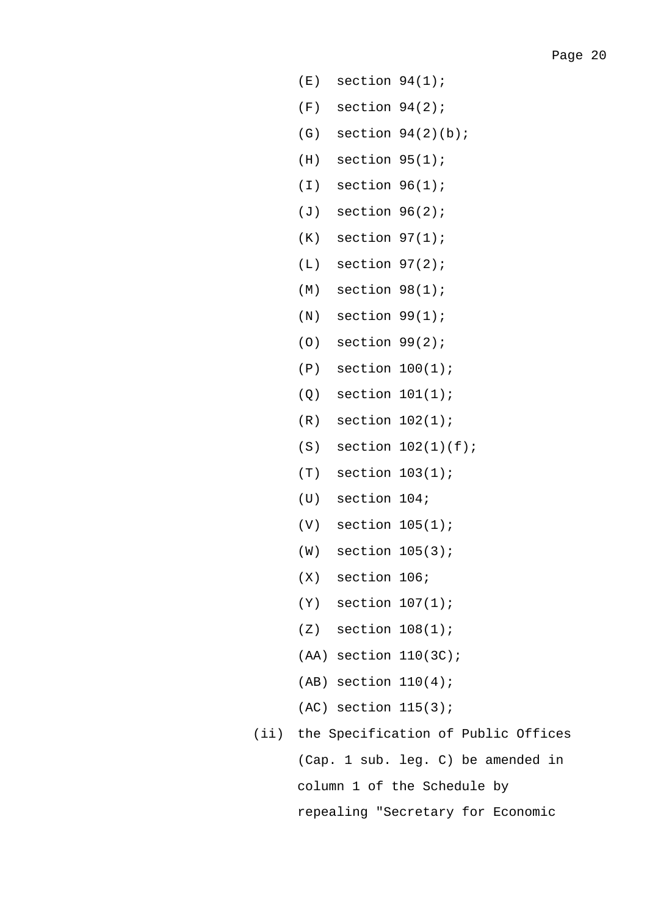- $(E)$  section  $94(1)$ ;
- $(F)$  section  $94(2)$ ;
- $(G)$  section  $94(2)(b)$ ;
- $(H)$  section  $95(1)$ ;
- $(I)$  section  $96(1)$ ;
- (J) section 96(2);
- $(K)$  section  $97(1)$ ;
- $(L)$  section  $97(2)$ ;
- $(M)$  section  $98(1)$ ;
- $(N)$  section  $99(1)$ ;
- (O) section 99(2);
- (P) section 100(1);
- (Q) section 101(1);
- $(R)$  section  $102(1)$ ;
- $(S)$  section  $102(1)(f)$ ;
- (T) section 103(1);
- (U) section 104;
- (V) section 105(1);
- (W) section 105(3);
- (X) section 106;
- (Y) section 107(1);
- $(Z)$  section  $108(1)$ ;
- (AA) section 110(3C);
- $(AB)$  section  $110(4)$ ;
- (AC) section 115(3);
- (ii) the Specification of Public Offices (Cap. 1 sub. leg. C) be amended in column 1 of the Schedule by repealing "Secretary for Economic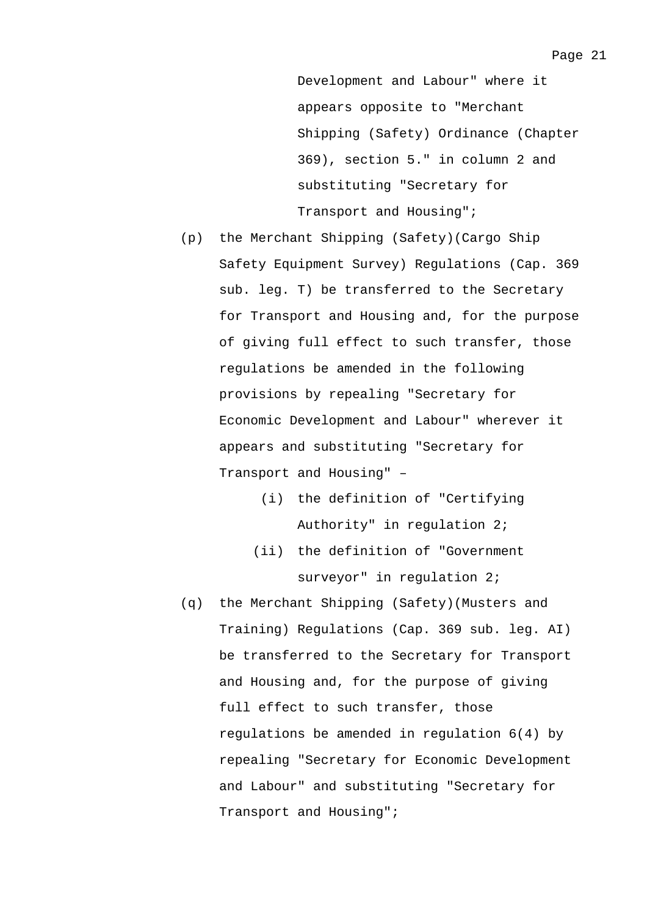Development and Labour" where it appears opposite to "Merchant Shipping (Safety) Ordinance (Chapter 369), section 5." in column 2 and substituting "Secretary for Transport and Housing";

- (p) the Merchant Shipping (Safety)(Cargo Ship Safety Equipment Survey) Regulations (Cap. 369 sub. leg. T) be transferred to the Secretary for Transport and Housing and, for the purpose of giving full effect to such transfer, those regulations be amended in the following provisions by repealing "Secretary for Economic Development and Labour" wherever it appears and substituting "Secretary for Transport and Housing" –
	- (i) the definition of "Certifying Authority" in regulation 2;
	- (ii) the definition of "Government surveyor" in regulation 2;
- (q) the Merchant Shipping (Safety)(Musters and Training) Regulations (Cap. 369 sub. leg. AI) be transferred to the Secretary for Transport and Housing and, for the purpose of giving full effect to such transfer, those regulations be amended in regulation 6(4) by repealing "Secretary for Economic Development and Labour" and substituting "Secretary for Transport and Housing";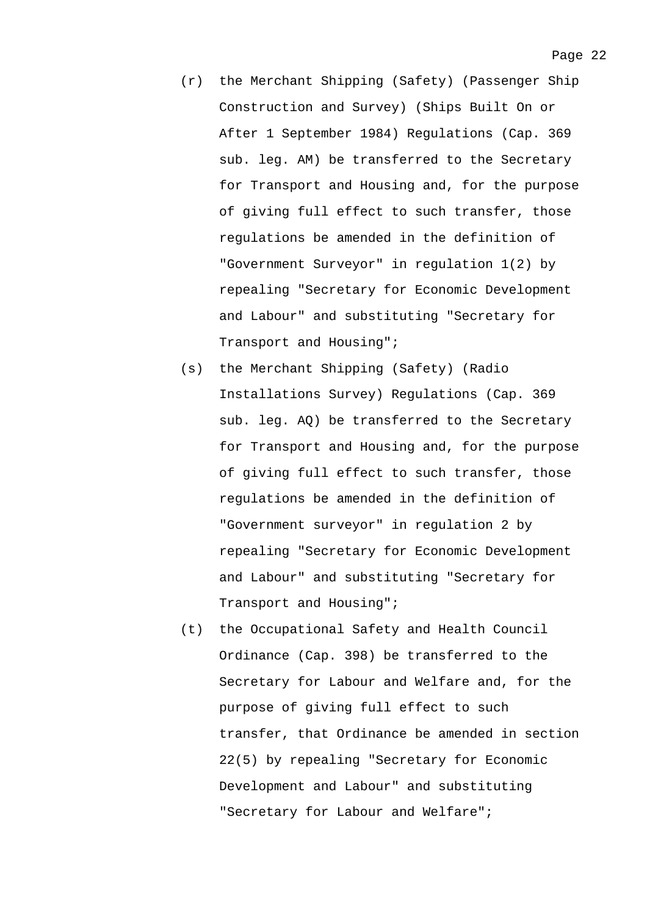- (r) the Merchant Shipping (Safety) (Passenger Ship Construction and Survey) (Ships Built On or After 1 September 1984) Regulations (Cap. 369 sub. leg. AM) be transferred to the Secretary for Transport and Housing and, for the purpose of giving full effect to such transfer, those regulations be amended in the definition of "Government Surveyor" in regulation 1(2) by repealing "Secretary for Economic Development and Labour" and substituting "Secretary for Transport and Housing";
- (s) the Merchant Shipping (Safety) (Radio Installations Survey) Regulations (Cap. 369 sub. leg. AQ) be transferred to the Secretary for Transport and Housing and, for the purpose of giving full effect to such transfer, those regulations be amended in the definition of "Government surveyor" in regulation 2 by repealing "Secretary for Economic Development and Labour" and substituting "Secretary for Transport and Housing";
- (t) the Occupational Safety and Health Council Ordinance (Cap. 398) be transferred to the Secretary for Labour and Welfare and, for the purpose of giving full effect to such transfer, that Ordinance be amended in section 22(5) by repealing "Secretary for Economic Development and Labour" and substituting "Secretary for Labour and Welfare";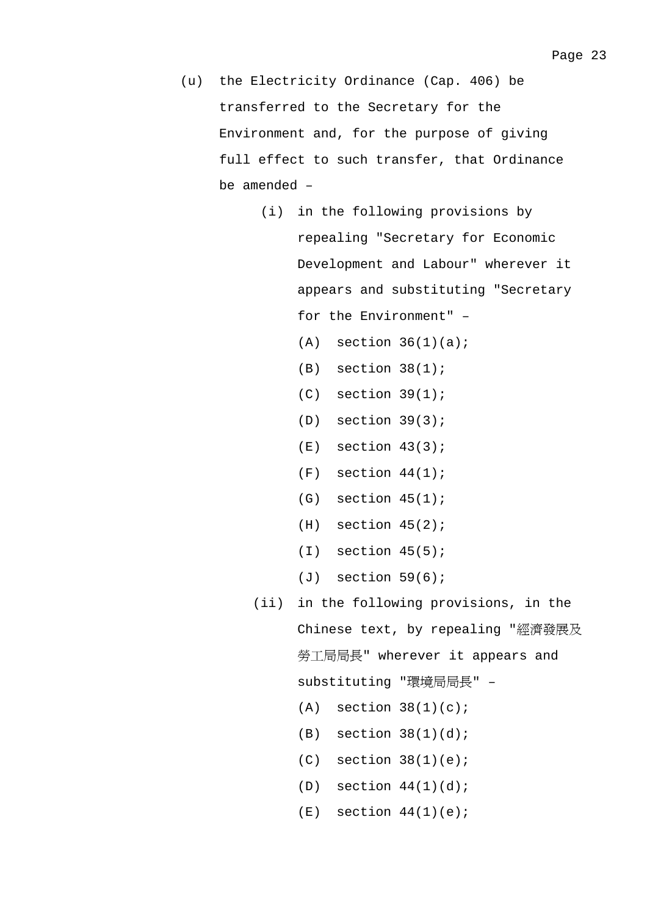- (u) the Electricity Ordinance (Cap. 406) be transferred to the Secretary for the Environment and, for the purpose of giving full effect to such transfer, that Ordinance be amended –
	- (i) in the following provisions by repealing "Secretary for Economic Development and Labour" wherever it appears and substituting "Secretary for the Environment" –

 $(A)$  section  $36(1)(a)$ ;

- $(B)$  section  $38(1)$ ;
- $(C)$  section  $39(1)$ ;
- (D) section 39(3);
- $(E)$  section  $43(3)$ ;
- $(F)$  section  $44(1)$ ;
- $(G)$  section  $45(1)$ ;
- $(H)$  section  $45(2)$ ;
- $(I)$  section  $45(5)$ ;
- $(J)$  section  $59(6)$ ;
- (ii) in the following provisions, in the Chinese text, by repealing "經濟發展及 勞工局局長" wherever it appears and substituting "環境局局長" –  $(A)$  section  $38(1)(c)$ ;
	- $(B)$  section  $38(1)(d)$ ;
	- $(C)$  section  $38(1)(e)$ ;
	- $(D)$  section  $44(1)(d)$ ;
	- $(E)$  section  $44(1)(e)$ ;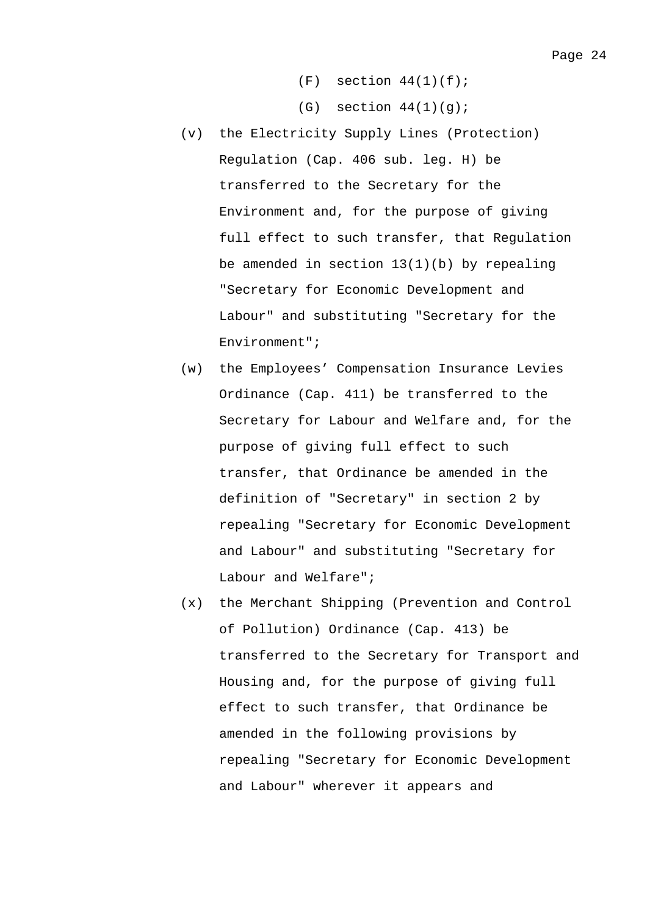- $(F)$  section  $44(1)(f)$ ;
- $(G)$  section  $44(1)(g)$ ;
- (v) the Electricity Supply Lines (Protection) Regulation (Cap. 406 sub. leg. H) be transferred to the Secretary for the Environment and, for the purpose of giving full effect to such transfer, that Regulation be amended in section  $13(1)(b)$  by repealing "Secretary for Economic Development and Labour" and substituting "Secretary for the Environment";
- (w) the Employees' Compensation Insurance Levies Ordinance (Cap. 411) be transferred to the Secretary for Labour and Welfare and, for the purpose of giving full effect to such transfer, that Ordinance be amended in the definition of "Secretary" in section 2 by repealing "Secretary for Economic Development and Labour" and substituting "Secretary for Labour and Welfare";
- (x) the Merchant Shipping (Prevention and Control of Pollution) Ordinance (Cap. 413) be transferred to the Secretary for Transport and Housing and, for the purpose of giving full effect to such transfer, that Ordinance be amended in the following provisions by repealing "Secretary for Economic Development and Labour" wherever it appears and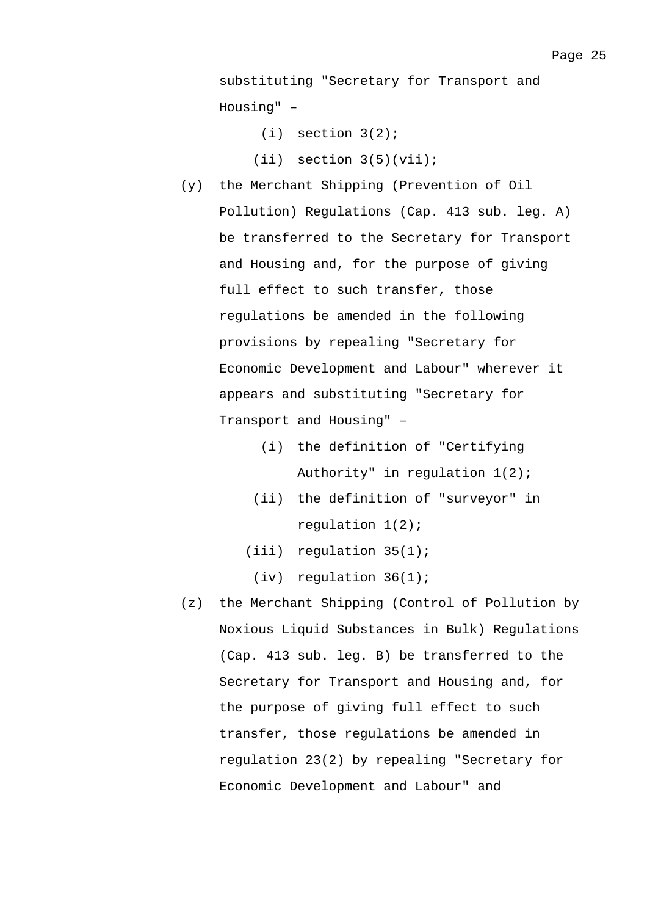$(i)$  section  $3(2)$ ;

 $(iii)$  section  $3(5)(vii)$ ;

- (y) the Merchant Shipping (Prevention of Oil Pollution) Regulations (Cap. 413 sub. leg. A) be transferred to the Secretary for Transport and Housing and, for the purpose of giving full effect to such transfer, those regulations be amended in the following provisions by repealing "Secretary for Economic Development and Labour" wherever it appears and substituting "Secretary for Transport and Housing" –
	- (i) the definition of "Certifying Authority" in regulation 1(2);
	- (ii) the definition of "surveyor" in regulation 1(2);
	- (iii) regulation 35(1);
		- (iv) regulation 36(1);
- (z) the Merchant Shipping (Control of Pollution by Noxious Liquid Substances in Bulk) Regulations (Cap. 413 sub. leg. B) be transferred to the Secretary for Transport and Housing and, for the purpose of giving full effect to such transfer, those regulations be amended in regulation 23(2) by repealing "Secretary for Economic Development and Labour" and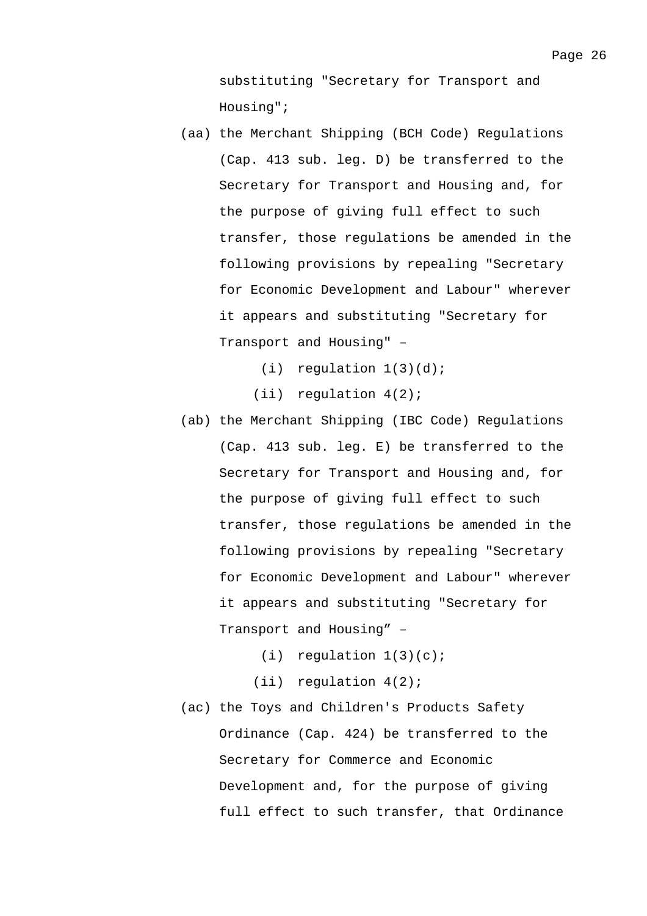substituting "Secretary for Transport and Housing";

- (aa) the Merchant Shipping (BCH Code) Regulations (Cap. 413 sub. leg. D) be transferred to the Secretary for Transport and Housing and, for the purpose of giving full effect to such transfer, those regulations be amended in the following provisions by repealing "Secretary for Economic Development and Labour" wherever it appears and substituting "Secretary for Transport and Housing" –
	- $(i)$  requlation  $1(3)(d)$ ;
	- (ii) regulation 4(2);
- (ab) the Merchant Shipping (IBC Code) Regulations (Cap. 413 sub. leg. E) be transferred to the Secretary for Transport and Housing and, for the purpose of giving full effect to such transfer, those regulations be amended in the following provisions by repealing "Secretary for Economic Development and Labour" wherever it appears and substituting "Secretary for Transport and Housing" –
	- $(i)$  requlation  $1(3)(c)$ ;
	- (ii) regulation 4(2);
- (ac) the Toys and Children's Products Safety Ordinance (Cap. 424) be transferred to the Secretary for Commerce and Economic Development and, for the purpose of giving full effect to such transfer, that Ordinance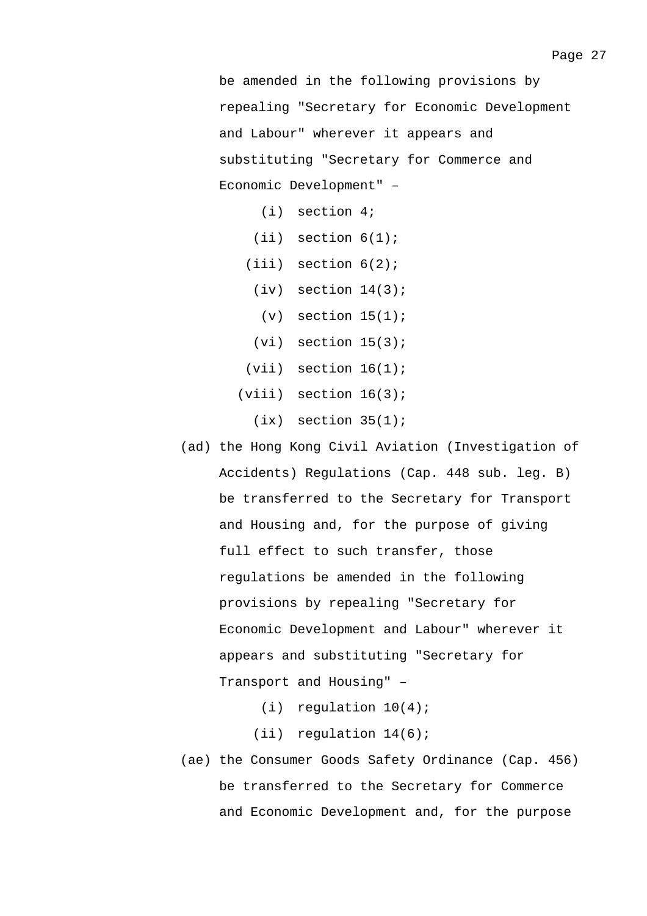be amended in the following provisions by repealing "Secretary for Economic Development and Labour" wherever it appears and substituting "Secretary for Commerce and Economic Development" –

- (i) section 4;
- $(iii)$  section  $6(1)$ ;
- (iii) section 6(2);
	- $(iv)$  section  $14(3)$ ;
		- $(v)$  section  $15(1)$ ;
- $(vi)$  section  $15(3)$ ;
- $(vii)$  section  $16(1)$ ;
- $(viii)$  section  $16(3)$ ;
	- $(ix)$  section  $35(1)$ ;
- (ad) the Hong Kong Civil Aviation (Investigation of Accidents) Regulations (Cap. 448 sub. leg. B) be transferred to the Secretary for Transport and Housing and, for the purpose of giving full effect to such transfer, those regulations be amended in the following provisions by repealing "Secretary for Economic Development and Labour" wherever it appears and substituting "Secretary for Transport and Housing" –
	- (i) regulation 10(4);
	- (ii) regulation 14(6);
- (ae) the Consumer Goods Safety Ordinance (Cap. 456) be transferred to the Secretary for Commerce and Economic Development and, for the purpose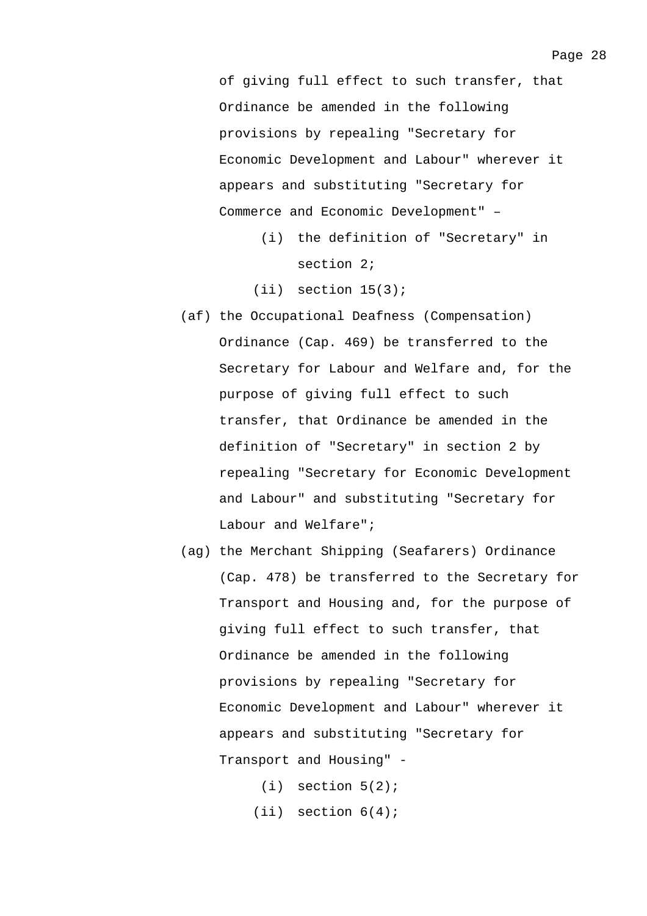of giving full effect to such transfer, that Ordinance be amended in the following provisions by repealing "Secretary for Economic Development and Labour" wherever it appears and substituting "Secretary for Commerce and Economic Development" –

- (i) the definition of "Secretary" in section 2;
- $(iii)$  section  $15(3)$ ;
- (af) the Occupational Deafness (Compensation) Ordinance (Cap. 469) be transferred to the Secretary for Labour and Welfare and, for the purpose of giving full effect to such transfer, that Ordinance be amended in the definition of "Secretary" in section 2 by repealing "Secretary for Economic Development and Labour" and substituting "Secretary for Labour and Welfare";
- (ag) the Merchant Shipping (Seafarers) Ordinance (Cap. 478) be transferred to the Secretary for Transport and Housing and, for the purpose of giving full effect to such transfer, that Ordinance be amended in the following provisions by repealing "Secretary for Economic Development and Labour" wherever it appears and substituting "Secretary for Transport and Housing" -
	- $(i)$  section  $5(2)$ ;  $(iii)$  section  $6(4)$ ;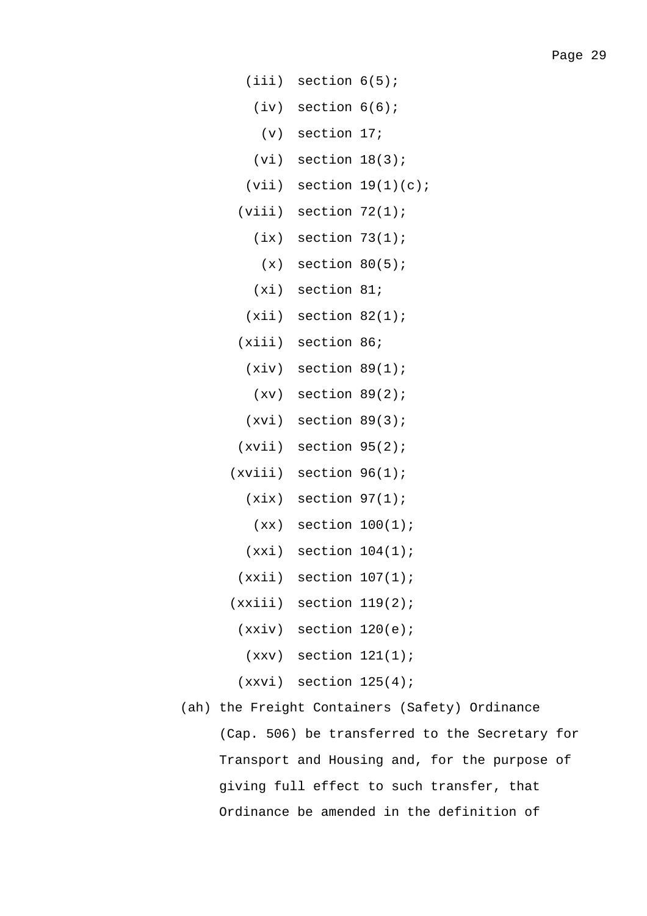- (iii) section 6(5);
	- (iv) section 6(6);
		- (v) section 17;
	- (vi) section 18(3);
- $(vii)$  section  $19(1)(c)$ ;
- (viii) section 72(1);
	- $(ix)$  section  $73(1);$
	- $(x)$  section  $80(5)$ ;
	- (xi) section 81;
	- $(xii)$  section  $82(1)$ ;
- (xiii) section 86;
	- $(xiv)$  section  $89(1)$ ;
	- $(xv)$  section  $89(2)$ ;
	- (xvi) section 89(3);
- (xvii) section 95(2);
- (xviii) section 96(1);
	- $(xix)$  section  $97(1)$ ;
		- $(xx)$  section  $100(1)$ ;
	- $(xxi)$  section  $104(1)$ ;
	- $(xxii)$  section  $107(1)$ ;
- $(xxiii)$  section  $119(2)$ ;
	- $(xxiv)$  section  $120(e)$ ;
	- $(xxy)$  section  $121(1)$ ;
	- $(xxvi)$  section  $125(4)$ ;
- (ah) the Freight Containers (Safety) Ordinance (Cap. 506) be transferred to the Secretary for Transport and Housing and, for the purpose of giving full effect to such transfer, that Ordinance be amended in the definition of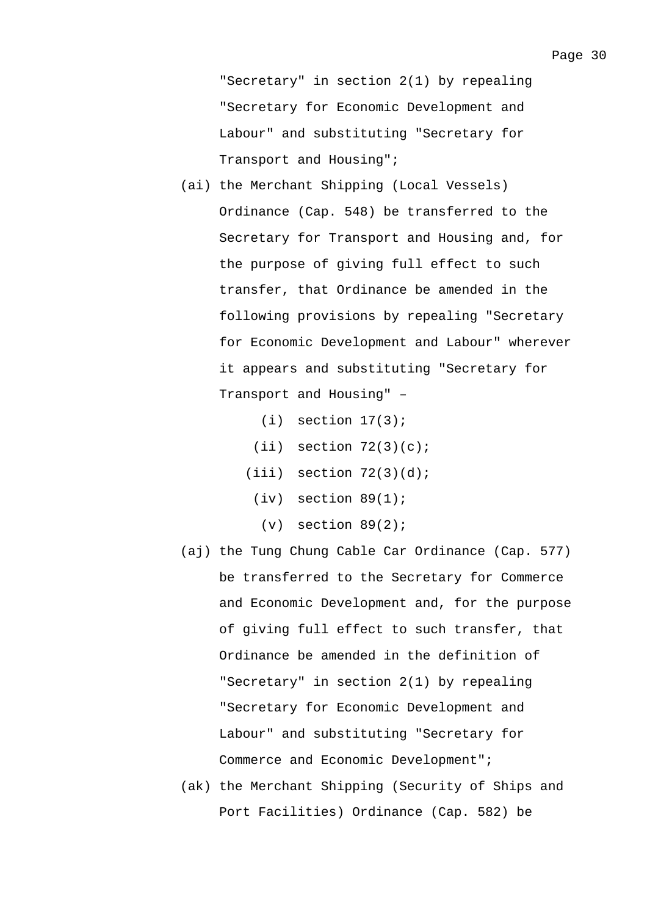"Secretary" in section 2(1) by repealing "Secretary for Economic Development and Labour" and substituting "Secretary for Transport and Housing";

- (ai) the Merchant Shipping (Local Vessels) Ordinance (Cap. 548) be transferred to the Secretary for Transport and Housing and, for the purpose of giving full effect to such transfer, that Ordinance be amended in the following provisions by repealing "Secretary for Economic Development and Labour" wherever it appears and substituting "Secretary for Transport and Housing" –
	- $(i)$  section  $17(3)$ ;
	- $(iii)$  section  $72(3)(c)$ ;
	- $(iii)$  section  $72(3)(d)$ ;
	- $(iv)$  section  $89(1)$ ;
		- $(v)$  section  $89(2)$ ;
- (aj) the Tung Chung Cable Car Ordinance (Cap. 577) be transferred to the Secretary for Commerce and Economic Development and, for the purpose of giving full effect to such transfer, that Ordinance be amended in the definition of "Secretary" in section 2(1) by repealing "Secretary for Economic Development and Labour" and substituting "Secretary for Commerce and Economic Development";
- (ak) the Merchant Shipping (Security of Ships and Port Facilities) Ordinance (Cap. 582) be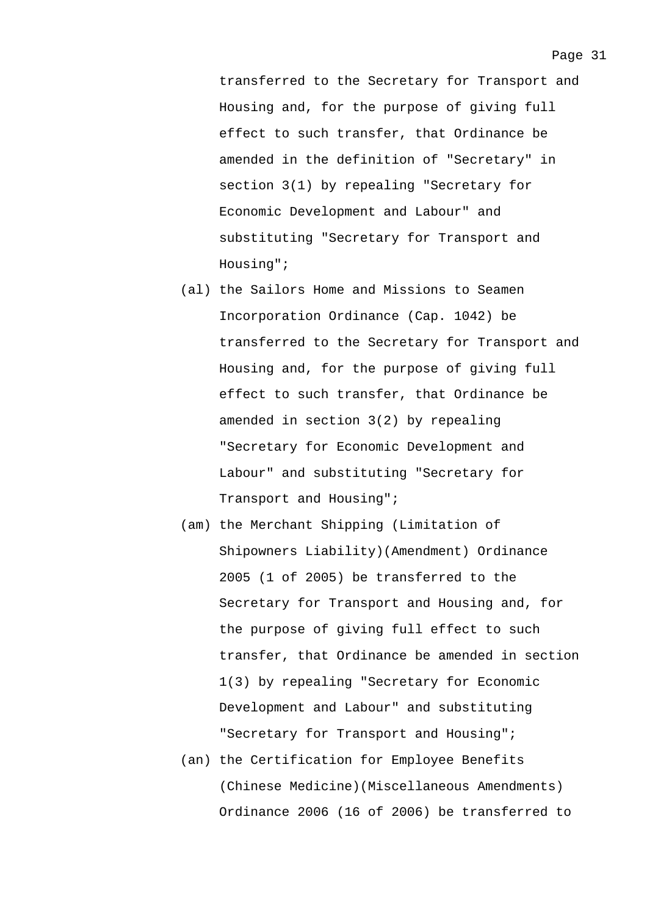transferred to the Secretary for Transport and Housing and, for the purpose of giving full effect to such transfer, that Ordinance be amended in the definition of "Secretary" in section 3(1) by repealing "Secretary for Economic Development and Labour" and substituting "Secretary for Transport and Housing";

- (al) the Sailors Home and Missions to Seamen Incorporation Ordinance (Cap. 1042) be transferred to the Secretary for Transport and Housing and, for the purpose of giving full effect to such transfer, that Ordinance be amended in section 3(2) by repealing "Secretary for Economic Development and Labour" and substituting "Secretary for Transport and Housing";
- (am) the Merchant Shipping (Limitation of Shipowners Liability)(Amendment) Ordinance 2005 (1 of 2005) be transferred to the Secretary for Transport and Housing and, for the purpose of giving full effect to such transfer, that Ordinance be amended in section 1(3) by repealing "Secretary for Economic Development and Labour" and substituting "Secretary for Transport and Housing";
- (an) the Certification for Employee Benefits (Chinese Medicine)(Miscellaneous Amendments) Ordinance 2006 (16 of 2006) be transferred to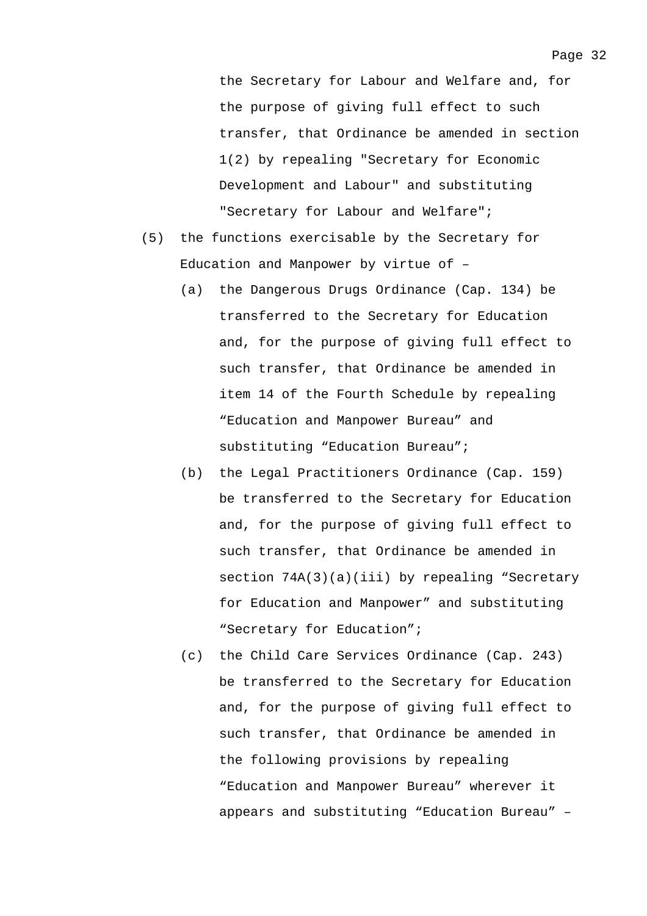the Secretary for Labour and Welfare and, for the purpose of giving full effect to such transfer, that Ordinance be amended in section 1(2) by repealing "Secretary for Economic Development and Labour" and substituting "Secretary for Labour and Welfare";

- (5) the functions exercisable by the Secretary for Education and Manpower by virtue of –
	- (a) the Dangerous Drugs Ordinance (Cap. 134) be transferred to the Secretary for Education and, for the purpose of giving full effect to such transfer, that Ordinance be amended in item 14 of the Fourth Schedule by repealing "Education and Manpower Bureau" and substituting "Education Bureau";
	- (b) the Legal Practitioners Ordinance (Cap. 159) be transferred to the Secretary for Education and, for the purpose of giving full effect to such transfer, that Ordinance be amended in section  $74A(3)(a)(iii)$  by repealing "Secretary for Education and Manpower" and substituting "Secretary for Education";
	- (c) the Child Care Services Ordinance (Cap. 243) be transferred to the Secretary for Education and, for the purpose of giving full effect to such transfer, that Ordinance be amended in the following provisions by repealing "Education and Manpower Bureau" wherever it appears and substituting "Education Bureau" –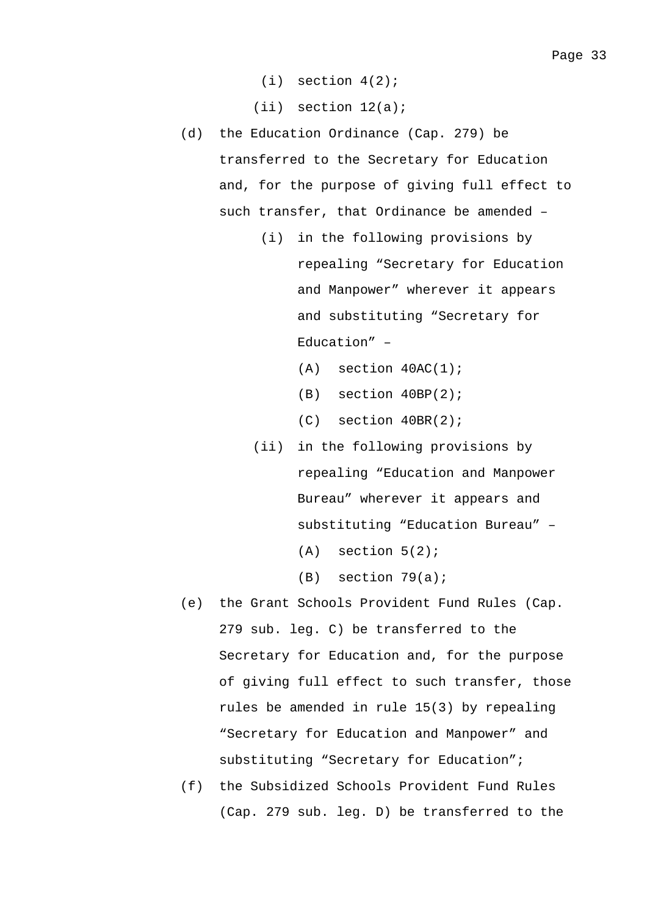$(i)$  section  $4(2)$ ;

(ii) section 12(a);

- (d) the Education Ordinance (Cap. 279) be transferred to the Secretary for Education and, for the purpose of giving full effect to such transfer, that Ordinance be amended –
	- (i) in the following provisions by repealing "Secretary for Education and Manpower" wherever it appears and substituting "Secretary for Education" –
		- $(A)$  section  $40AC(1)$ ;
		- (B) section 40BP(2);
		- (C) section 40BR(2);
	- (ii) in the following provisions by repealing "Education and Manpower Bureau" wherever it appears and substituting "Education Bureau" –
		- $(A)$  section  $5(2)$ ;
		- (B) section 79(a);
- (e) the Grant Schools Provident Fund Rules (Cap. 279 sub. leg. C) be transferred to the Secretary for Education and, for the purpose of giving full effect to such transfer, those rules be amended in rule 15(3) by repealing "Secretary for Education and Manpower" and substituting "Secretary for Education";
- (f) the Subsidized Schools Provident Fund Rules (Cap. 279 sub. leg. D) be transferred to the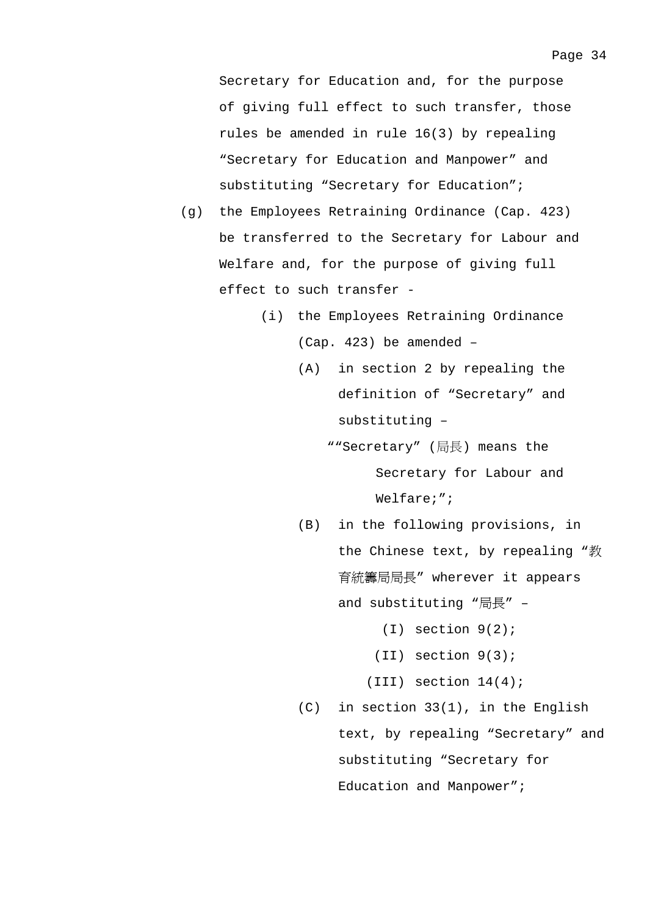Secretary for Education and, for the purpose of giving full effect to such transfer, those rules be amended in rule 16(3) by repealing "Secretary for Education and Manpower" and substituting "Secretary for Education";

- (g) the Employees Retraining Ordinance (Cap. 423) be transferred to the Secretary for Labour and Welfare and, for the purpose of giving full effect to such transfer -
	- (i) the Employees Retraining Ordinance (Cap. 423) be amended –
		- (A) in section 2 by repealing the definition of "Secretary" and substituting –
			- ""Secretary" (局長) means the Secretary for Labour and Welfare;";
		- (B) in the following provisions, in the Chinese text, by repealing "教 育統籌局局長" wherever it appears and substituting "局長" –
			- (I) section 9(2);
			- (II) section 9(3);
			- (III) section 14(4);
		- (C) in section 33(1), in the English text, by repealing "Secretary" and substituting "Secretary for Education and Manpower";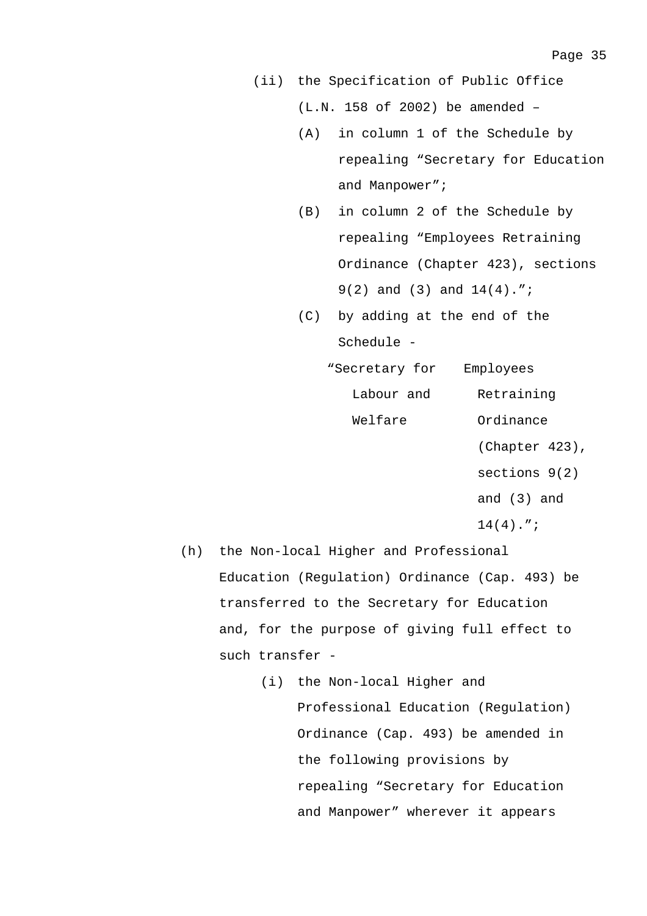(ii) the Specification of Public Office (L.N. 158 of 2002) be amended –

- (A) in column 1 of the Schedule by repealing "Secretary for Education and Manpower";
- (B) in column 2 of the Schedule by repealing "Employees Retraining Ordinance (Chapter 423), sections 9(2) and (3) and 14(4).";
- (C) by adding at the end of the Schedule -
	- "Secretary for Employees Labour and Retraining Welfare Ordinance
		- (Chapter 423),
		- sections 9(2)
		- and (3) and
		- $14(4)$ .";
- (h) the Non-local Higher and Professional Education (Regulation) Ordinance (Cap. 493) be transferred to the Secretary for Education and, for the purpose of giving full effect to such transfer -
	- (i) the Non-local Higher and Professional Education (Regulation) Ordinance (Cap. 493) be amended in the following provisions by repealing "Secretary for Education and Manpower" wherever it appears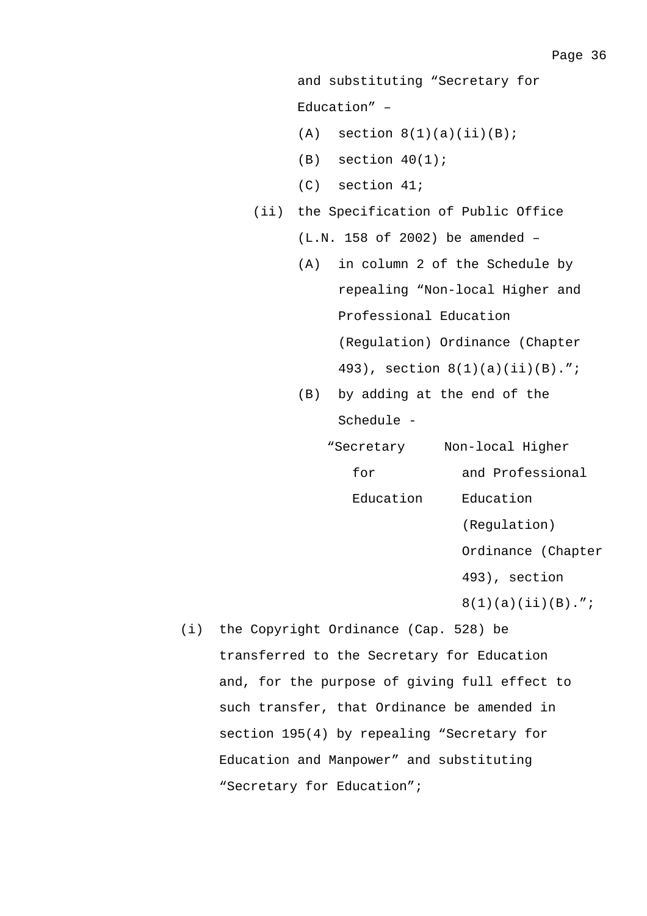```
and substituting "Secretary for 
Education" –
```
- $(A)$  section  $8(1)(a)(ii)(B)$ ;
- $(B)$  section  $40(1)$ ;
- (C) section 41;
- (ii) the Specification of Public Office
	- (L.N. 158 of 2002) be amended –
	- (A) in column 2 of the Schedule by repealing "Non-local Higher and Professional Education (Regulation) Ordinance (Chapter 493), section 8(1)(a)(ii)(B).";
	- (B) by adding at the end of the Schedule -

| "Secretary | Non-local Higher     |
|------------|----------------------|
| for        | and Professional     |
| Education  | Education            |
|            | (Requlation)         |
|            | Ordinance (Chapter   |
|            | 493), section        |
|            | $8(1)(a)(ii)(B)$ ."; |

(i) the Copyright Ordinance (Cap. 528) be transferred to the Secretary for Education and, for the purpose of giving full effect to such transfer, that Ordinance be amended in section 195(4) by repealing "Secretary for Education and Manpower" and substituting "Secretary for Education";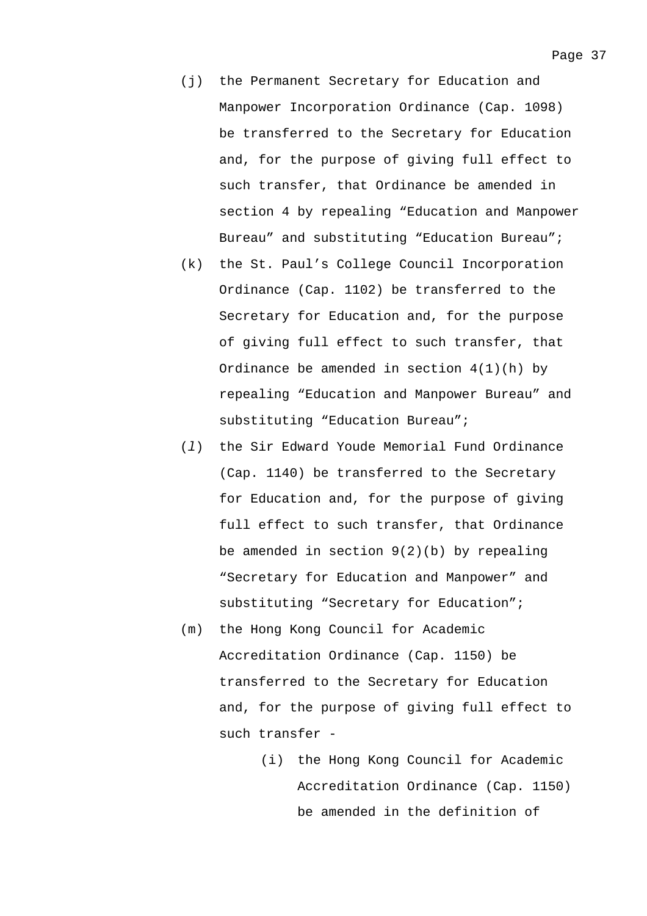- (j) the Permanent Secretary for Education and Manpower Incorporation Ordinance (Cap. 1098) be transferred to the Secretary for Education and, for the purpose of giving full effect to such transfer, that Ordinance be amended in section 4 by repealing "Education and Manpower Bureau" and substituting "Education Bureau";
- (k) the St. Paul's College Council Incorporation Ordinance (Cap. 1102) be transferred to the Secretary for Education and, for the purpose of giving full effect to such transfer, that Ordinance be amended in section 4(1)(h) by repealing "Education and Manpower Bureau" and substituting "Education Bureau";
- (*l*) the Sir Edward Youde Memorial Fund Ordinance (Cap. 1140) be transferred to the Secretary for Education and, for the purpose of giving full effect to such transfer, that Ordinance be amended in section  $9(2)(b)$  by repealing "Secretary for Education and Manpower" and substituting "Secretary for Education";
- (m) the Hong Kong Council for Academic Accreditation Ordinance (Cap. 1150) be transferred to the Secretary for Education and, for the purpose of giving full effect to such transfer -
	- (i) the Hong Kong Council for Academic Accreditation Ordinance (Cap. 1150) be amended in the definition of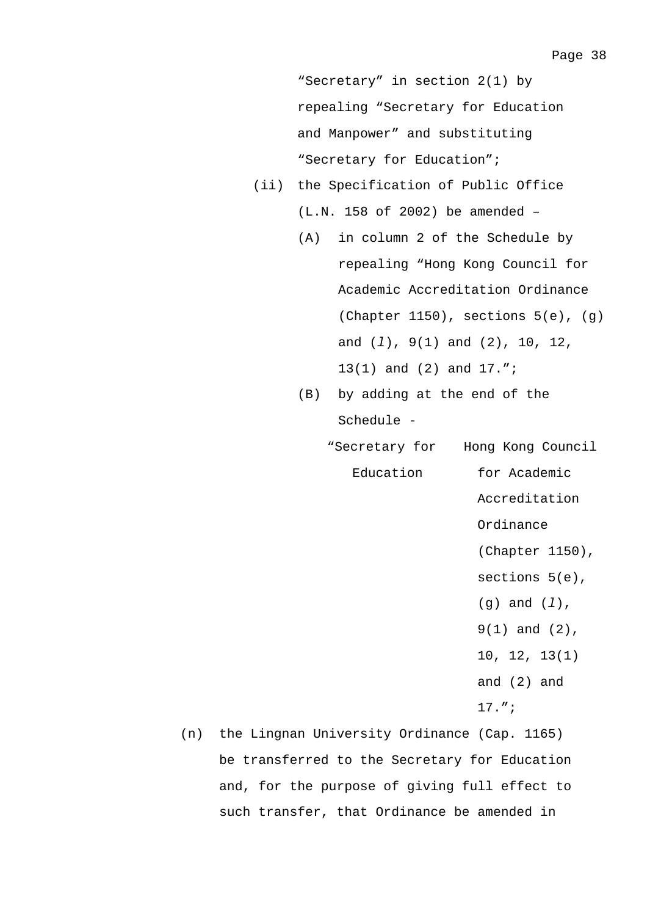"Secretary" in section 2(1) by repealing "Secretary for Education and Manpower" and substituting "Secretary for Education";

- (ii) the Specification of Public Office (L.N. 158 of 2002) be amended –
	- (A) in column 2 of the Schedule by repealing "Hong Kong Council for Academic Accreditation Ordinance (Chapter 1150), sections  $5(e)$ ,  $(g)$ and (*l*), 9(1) and (2), 10, 12, 13(1) and (2) and 17.";
	- (B) by adding at the end of the Schedule -
		- "Secretary for Hong Kong Council Education for Academic
			- Accreditation Ordinance (Chapter 1150),
			- sections 5(e),
			- (g) and (*l*),
			- 9(1) and (2),
			- 10, 12, 13(1)
			- and (2) and
			- 17.";
- (n) the Lingnan University Ordinance (Cap. 1165) be transferred to the Secretary for Education and, for the purpose of giving full effect to such transfer, that Ordinance be amended in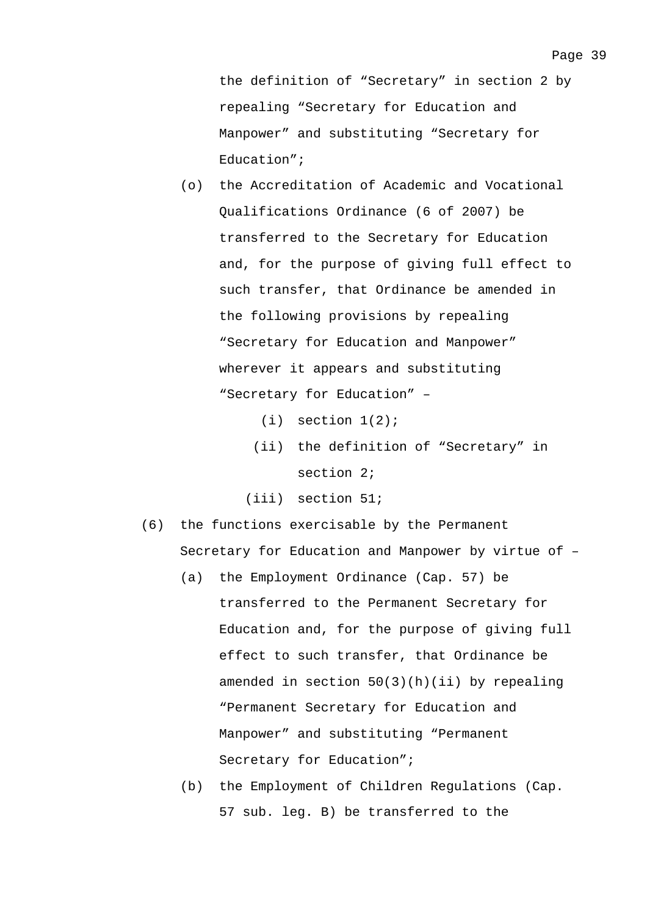- (o) the Accreditation of Academic and Vocational Qualifications Ordinance (6 of 2007) be transferred to the Secretary for Education and, for the purpose of giving full effect to such transfer, that Ordinance be amended in the following provisions by repealing "Secretary for Education and Manpower" wherever it appears and substituting "Secretary for Education" –
	- $(i)$  section  $1(2)$ ;
	- (ii) the definition of "Secretary" in section 2;
	- (iii) section 51;
- (6) the functions exercisable by the Permanent Secretary for Education and Manpower by virtue of –
	- (a) the Employment Ordinance (Cap. 57) be transferred to the Permanent Secretary for Education and, for the purpose of giving full effect to such transfer, that Ordinance be amended in section 50(3)(h)(ii) by repealing "Permanent Secretary for Education and Manpower" and substituting "Permanent Secretary for Education";
	- (b) the Employment of Children Regulations (Cap. 57 sub. leg. B) be transferred to the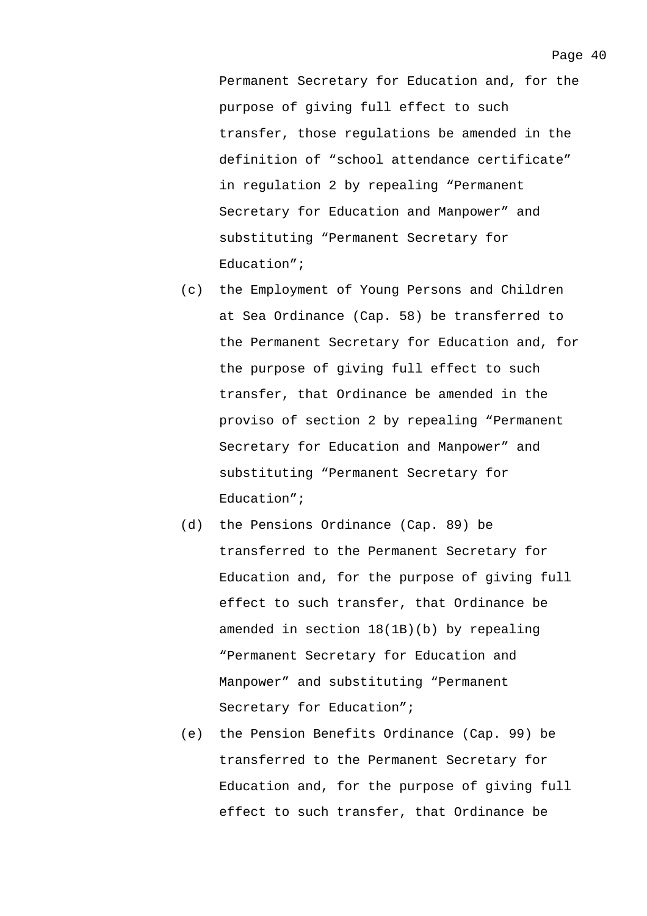Permanent Secretary for Education and, for the purpose of giving full effect to such transfer, those regulations be amended in the definition of "school attendance certificate" in regulation 2 by repealing "Permanent Secretary for Education and Manpower" and substituting "Permanent Secretary for

(c) the Employment of Young Persons and Children at Sea Ordinance (Cap. 58) be transferred to the Permanent Secretary for Education and, for the purpose of giving full effect to such transfer, that Ordinance be amended in the proviso of section 2 by repealing "Permanent Secretary for Education and Manpower" and substituting "Permanent Secretary for Education";

Education";

- (d) the Pensions Ordinance (Cap. 89) be transferred to the Permanent Secretary for Education and, for the purpose of giving full effect to such transfer, that Ordinance be amended in section 18(1B)(b) by repealing "Permanent Secretary for Education and Manpower" and substituting "Permanent Secretary for Education";
- (e) the Pension Benefits Ordinance (Cap. 99) be transferred to the Permanent Secretary for Education and, for the purpose of giving full effect to such transfer, that Ordinance be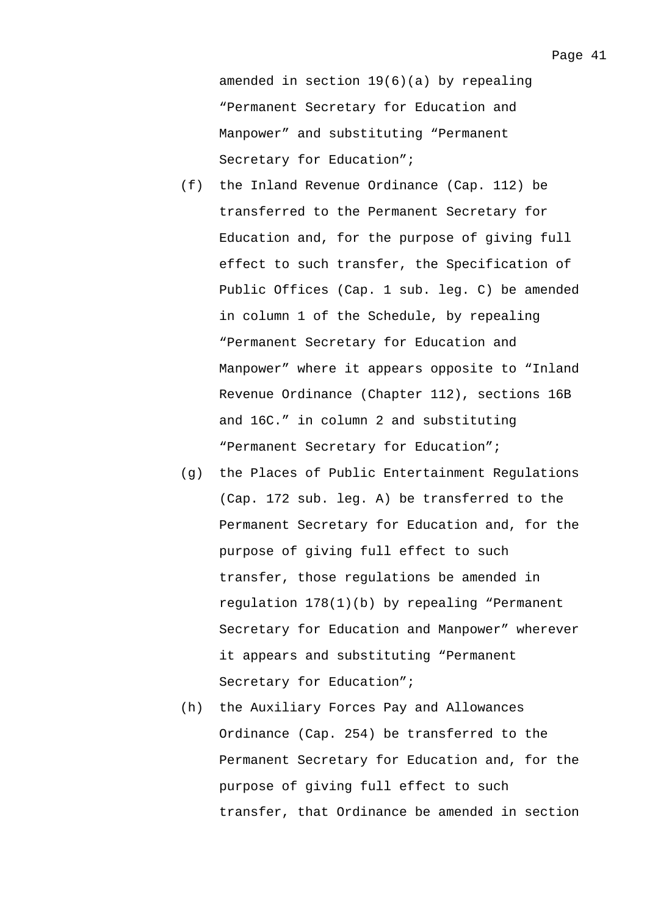amended in section 19(6)(a) by repealing "Permanent Secretary for Education and Manpower" and substituting "Permanent Secretary for Education";

- (f) the Inland Revenue Ordinance (Cap. 112) be transferred to the Permanent Secretary for Education and, for the purpose of giving full effect to such transfer, the Specification of Public Offices (Cap. 1 sub. leg. C) be amended in column 1 of the Schedule, by repealing "Permanent Secretary for Education and Manpower" where it appears opposite to "Inland Revenue Ordinance (Chapter 112), sections 16B and 16C." in column 2 and substituting "Permanent Secretary for Education";
- (g) the Places of Public Entertainment Regulations (Cap. 172 sub. leg. A) be transferred to the Permanent Secretary for Education and, for the purpose of giving full effect to such transfer, those regulations be amended in regulation 178(1)(b) by repealing "Permanent Secretary for Education and Manpower" wherever it appears and substituting "Permanent Secretary for Education";
- (h) the Auxiliary Forces Pay and Allowances Ordinance (Cap. 254) be transferred to the Permanent Secretary for Education and, for the purpose of giving full effect to such transfer, that Ordinance be amended in section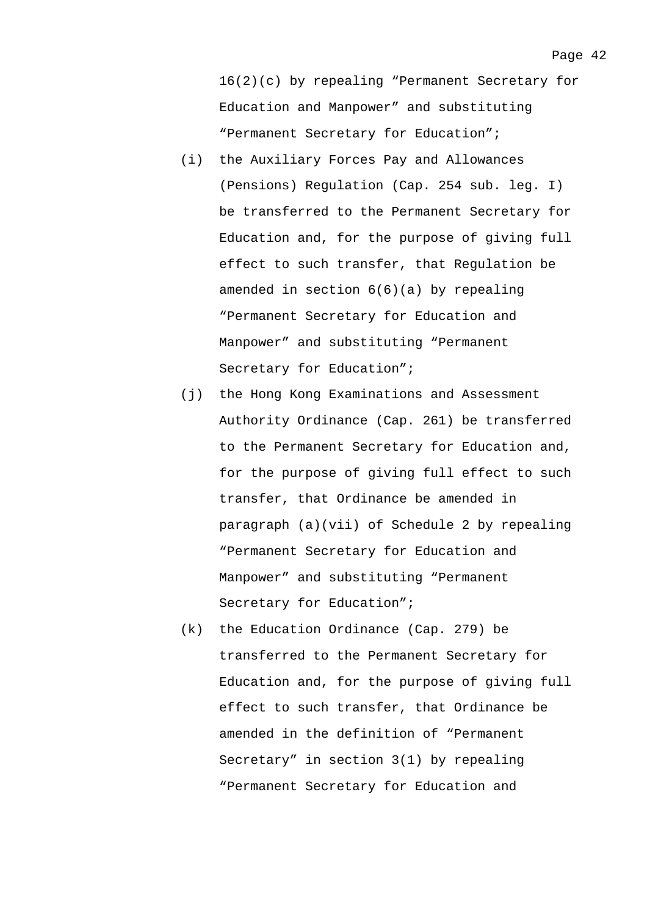16(2)(c) by repealing "Permanent Secretary for Education and Manpower" and substituting "Permanent Secretary for Education";

- (i) the Auxiliary Forces Pay and Allowances (Pensions) Regulation (Cap. 254 sub. leg. I) be transferred to the Permanent Secretary for Education and, for the purpose of giving full effect to such transfer, that Regulation be amended in section 6(6)(a) by repealing "Permanent Secretary for Education and Manpower" and substituting "Permanent Secretary for Education";
- (j) the Hong Kong Examinations and Assessment Authority Ordinance (Cap. 261) be transferred to the Permanent Secretary for Education and, for the purpose of giving full effect to such transfer, that Ordinance be amended in paragraph (a)(vii) of Schedule 2 by repealing "Permanent Secretary for Education and Manpower" and substituting "Permanent Secretary for Education";
- (k) the Education Ordinance (Cap. 279) be transferred to the Permanent Secretary for Education and, for the purpose of giving full effect to such transfer, that Ordinance be amended in the definition of "Permanent Secretary" in section 3(1) by repealing "Permanent Secretary for Education and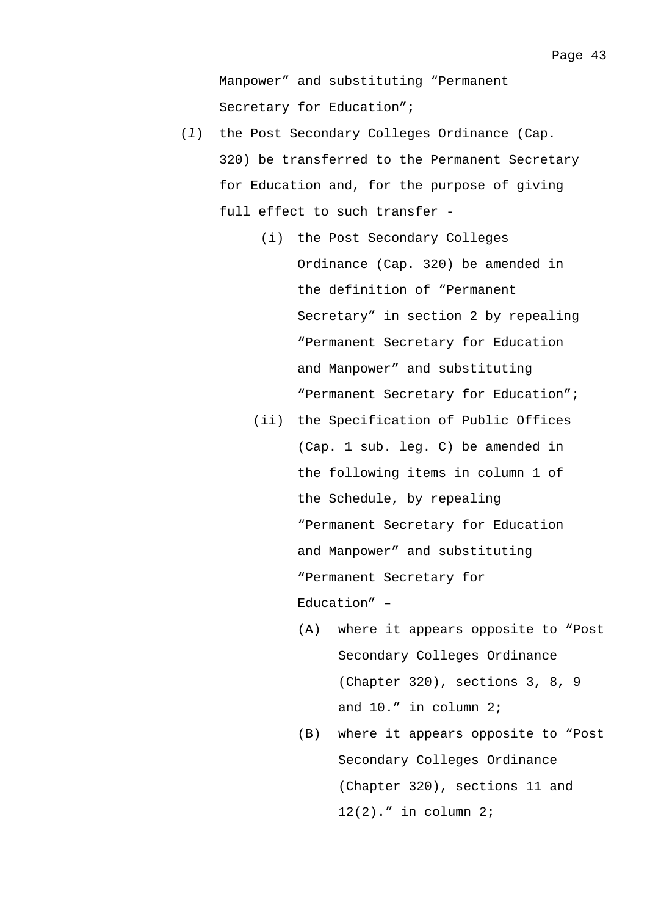Manpower" and substituting "Permanent Secretary for Education";

- (*l*) the Post Secondary Colleges Ordinance (Cap. 320) be transferred to the Permanent Secretary for Education and, for the purpose of giving full effect to such transfer -
	- (i) the Post Secondary Colleges Ordinance (Cap. 320) be amended in the definition of "Permanent Secretary" in section 2 by repealing "Permanent Secretary for Education and Manpower" and substituting "Permanent Secretary for Education";
	- (ii) the Specification of Public Offices (Cap. 1 sub. leg. C) be amended in the following items in column 1 of the Schedule, by repealing "Permanent Secretary for Education and Manpower" and substituting "Permanent Secretary for Education" –
		- (A) where it appears opposite to "Post Secondary Colleges Ordinance (Chapter 320), sections 3, 8, 9 and 10." in column 2;
		- (B) where it appears opposite to "Post Secondary Colleges Ordinance (Chapter 320), sections 11 and 12(2)." in column 2;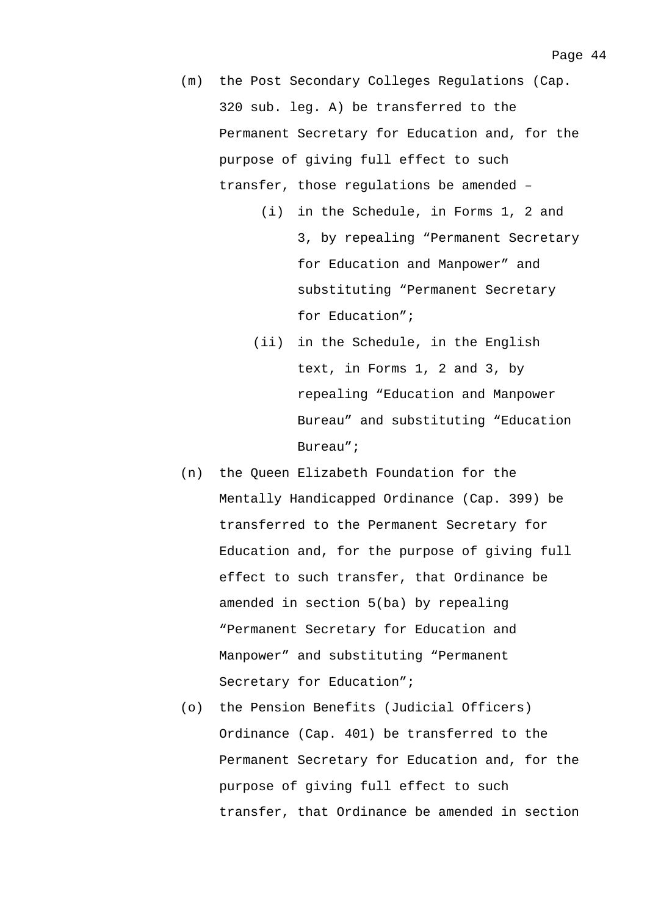- (m) the Post Secondary Colleges Regulations (Cap. 320 sub. leg. A) be transferred to the Permanent Secretary for Education and, for the purpose of giving full effect to such transfer, those regulations be amended –
	- (i) in the Schedule, in Forms 1, 2 and 3, by repealing "Permanent Secretary for Education and Manpower" and substituting "Permanent Secretary for Education";
	- (ii) in the Schedule, in the English text, in Forms 1, 2 and 3, by repealing "Education and Manpower Bureau" and substituting "Education Bureau";
- (n) the Queen Elizabeth Foundation for the Mentally Handicapped Ordinance (Cap. 399) be transferred to the Permanent Secretary for Education and, for the purpose of giving full effect to such transfer, that Ordinance be amended in section 5(ba) by repealing "Permanent Secretary for Education and Manpower" and substituting "Permanent Secretary for Education";
- (o) the Pension Benefits (Judicial Officers) Ordinance (Cap. 401) be transferred to the Permanent Secretary for Education and, for the purpose of giving full effect to such transfer, that Ordinance be amended in section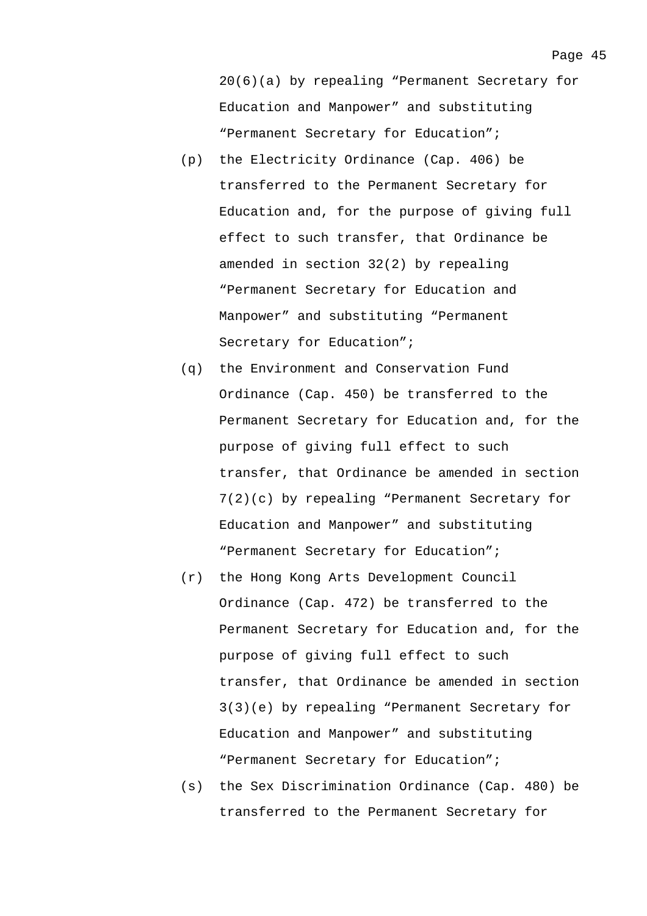20(6)(a) by repealing "Permanent Secretary for Education and Manpower" and substituting "Permanent Secretary for Education";

- (p) the Electricity Ordinance (Cap. 406) be transferred to the Permanent Secretary for Education and, for the purpose of giving full effect to such transfer, that Ordinance be amended in section 32(2) by repealing "Permanent Secretary for Education and Manpower" and substituting "Permanent Secretary for Education";
- (q) the Environment and Conservation Fund Ordinance (Cap. 450) be transferred to the Permanent Secretary for Education and, for the purpose of giving full effect to such transfer, that Ordinance be amended in section 7(2)(c) by repealing "Permanent Secretary for Education and Manpower" and substituting "Permanent Secretary for Education";
- (r) the Hong Kong Arts Development Council Ordinance (Cap. 472) be transferred to the Permanent Secretary for Education and, for the purpose of giving full effect to such transfer, that Ordinance be amended in section 3(3)(e) by repealing "Permanent Secretary for Education and Manpower" and substituting "Permanent Secretary for Education";
- (s) the Sex Discrimination Ordinance (Cap. 480) be transferred to the Permanent Secretary for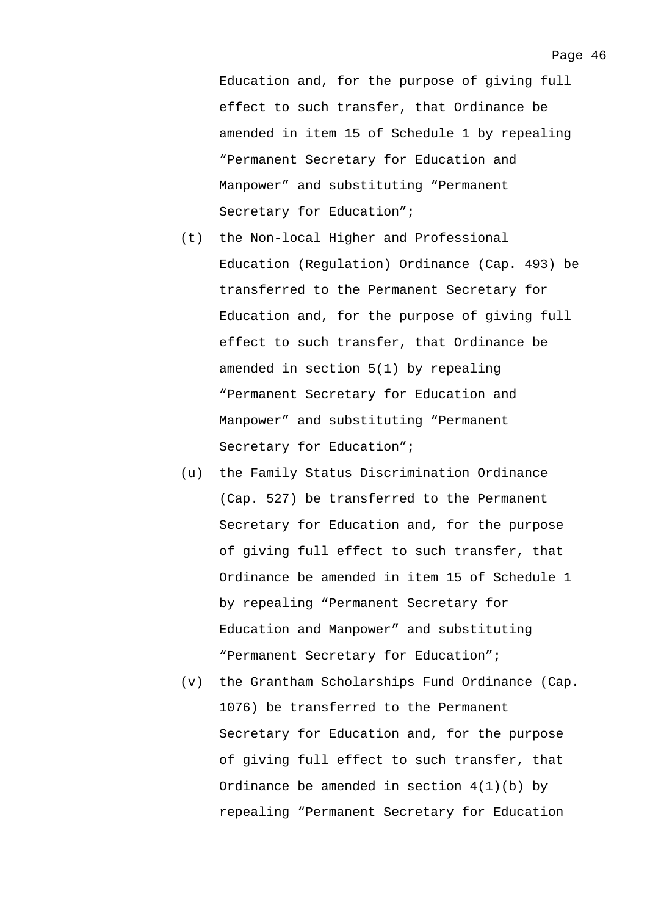Education and, for the purpose of giving full effect to such transfer, that Ordinance be amended in item 15 of Schedule 1 by repealing "Permanent Secretary for Education and Manpower" and substituting "Permanent Secretary for Education";

- (t) the Non-local Higher and Professional Education (Regulation) Ordinance (Cap. 493) be transferred to the Permanent Secretary for Education and, for the purpose of giving full effect to such transfer, that Ordinance be amended in section 5(1) by repealing "Permanent Secretary for Education and Manpower" and substituting "Permanent Secretary for Education";
- (u) the Family Status Discrimination Ordinance (Cap. 527) be transferred to the Permanent Secretary for Education and, for the purpose of giving full effect to such transfer, that Ordinance be amended in item 15 of Schedule 1 by repealing "Permanent Secretary for Education and Manpower" and substituting "Permanent Secretary for Education";
- (v) the Grantham Scholarships Fund Ordinance (Cap. 1076) be transferred to the Permanent Secretary for Education and, for the purpose of giving full effect to such transfer, that Ordinance be amended in section  $4(1)(b)$  by repealing "Permanent Secretary for Education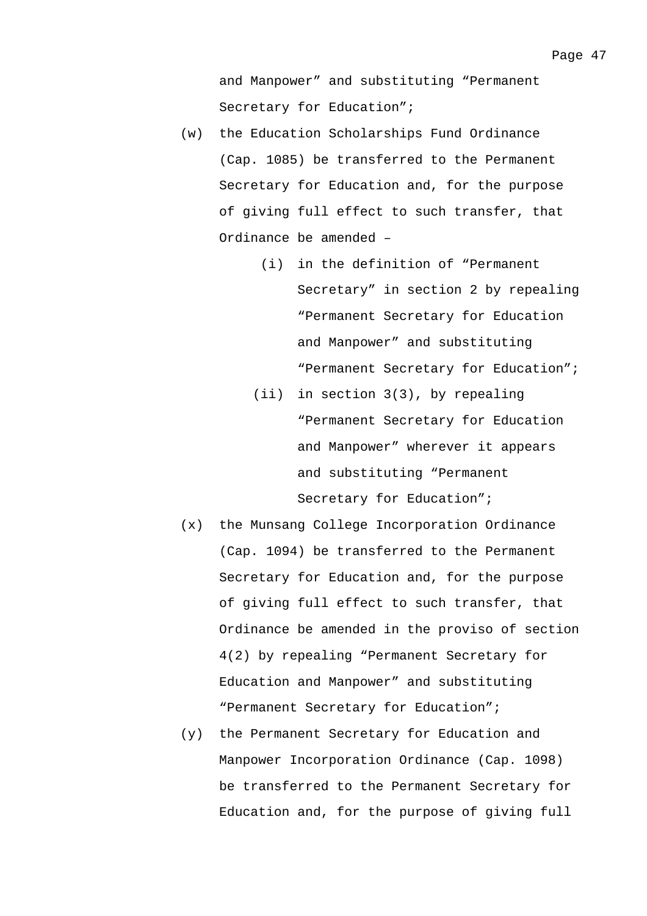and Manpower" and substituting "Permanent Secretary for Education";

- (w) the Education Scholarships Fund Ordinance (Cap. 1085) be transferred to the Permanent Secretary for Education and, for the purpose of giving full effect to such transfer, that Ordinance be amended –
	- (i) in the definition of "Permanent Secretary" in section 2 by repealing "Permanent Secretary for Education and Manpower" and substituting "Permanent Secretary for Education";
	- (ii) in section 3(3), by repealing "Permanent Secretary for Education and Manpower" wherever it appears and substituting "Permanent Secretary for Education";
- (x) the Munsang College Incorporation Ordinance (Cap. 1094) be transferred to the Permanent Secretary for Education and, for the purpose of giving full effect to such transfer, that Ordinance be amended in the proviso of section 4(2) by repealing "Permanent Secretary for Education and Manpower" and substituting "Permanent Secretary for Education";
- (y) the Permanent Secretary for Education and Manpower Incorporation Ordinance (Cap. 1098) be transferred to the Permanent Secretary for Education and, for the purpose of giving full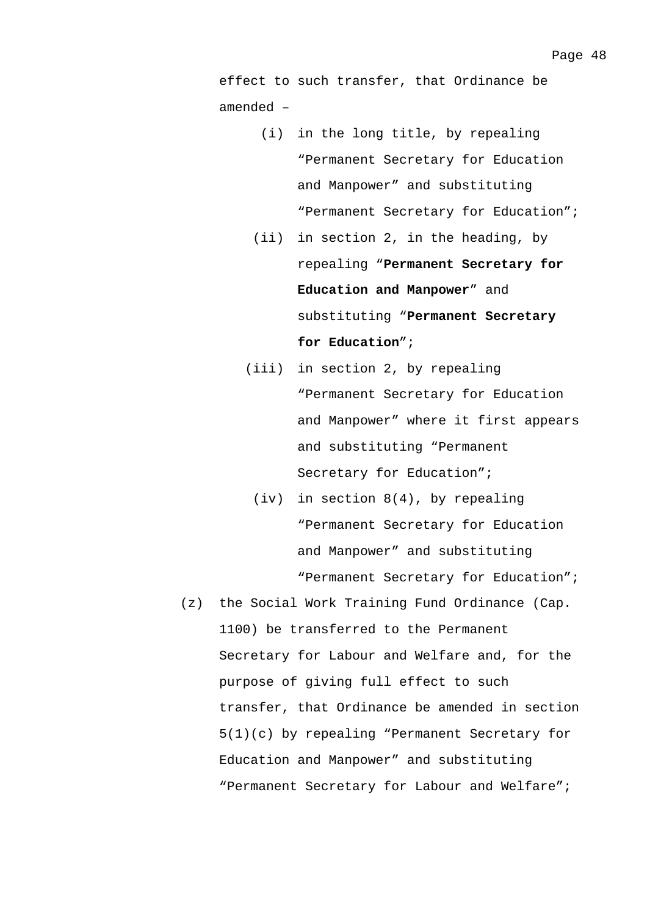effect to such transfer, that Ordinance be amended –

- (i) in the long title, by repealing "Permanent Secretary for Education and Manpower" and substituting "Permanent Secretary for Education";
- (ii) in section 2, in the heading, by repealing "**Permanent Secretary for Education and Manpower**" and substituting "**Permanent Secretary for Education**";
- (iii) in section 2, by repealing "Permanent Secretary for Education and Manpower" where it first appears and substituting "Permanent Secretary for Education";
	- (iv) in section 8(4), by repealing "Permanent Secretary for Education and Manpower" and substituting "Permanent Secretary for Education";
- (z) the Social Work Training Fund Ordinance (Cap. 1100) be transferred to the Permanent Secretary for Labour and Welfare and, for the purpose of giving full effect to such transfer, that Ordinance be amended in section 5(1)(c) by repealing "Permanent Secretary for Education and Manpower" and substituting "Permanent Secretary for Labour and Welfare";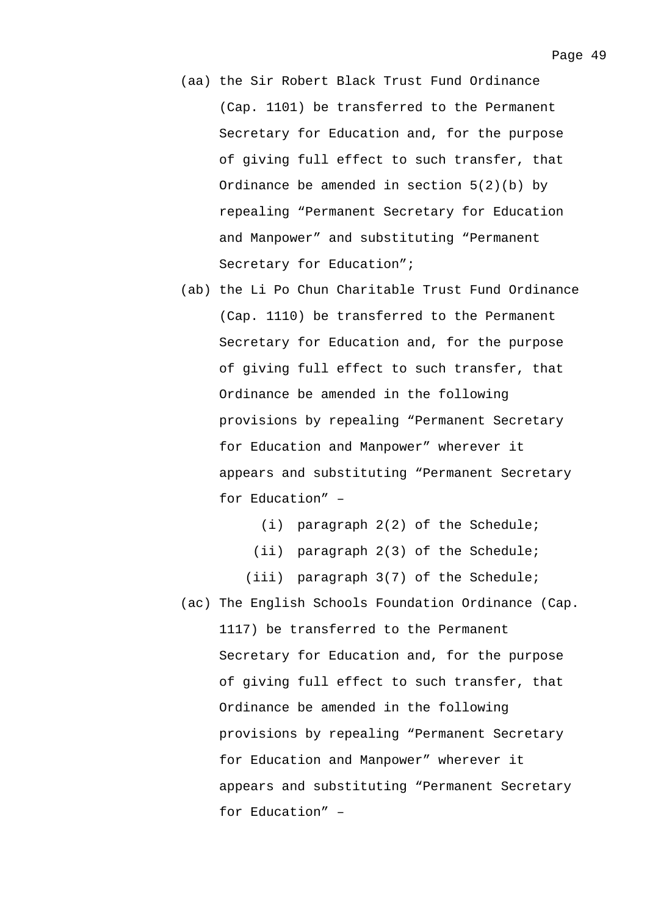- (aa) the Sir Robert Black Trust Fund Ordinance (Cap. 1101) be transferred to the Permanent Secretary for Education and, for the purpose of giving full effect to such transfer, that Ordinance be amended in section 5(2)(b) by repealing "Permanent Secretary for Education and Manpower" and substituting "Permanent Secretary for Education";
- (ab) the Li Po Chun Charitable Trust Fund Ordinance (Cap. 1110) be transferred to the Permanent Secretary for Education and, for the purpose of giving full effect to such transfer, that Ordinance be amended in the following provisions by repealing "Permanent Secretary for Education and Manpower" wherever it appears and substituting "Permanent Secretary for Education" –

(i) paragraph 2(2) of the Schedule;

- (ii) paragraph 2(3) of the Schedule;
- (iii) paragraph 3(7) of the Schedule;
- (ac) The English Schools Foundation Ordinance (Cap. 1117) be transferred to the Permanent Secretary for Education and, for the purpose of giving full effect to such transfer, that Ordinance be amended in the following provisions by repealing "Permanent Secretary for Education and Manpower" wherever it appears and substituting "Permanent Secretary for Education" –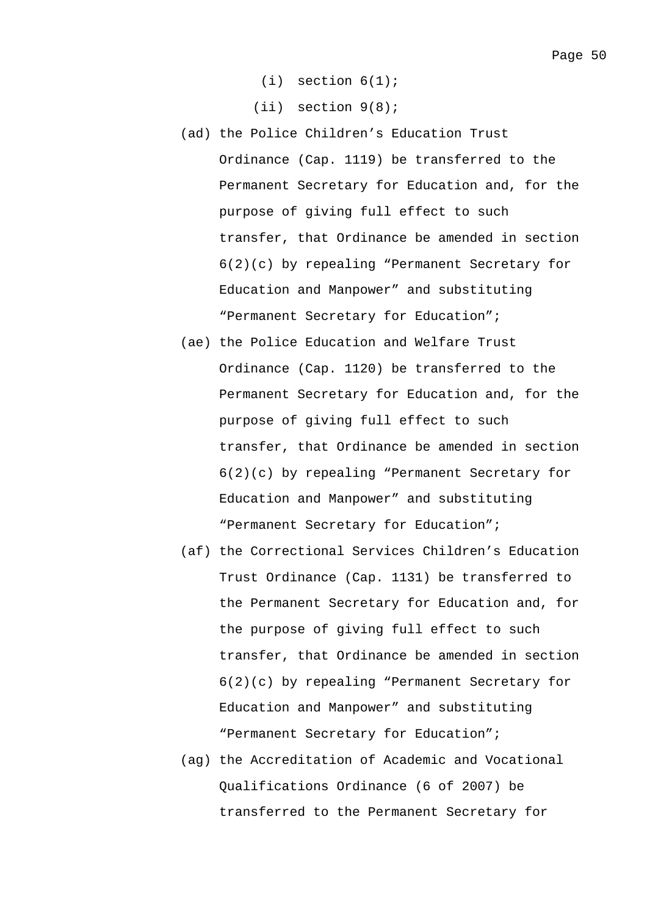$(i)$  section  $6(1)$ ;

(ii) section 9(8);

- (ad) the Police Children's Education Trust Ordinance (Cap. 1119) be transferred to the Permanent Secretary for Education and, for the purpose of giving full effect to such transfer, that Ordinance be amended in section 6(2)(c) by repealing "Permanent Secretary for Education and Manpower" and substituting "Permanent Secretary for Education";
- (ae) the Police Education and Welfare Trust Ordinance (Cap. 1120) be transferred to the Permanent Secretary for Education and, for the purpose of giving full effect to such transfer, that Ordinance be amended in section 6(2)(c) by repealing "Permanent Secretary for Education and Manpower" and substituting "Permanent Secretary for Education";
- (af) the Correctional Services Children's Education Trust Ordinance (Cap. 1131) be transferred to the Permanent Secretary for Education and, for the purpose of giving full effect to such transfer, that Ordinance be amended in section 6(2)(c) by repealing "Permanent Secretary for Education and Manpower" and substituting "Permanent Secretary for Education";
- (ag) the Accreditation of Academic and Vocational Qualifications Ordinance (6 of 2007) be transferred to the Permanent Secretary for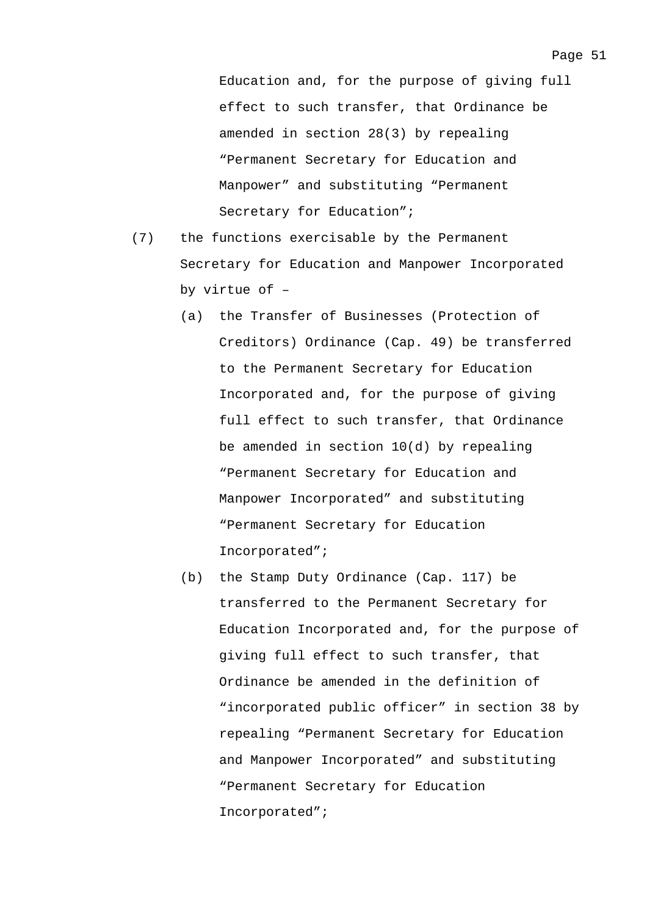Education and, for the purpose of giving full effect to such transfer, that Ordinance be amended in section 28(3) by repealing "Permanent Secretary for Education and Manpower" and substituting "Permanent Secretary for Education";

- (7) the functions exercisable by the Permanent Secretary for Education and Manpower Incorporated by virtue of –
	- (a) the Transfer of Businesses (Protection of Creditors) Ordinance (Cap. 49) be transferred to the Permanent Secretary for Education Incorporated and, for the purpose of giving full effect to such transfer, that Ordinance be amended in section 10(d) by repealing "Permanent Secretary for Education and Manpower Incorporated" and substituting "Permanent Secretary for Education Incorporated";
	- (b) the Stamp Duty Ordinance (Cap. 117) be transferred to the Permanent Secretary for Education Incorporated and, for the purpose of giving full effect to such transfer, that Ordinance be amended in the definition of "incorporated public officer" in section 38 by repealing "Permanent Secretary for Education and Manpower Incorporated" and substituting "Permanent Secretary for Education Incorporated";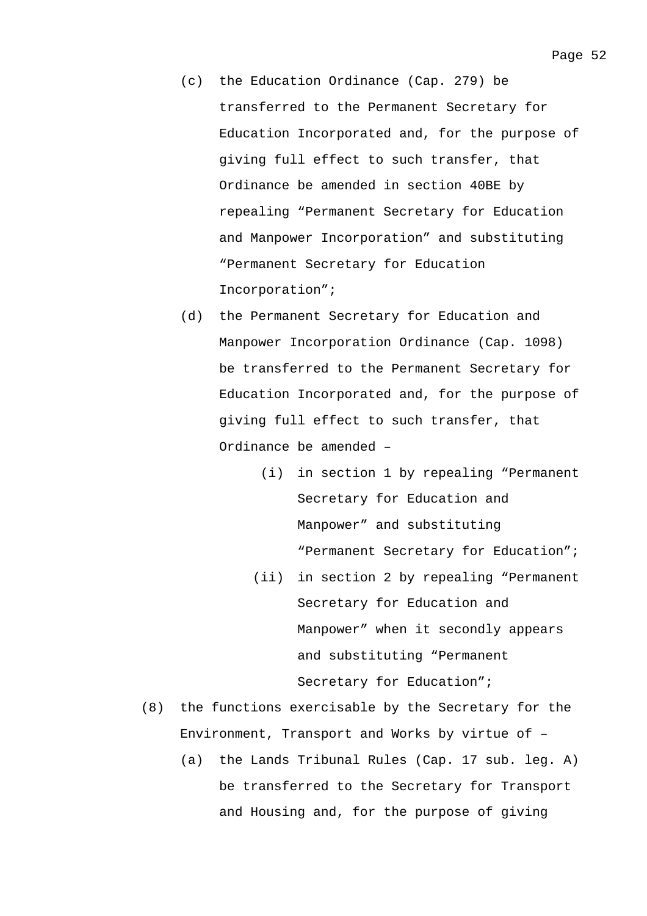- (c) the Education Ordinance (Cap. 279) be transferred to the Permanent Secretary for Education Incorporated and, for the purpose of giving full effect to such transfer, that Ordinance be amended in section 40BE by repealing "Permanent Secretary for Education and Manpower Incorporation" and substituting "Permanent Secretary for Education Incorporation";
- (d) the Permanent Secretary for Education and Manpower Incorporation Ordinance (Cap. 1098) be transferred to the Permanent Secretary for Education Incorporated and, for the purpose of giving full effect to such transfer, that Ordinance be amended –
	- (i) in section 1 by repealing "Permanent Secretary for Education and Manpower" and substituting "Permanent Secretary for Education";
	- (ii) in section 2 by repealing "Permanent Secretary for Education and Manpower" when it secondly appears and substituting "Permanent Secretary for Education";
- (8) the functions exercisable by the Secretary for the Environment, Transport and Works by virtue of –
	- (a) the Lands Tribunal Rules (Cap. 17 sub. leg. A) be transferred to the Secretary for Transport and Housing and, for the purpose of giving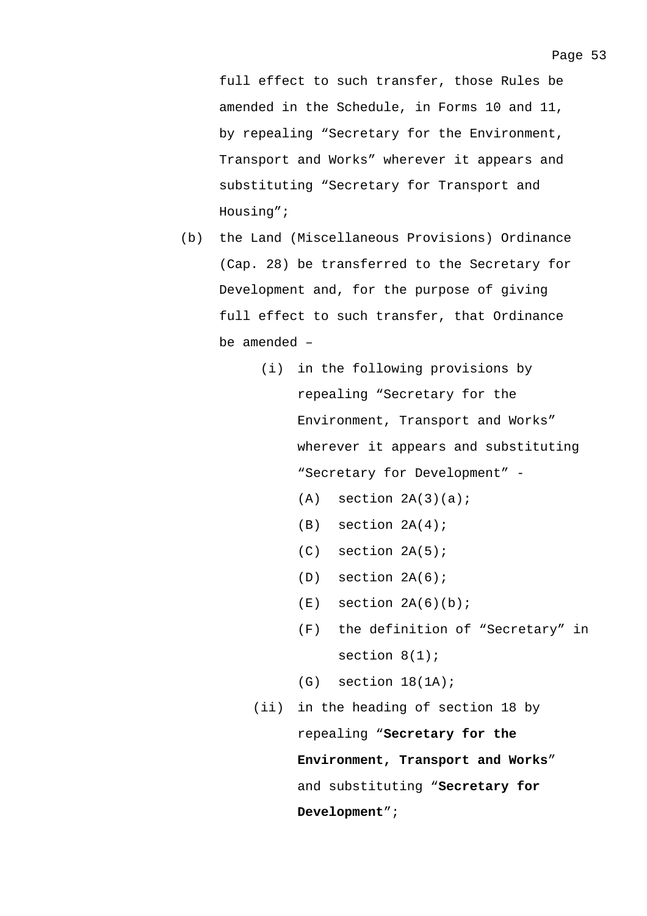full effect to such transfer, those Rules be amended in the Schedule, in Forms 10 and 11, by repealing "Secretary for the Environment, Transport and Works" wherever it appears and substituting "Secretary for Transport and Housing";

- (b) the Land (Miscellaneous Provisions) Ordinance (Cap. 28) be transferred to the Secretary for Development and, for the purpose of giving full effect to such transfer, that Ordinance be amended –
	- (i) in the following provisions by repealing "Secretary for the Environment, Transport and Works" wherever it appears and substituting "Secretary for Development" -
		- $(A)$  section  $2A(3)(a)$ ;
		- (B) section 2A(4);
		- (C) section 2A(5);
		- (D) section 2A(6);
		- $(E)$  section  $2A(6)(b)$ ;
		- (F) the definition of "Secretary" in section 8(1);
		- $(G)$  section  $18(1A)$ ;
	- (ii) in the heading of section 18 by repealing "**Secretary for the Environment, Transport and Works**" and substituting "**Secretary for Development**";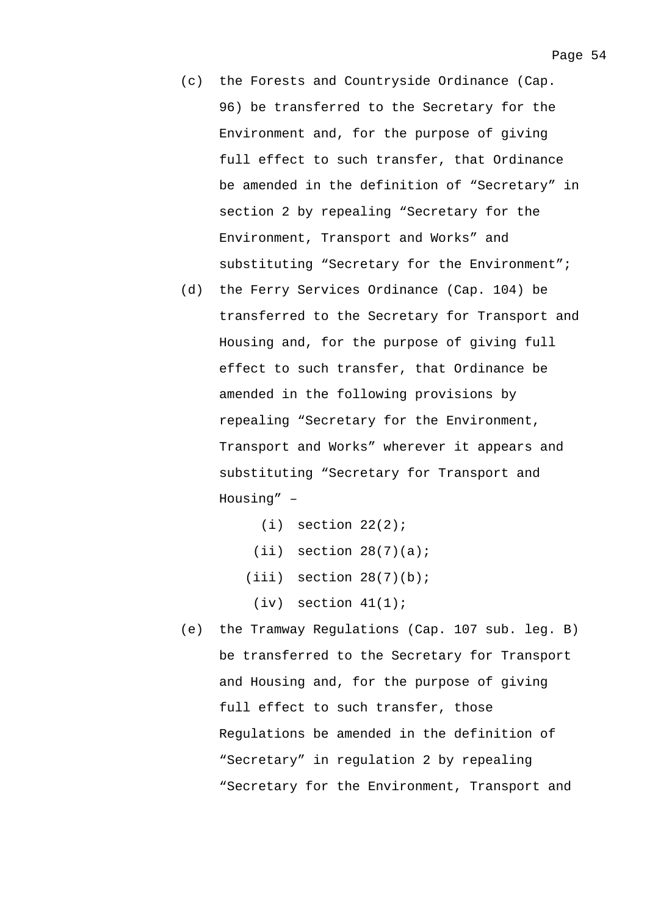- (c) the Forests and Countryside Ordinance (Cap. 96) be transferred to the Secretary for the Environment and, for the purpose of giving full effect to such transfer, that Ordinance be amended in the definition of "Secretary" in section 2 by repealing "Secretary for the Environment, Transport and Works" and substituting "Secretary for the Environment";
- (d) the Ferry Services Ordinance (Cap. 104) be transferred to the Secretary for Transport and Housing and, for the purpose of giving full effect to such transfer, that Ordinance be amended in the following provisions by repealing "Secretary for the Environment, Transport and Works" wherever it appears and substituting "Secretary for Transport and Housing" –
	- $(i)$  section  $22(2)$ ;
	- $(iii)$  section  $28(7)(a)$ ;
	- $(iii)$  section  $28(7)(b)$ ;
		- $(iv)$  section  $41(1)$ ;
- (e) the Tramway Regulations (Cap. 107 sub. leg. B) be transferred to the Secretary for Transport and Housing and, for the purpose of giving full effect to such transfer, those Regulations be amended in the definition of "Secretary" in regulation 2 by repealing "Secretary for the Environment, Transport and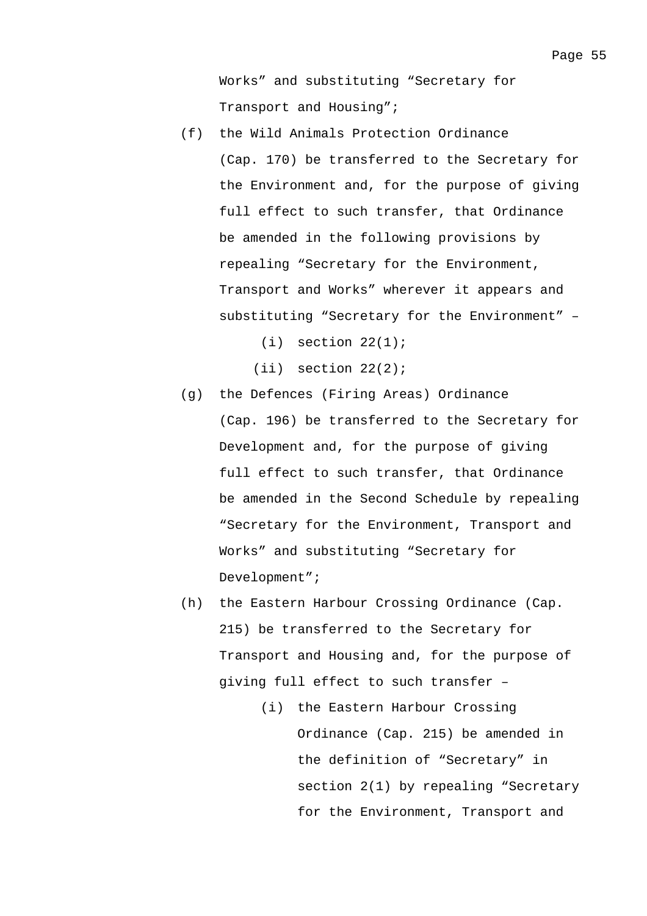Works" and substituting "Secretary for Transport and Housing";

- (f) the Wild Animals Protection Ordinance (Cap. 170) be transferred to the Secretary for the Environment and, for the purpose of giving full effect to such transfer, that Ordinance be amended in the following provisions by repealing "Secretary for the Environment, Transport and Works" wherever it appears and substituting "Secretary for the Environment" –
	- $(i)$  section  $22(1)$ ;
	- $(iii)$  section  $22(2)$ ;
- (g) the Defences (Firing Areas) Ordinance (Cap. 196) be transferred to the Secretary for Development and, for the purpose of giving full effect to such transfer, that Ordinance be amended in the Second Schedule by repealing "Secretary for the Environment, Transport and Works" and substituting "Secretary for Development";
- (h) the Eastern Harbour Crossing Ordinance (Cap. 215) be transferred to the Secretary for Transport and Housing and, for the purpose of giving full effect to such transfer –
	- (i) the Eastern Harbour Crossing Ordinance (Cap. 215) be amended in the definition of "Secretary" in section 2(1) by repealing "Secretary for the Environment, Transport and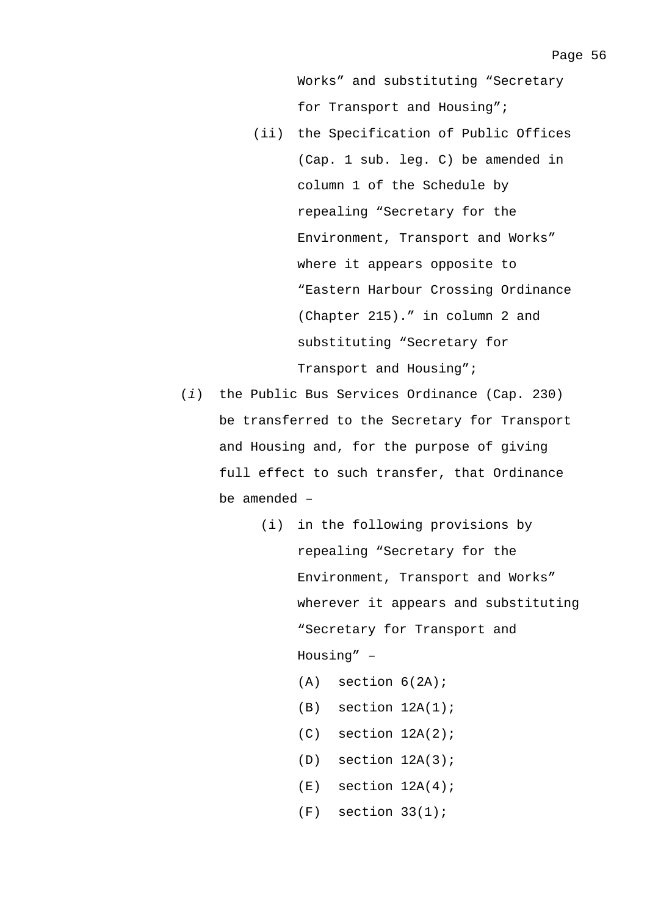Works" and substituting "Secretary for Transport and Housing";

- (ii) the Specification of Public Offices (Cap. 1 sub. leg. C) be amended in column 1 of the Schedule by repealing "Secretary for the Environment, Transport and Works" where it appears opposite to "Eastern Harbour Crossing Ordinance (Chapter 215)." in column 2 and substituting "Secretary for Transport and Housing";
- (*i*) the Public Bus Services Ordinance (Cap. 230) be transferred to the Secretary for Transport and Housing and, for the purpose of giving full effect to such transfer, that Ordinance be amended –
	- (i) in the following provisions by repealing "Secretary for the Environment, Transport and Works" wherever it appears and substituting "Secretary for Transport and Housing" –
		- $(A)$  section  $6(2A)$ ;
		- $(B)$  section  $12A(1)$ ;
		- $(C)$  section  $12A(2)$ ;
		- $(D)$  section  $12A(3)$ ;
		- $(E)$  section  $12A(4)$ ;
		- $(F)$  section  $33(1)$ ;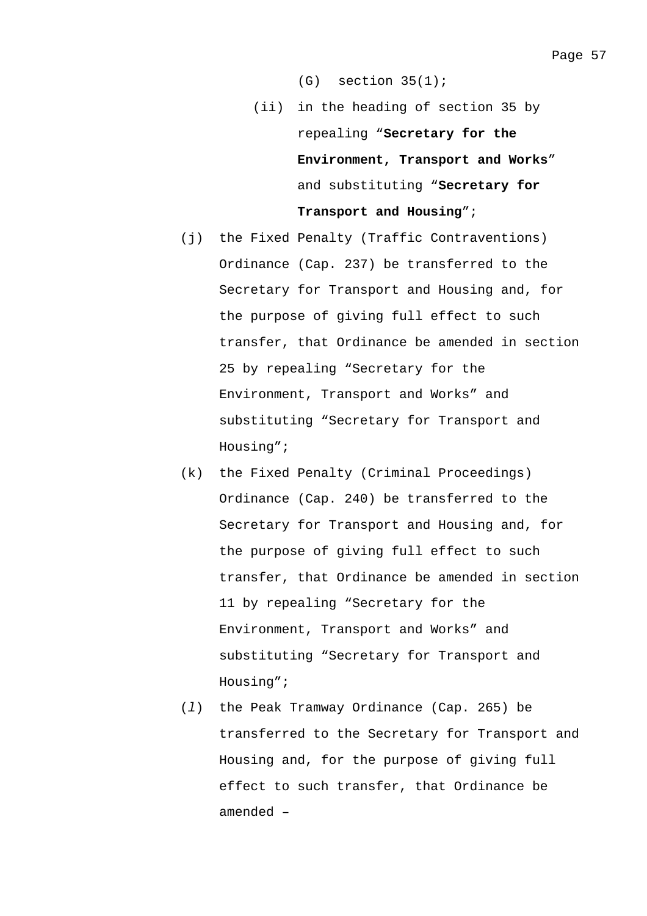$(G)$  section  $35(1)$ ;

- (ii) in the heading of section 35 by repealing "**Secretary for the Environment, Transport and Works**" and substituting "**Secretary for Transport and Housing**";
- (j) the Fixed Penalty (Traffic Contraventions) Ordinance (Cap. 237) be transferred to the Secretary for Transport and Housing and, for the purpose of giving full effect to such transfer, that Ordinance be amended in section 25 by repealing "Secretary for the Environment, Transport and Works" and substituting "Secretary for Transport and Housing";
- (k) the Fixed Penalty (Criminal Proceedings) Ordinance (Cap. 240) be transferred to the Secretary for Transport and Housing and, for the purpose of giving full effect to such transfer, that Ordinance be amended in section 11 by repealing "Secretary for the Environment, Transport and Works" and substituting "Secretary for Transport and Housing";
- (*l*) the Peak Tramway Ordinance (Cap. 265) be transferred to the Secretary for Transport and Housing and, for the purpose of giving full effect to such transfer, that Ordinance be amended –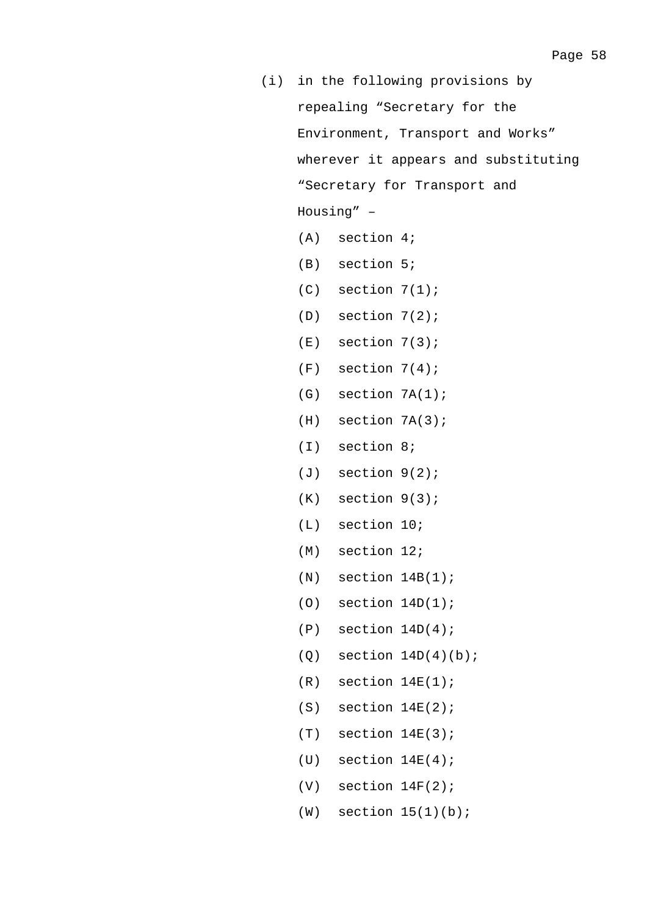|     | (i) in the following provisions by   |  |
|-----|--------------------------------------|--|
|     | repealing "Secretary for the         |  |
|     | Environment, Transport and Works"    |  |
|     | wherever it appears and substituting |  |
|     | "Secretary for Transport and         |  |
|     | Housing" -                           |  |
|     | $(A)$ section 4;                     |  |
|     | $(B)$ section $5:$                   |  |
|     | $(C)$ section $7(1)$ ;               |  |
|     | $(D)$ section $7(2)$ ;               |  |
|     | $(E)$ section $7(3)$ ;               |  |
|     | $(F)$ section $7(4)$ ;               |  |
|     | $(G)$ section $7A(1)$ ;              |  |
|     | $(H)$ section $7A(3)$ ;              |  |
|     | $(I)$ section 8;                     |  |
|     | $(J)$ section $9(2)$ ;               |  |
|     | $(K)$ section $9(3)$ ;               |  |
|     | $(L)$ section 10;                    |  |
|     | $(M)$ section 12;                    |  |
| (N) | section $14B(1)$ ;                   |  |
| (0) | section $14D(1)$ ;                   |  |
| (P) | section $14D(4)$ ;                   |  |
| (Q) | section $14D(4)(b)$ ;                |  |
| (R) | section $14E(1)$ ;                   |  |
| (S) | section $14E(2)$ ;                   |  |
| (T) | section $14E(3)$ ;                   |  |
| (U) | section $14E(4)$ ;                   |  |
| (V) | section $14F(2)$ ;                   |  |
| (W) | section $15(1)(b)$ ;                 |  |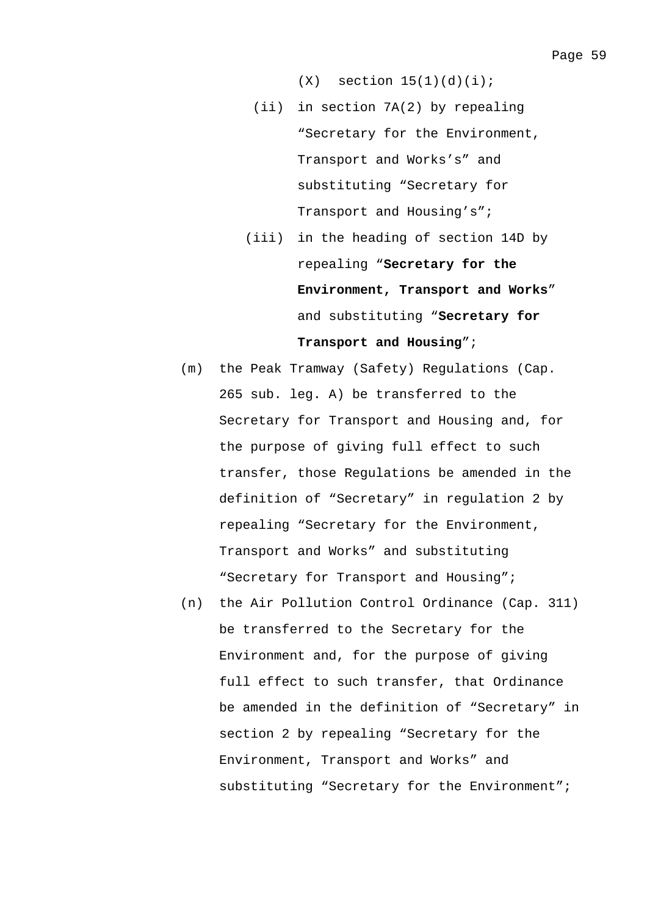$(X)$  section  $15(1)(d)(i)$ ;

- (ii) in section 7A(2) by repealing "Secretary for the Environment, Transport and Works's" and substituting "Secretary for Transport and Housing's";
- (iii) in the heading of section 14D by repealing "**Secretary for the Environment, Transport and Works**" and substituting "**Secretary for Transport and Housing**";
- (m) the Peak Tramway (Safety) Regulations (Cap. 265 sub. leg. A) be transferred to the Secretary for Transport and Housing and, for the purpose of giving full effect to such transfer, those Regulations be amended in the definition of "Secretary" in regulation 2 by repealing "Secretary for the Environment, Transport and Works" and substituting "Secretary for Transport and Housing";
- (n) the Air Pollution Control Ordinance (Cap. 311) be transferred to the Secretary for the Environment and, for the purpose of giving full effect to such transfer, that Ordinance be amended in the definition of "Secretary" in section 2 by repealing "Secretary for the Environment, Transport and Works" and substituting "Secretary for the Environment";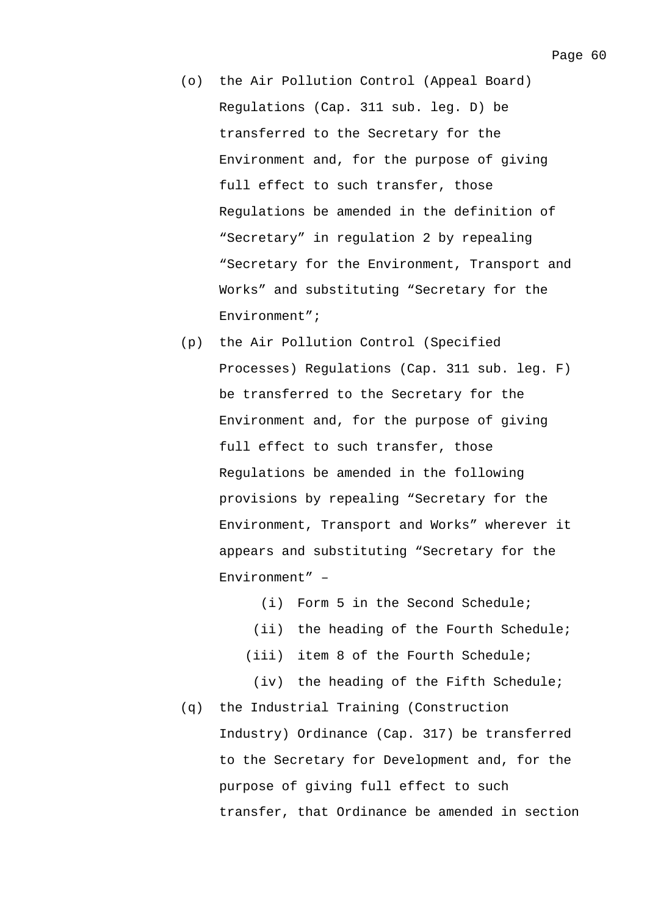- (o) the Air Pollution Control (Appeal Board) Regulations (Cap. 311 sub. leg. D) be transferred to the Secretary for the Environment and, for the purpose of giving full effect to such transfer, those Regulations be amended in the definition of "Secretary" in regulation 2 by repealing "Secretary for the Environment, Transport and Works" and substituting "Secretary for the Environment";
- (p) the Air Pollution Control (Specified Processes) Regulations (Cap. 311 sub. leg. F) be transferred to the Secretary for the Environment and, for the purpose of giving full effect to such transfer, those Regulations be amended in the following provisions by repealing "Secretary for the Environment, Transport and Works" wherever it appears and substituting "Secretary for the Environment" –

(i) Form 5 in the Second Schedule;

- (ii) the heading of the Fourth Schedule;
- (iii) item 8 of the Fourth Schedule;
- (iv) the heading of the Fifth Schedule;
- (q) the Industrial Training (Construction Industry) Ordinance (Cap. 317) be transferred to the Secretary for Development and, for the purpose of giving full effect to such transfer, that Ordinance be amended in section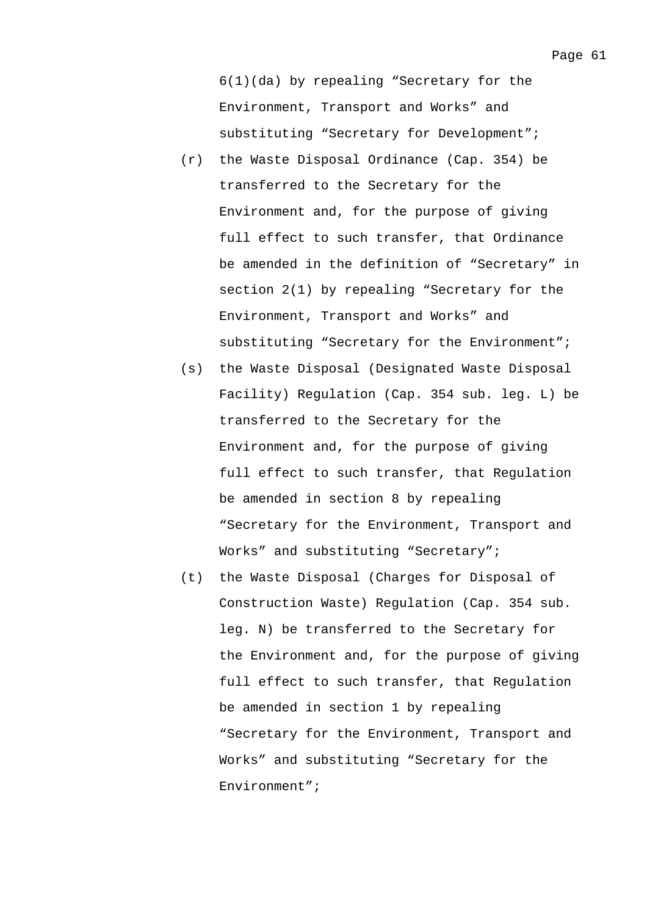6(1)(da) by repealing "Secretary for the Environment, Transport and Works" and substituting "Secretary for Development";

- (r) the Waste Disposal Ordinance (Cap. 354) be transferred to the Secretary for the Environment and, for the purpose of giving full effect to such transfer, that Ordinance be amended in the definition of "Secretary" in section 2(1) by repealing "Secretary for the Environment, Transport and Works" and substituting "Secretary for the Environment";
- (s) the Waste Disposal (Designated Waste Disposal Facility) Regulation (Cap. 354 sub. leg. L) be transferred to the Secretary for the Environment and, for the purpose of giving full effect to such transfer, that Regulation be amended in section 8 by repealing "Secretary for the Environment, Transport and Works" and substituting "Secretary";
- (t) the Waste Disposal (Charges for Disposal of Construction Waste) Regulation (Cap. 354 sub. leg. N) be transferred to the Secretary for the Environment and, for the purpose of giving full effect to such transfer, that Regulation be amended in section 1 by repealing "Secretary for the Environment, Transport and Works" and substituting "Secretary for the Environment";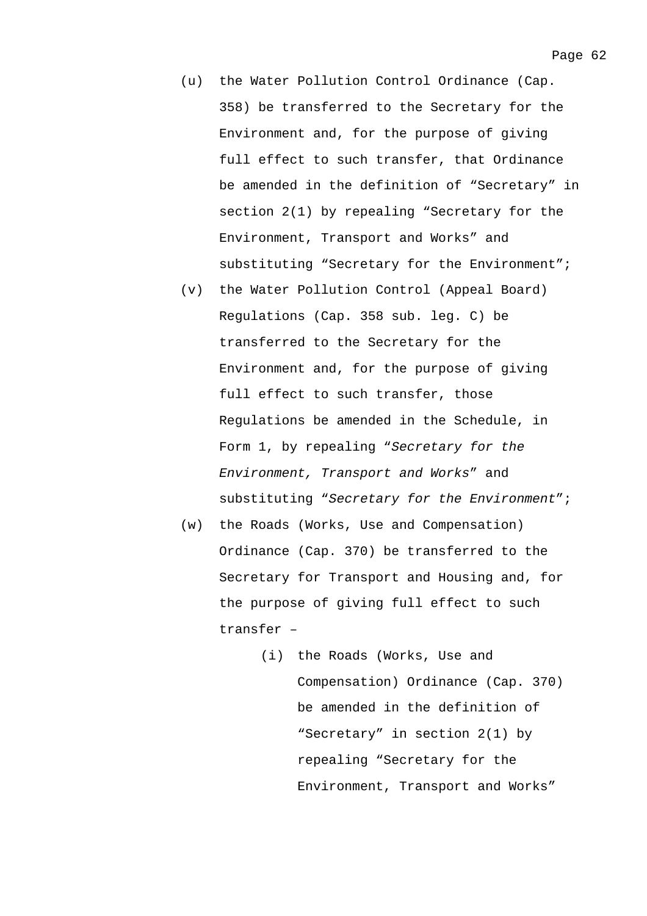- (u) the Water Pollution Control Ordinance (Cap. 358) be transferred to the Secretary for the Environment and, for the purpose of giving full effect to such transfer, that Ordinance be amended in the definition of "Secretary" in section 2(1) by repealing "Secretary for the Environment, Transport and Works" and substituting "Secretary for the Environment";
- (v) the Water Pollution Control (Appeal Board) Regulations (Cap. 358 sub. leg. C) be transferred to the Secretary for the Environment and, for the purpose of giving full effect to such transfer, those Regulations be amended in the Schedule, in Form 1, by repealing "*Secretary for the Environment, Transport and Works*" and substituting "*Secretary for the Environment*";
- (w) the Roads (Works, Use and Compensation) Ordinance (Cap. 370) be transferred to the Secretary for Transport and Housing and, for the purpose of giving full effect to such transfer –
	- (i) the Roads (Works, Use and Compensation) Ordinance (Cap. 370) be amended in the definition of "Secretary" in section 2(1) by repealing "Secretary for the Environment, Transport and Works"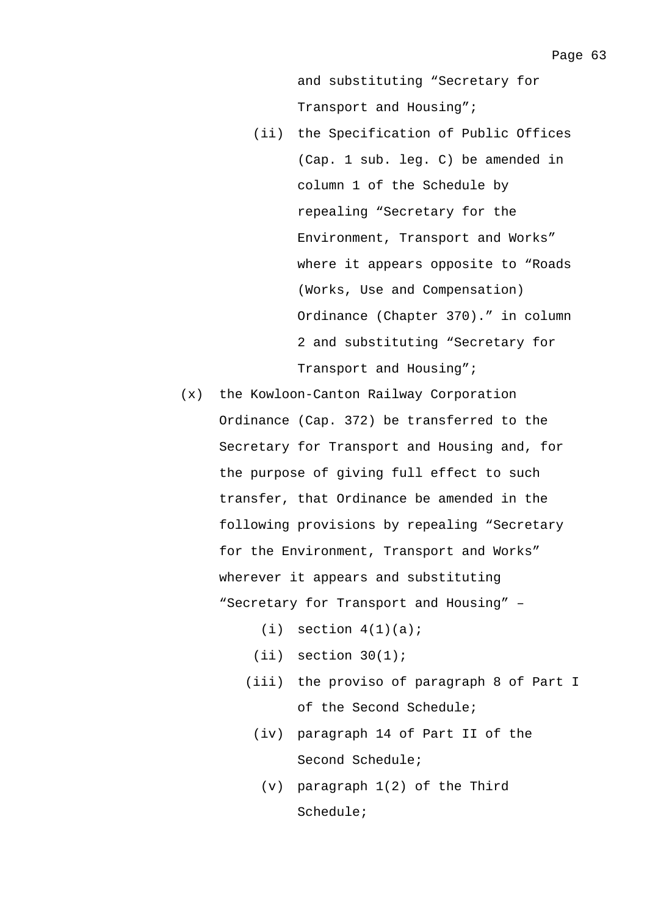and substituting "Secretary for Transport and Housing";

- (ii) the Specification of Public Offices (Cap. 1 sub. leg. C) be amended in column 1 of the Schedule by repealing "Secretary for the Environment, Transport and Works" where it appears opposite to "Roads (Works, Use and Compensation) Ordinance (Chapter 370)." in column 2 and substituting "Secretary for Transport and Housing";
- (x) the Kowloon-Canton Railway Corporation Ordinance (Cap. 372) be transferred to the Secretary for Transport and Housing and, for the purpose of giving full effect to such transfer, that Ordinance be amended in the following provisions by repealing "Secretary for the Environment, Transport and Works" wherever it appears and substituting "Secretary for Transport and Housing" –
	- $(i)$  section  $4(1)(a)$ ;
	- $(iii)$  section  $30(1)$ ;
	- (iii) the proviso of paragraph 8 of Part I of the Second Schedule;
	- (iv) paragraph 14 of Part II of the Second Schedule;
		- (v) paragraph 1(2) of the Third Schedule;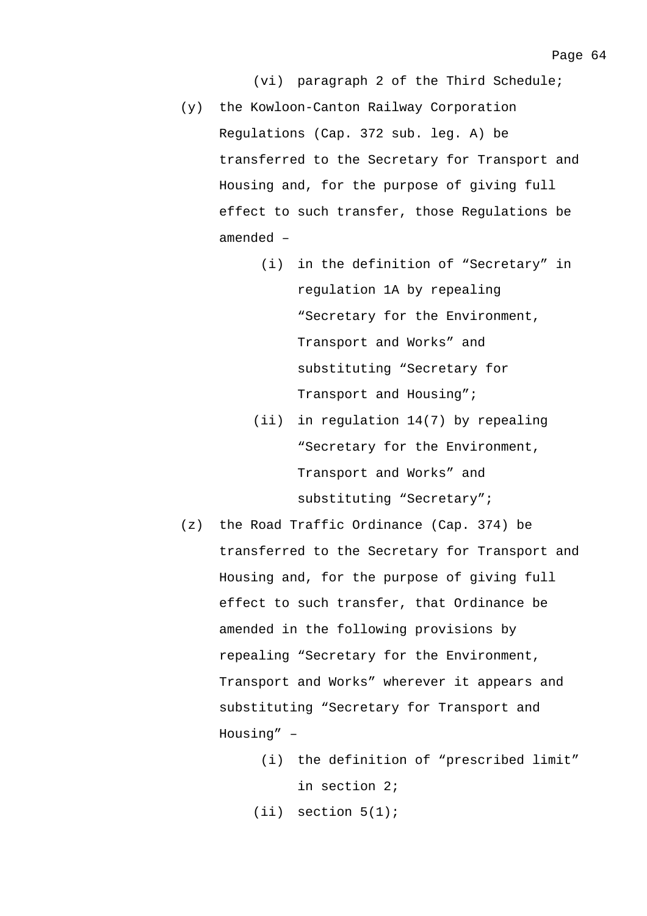(vi) paragraph 2 of the Third Schedule;

- (y) the Kowloon-Canton Railway Corporation Regulations (Cap. 372 sub. leg. A) be transferred to the Secretary for Transport and Housing and, for the purpose of giving full effect to such transfer, those Regulations be amended –
	- (i) in the definition of "Secretary" in regulation 1A by repealing "Secretary for the Environment, Transport and Works" and substituting "Secretary for Transport and Housing";
	- (ii) in regulation 14(7) by repealing "Secretary for the Environment, Transport and Works" and substituting "Secretary";
- (z) the Road Traffic Ordinance (Cap. 374) be transferred to the Secretary for Transport and Housing and, for the purpose of giving full effect to such transfer, that Ordinance be amended in the following provisions by repealing "Secretary for the Environment, Transport and Works" wherever it appears and substituting "Secretary for Transport and Housing" –
	- (i) the definition of "prescribed limit" in section 2;
	- (ii) section 5(1);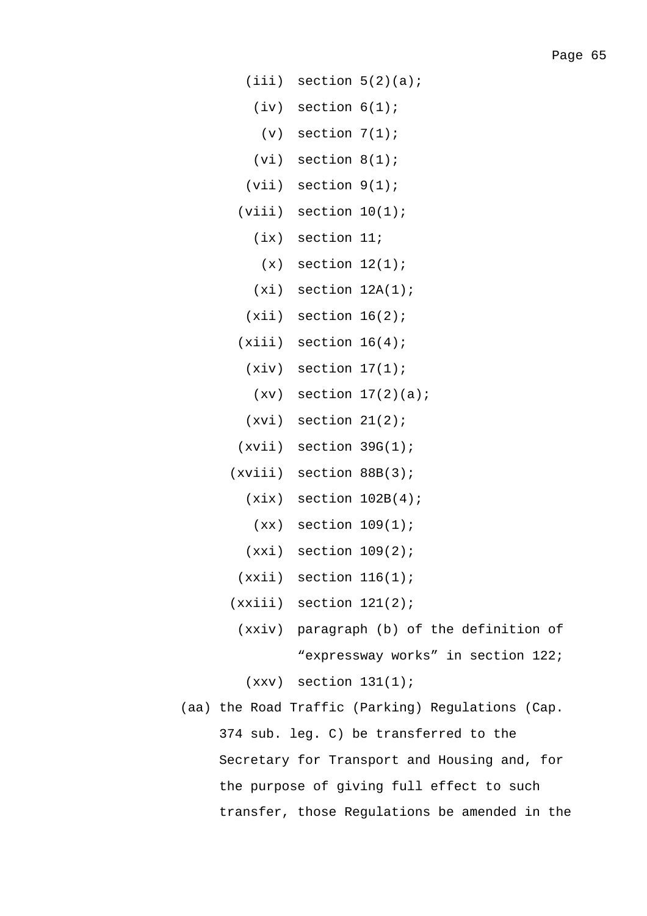- $(iii)$  section  $5(2)(a)$ ;
	- (iv) section 6(1);
		- $(v)$  section  $7(1)$ ;
	- $(vi)$  section  $8(1)$ ;
- (vii) section 9(1);
- $(viii)$  section  $10(1)$ ;
	- (ix) section 11;
	- $(x)$  section  $12(1)$ ;
	- $(xi)$  section  $12A(1)$ ;
	- $(xii)$  section  $16(2)$ ;
- $(xiii)$  section  $16(4)$ ;
	- $(xiv)$  section  $17(1)$ ;
		- $(xv)$  section  $17(2)(a)$ ;
	- $(xvi)$  section  $21(2)$ ;
- $(xvii)$  section 39G(1);
- (xviii) section 88B(3);
	- $(xix)$  section  $102B(4)$ ;
	- $(xx)$  section  $109(1)$ ;
	- $(xxi)$  section  $109(2)$ ;
	- $(xxii)$  section  $116(1)$ ;
- $(xxiii)$  section  $121(2)$ ;
	- (xxiv) paragraph (b) of the definition of "expressway works" in section 122;
		- $(xxv)$  section  $131(1)$ ;
- (aa) the Road Traffic (Parking) Regulations (Cap. 374 sub. leg. C) be transferred to the Secretary for Transport and Housing and, for the purpose of giving full effect to such transfer, those Regulations be amended in the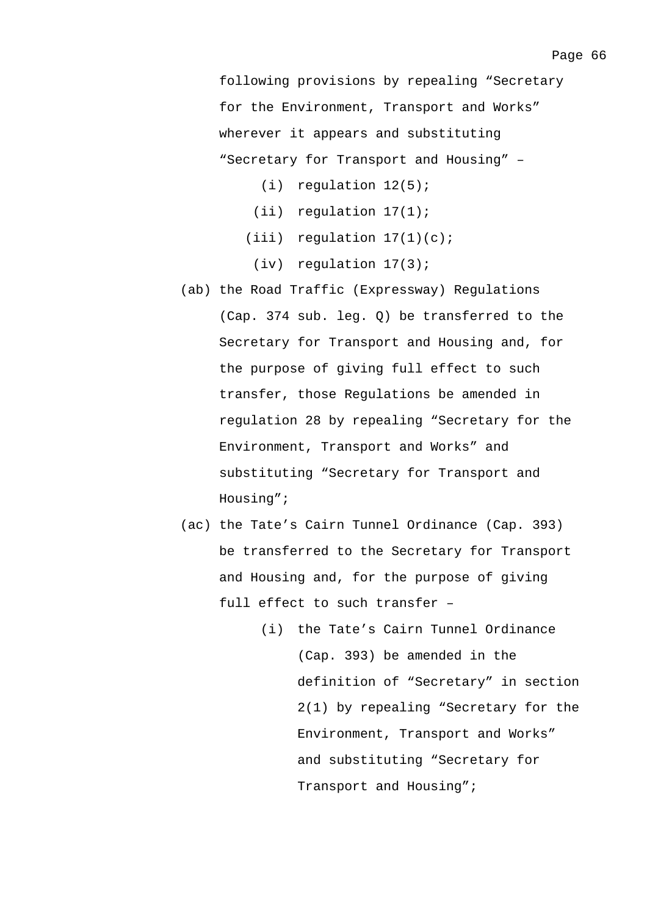following provisions by repealing "Secretary for the Environment, Transport and Works" wherever it appears and substituting "Secretary for Transport and Housing" –

- (i) regulation 12(5);
- (ii) regulation 17(1);
- $(iii)$  regulation  $17(1)(c)$ ;
- (iv) regulation 17(3);
- (ab) the Road Traffic (Expressway) Regulations (Cap. 374 sub. leg. Q) be transferred to the Secretary for Transport and Housing and, for the purpose of giving full effect to such transfer, those Regulations be amended in regulation 28 by repealing "Secretary for the Environment, Transport and Works" and substituting "Secretary for Transport and Housing";
- (ac) the Tate's Cairn Tunnel Ordinance (Cap. 393) be transferred to the Secretary for Transport and Housing and, for the purpose of giving full effect to such transfer –
	- (i) the Tate's Cairn Tunnel Ordinance (Cap. 393) be amended in the definition of "Secretary" in section 2(1) by repealing "Secretary for the Environment, Transport and Works" and substituting "Secretary for Transport and Housing";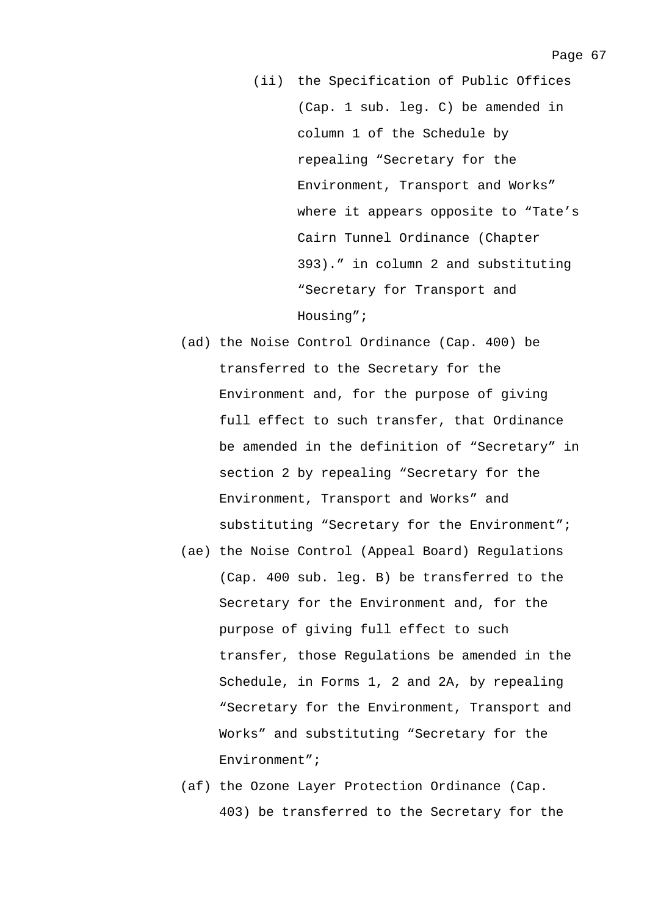- (ii) the Specification of Public Offices (Cap. 1 sub. leg. C) be amended in column 1 of the Schedule by repealing "Secretary for the Environment, Transport and Works" where it appears opposite to "Tate's Cairn Tunnel Ordinance (Chapter 393)." in column 2 and substituting "Secretary for Transport and Housing";
- (ad) the Noise Control Ordinance (Cap. 400) be transferred to the Secretary for the Environment and, for the purpose of giving full effect to such transfer, that Ordinance be amended in the definition of "Secretary" in section 2 by repealing "Secretary for the Environment, Transport and Works" and substituting "Secretary for the Environment";
- (ae) the Noise Control (Appeal Board) Regulations (Cap. 400 sub. leg. B) be transferred to the Secretary for the Environment and, for the purpose of giving full effect to such transfer, those Regulations be amended in the Schedule, in Forms 1, 2 and 2A, by repealing "Secretary for the Environment, Transport and Works" and substituting "Secretary for the Environment";
- (af) the Ozone Layer Protection Ordinance (Cap. 403) be transferred to the Secretary for the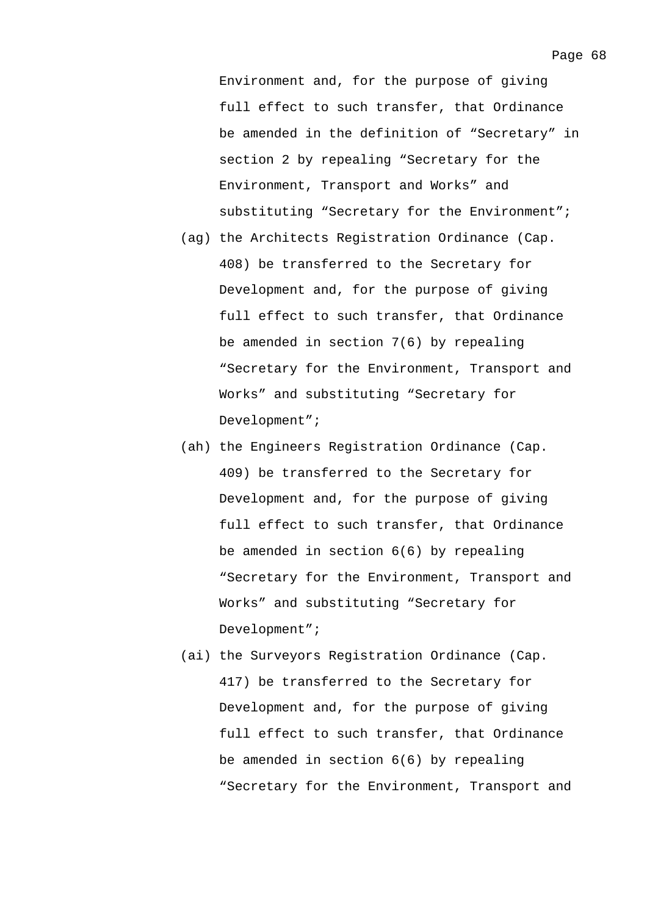Environment and, for the purpose of giving full effect to such transfer, that Ordinance be amended in the definition of "Secretary" in section 2 by repealing "Secretary for the Environment, Transport and Works" and substituting "Secretary for the Environment";

- (ag) the Architects Registration Ordinance (Cap. 408) be transferred to the Secretary for Development and, for the purpose of giving full effect to such transfer, that Ordinance be amended in section 7(6) by repealing "Secretary for the Environment, Transport and Works" and substituting "Secretary for Development";
- (ah) the Engineers Registration Ordinance (Cap. 409) be transferred to the Secretary for Development and, for the purpose of giving full effect to such transfer, that Ordinance be amended in section 6(6) by repealing "Secretary for the Environment, Transport and Works" and substituting "Secretary for Development";
- (ai) the Surveyors Registration Ordinance (Cap. 417) be transferred to the Secretary for Development and, for the purpose of giving full effect to such transfer, that Ordinance be amended in section 6(6) by repealing "Secretary for the Environment, Transport and

Page 68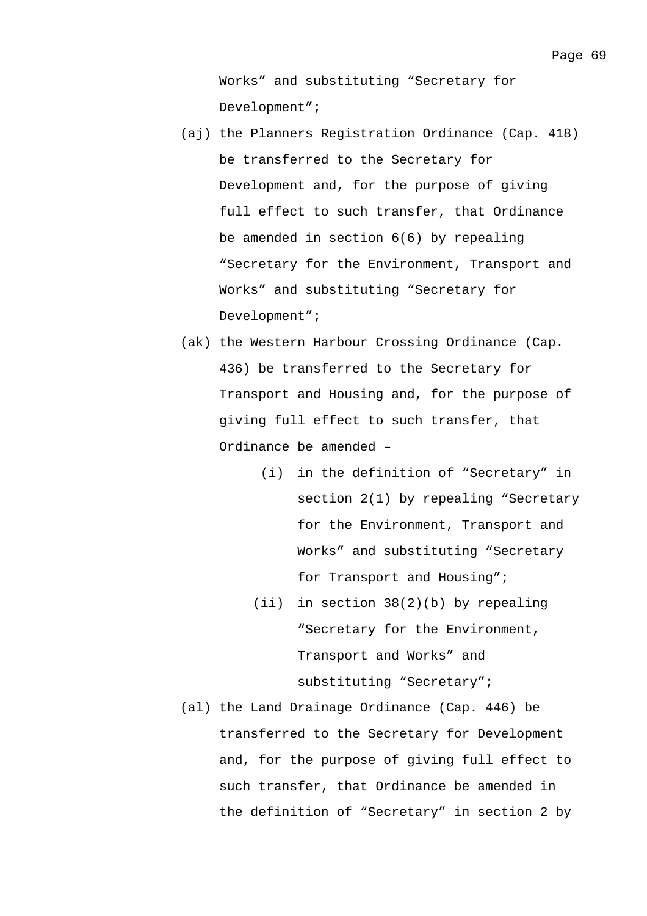Works" and substituting "Secretary for Development";

- (aj) the Planners Registration Ordinance (Cap. 418) be transferred to the Secretary for Development and, for the purpose of giving full effect to such transfer, that Ordinance be amended in section 6(6) by repealing "Secretary for the Environment, Transport and Works" and substituting "Secretary for Development";
- (ak) the Western Harbour Crossing Ordinance (Cap. 436) be transferred to the Secretary for Transport and Housing and, for the purpose of giving full effect to such transfer, that Ordinance be amended –
	- (i) in the definition of "Secretary" in section 2(1) by repealing "Secretary for the Environment, Transport and Works" and substituting "Secretary for Transport and Housing";
	- (ii) in section 38(2)(b) by repealing "Secretary for the Environment, Transport and Works" and substituting "Secretary";
- (al) the Land Drainage Ordinance (Cap. 446) be transferred to the Secretary for Development and, for the purpose of giving full effect to such transfer, that Ordinance be amended in the definition of "Secretary" in section 2 by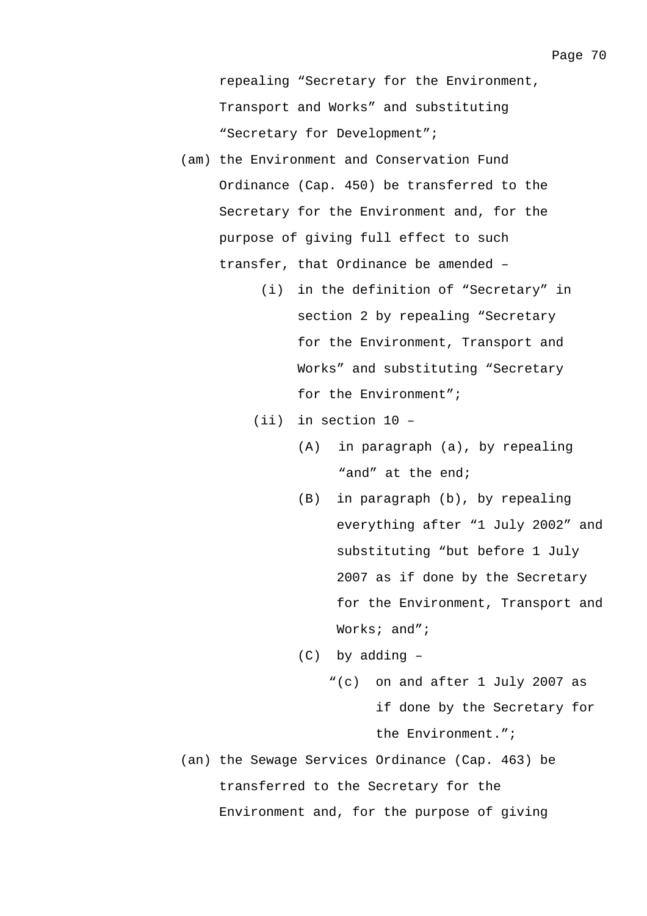- (am) the Environment and Conservation Fund Ordinance (Cap. 450) be transferred to the Secretary for the Environment and, for the purpose of giving full effect to such transfer, that Ordinance be amended –
	- (i) in the definition of "Secretary" in section 2 by repealing "Secretary for the Environment, Transport and Works" and substituting "Secretary for the Environment";
	- (ii) in section 10
		- (A) in paragraph (a), by repealing "and" at the end;
		- (B) in paragraph (b), by repealing everything after "1 July 2002" and substituting "but before 1 July 2007 as if done by the Secretary for the Environment, Transport and Works; and";
		- (C) by adding
			- "(c) on and after 1 July 2007 as if done by the Secretary for the Environment.";
- (an) the Sewage Services Ordinance (Cap. 463) be transferred to the Secretary for the Environment and, for the purpose of giving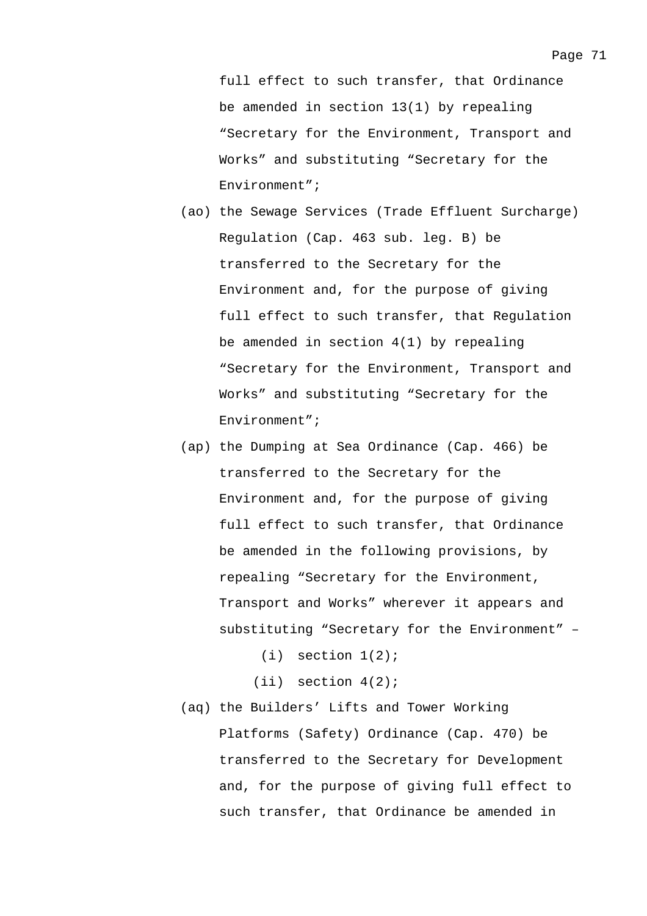full effect to such transfer, that Ordinance be amended in section 13(1) by repealing "Secretary for the Environment, Transport and Works" and substituting "Secretary for the Environment";

- (ao) the Sewage Services (Trade Effluent Surcharge) Regulation (Cap. 463 sub. leg. B) be transferred to the Secretary for the Environment and, for the purpose of giving full effect to such transfer, that Regulation be amended in section 4(1) by repealing "Secretary for the Environment, Transport and Works" and substituting "Secretary for the Environment";
- (ap) the Dumping at Sea Ordinance (Cap. 466) be transferred to the Secretary for the Environment and, for the purpose of giving full effect to such transfer, that Ordinance be amended in the following provisions, by repealing "Secretary for the Environment, Transport and Works" wherever it appears and substituting "Secretary for the Environment" –
	- $(i)$  section  $1(2)$ ;
	- (ii) section 4(2);
- (aq) the Builders' Lifts and Tower Working Platforms (Safety) Ordinance (Cap. 470) be transferred to the Secretary for Development and, for the purpose of giving full effect to such transfer, that Ordinance be amended in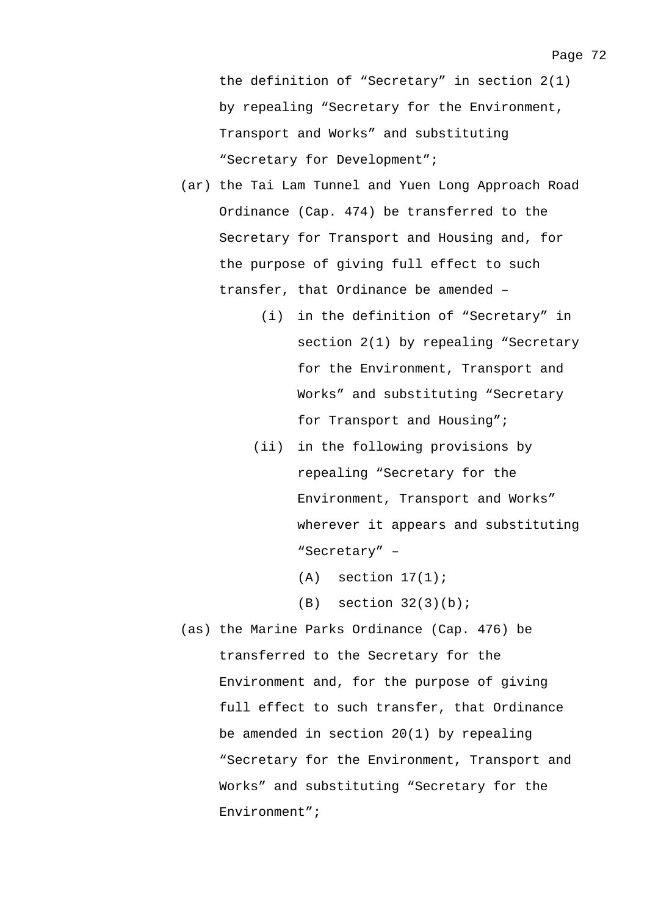the definition of "Secretary" in section 2(1) by repealing "Secretary for the Environment, Transport and Works" and substituting "Secretary for Development";

- (ar) the Tai Lam Tunnel and Yuen Long Approach Road Ordinance (Cap. 474) be transferred to the Secretary for Transport and Housing and, for the purpose of giving full effect to such transfer, that Ordinance be amended –
	- (i) in the definition of "Secretary" in section 2(1) by repealing "Secretary for the Environment, Transport and Works" and substituting "Secretary for Transport and Housing";
	- (ii) in the following provisions by repealing "Secretary for the Environment, Transport and Works" wherever it appears and substituting "Secretary" –
		- $(A)$  section  $17(1)$ ;
		- $(B)$  section  $32(3)(b)$ ;
- (as) the Marine Parks Ordinance (Cap. 476) be transferred to the Secretary for the Environment and, for the purpose of giving full effect to such transfer, that Ordinance be amended in section 20(1) by repealing "Secretary for the Environment, Transport and Works" and substituting "Secretary for the Environment";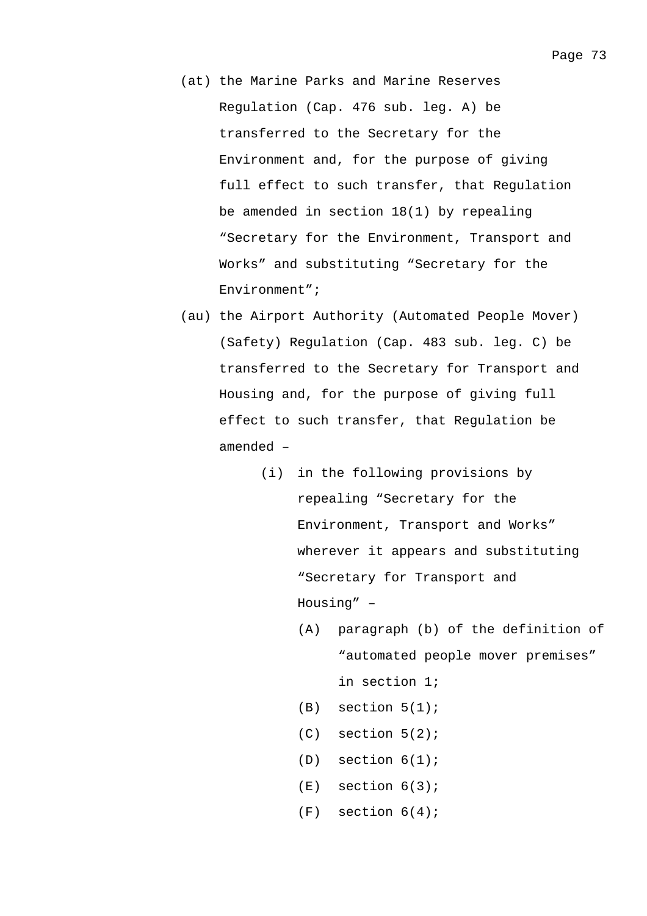- (at) the Marine Parks and Marine Reserves Regulation (Cap. 476 sub. leg. A) be transferred to the Secretary for the Environment and, for the purpose of giving full effect to such transfer, that Regulation be amended in section 18(1) by repealing "Secretary for the Environment, Transport and Works" and substituting "Secretary for the Environment";
- (au) the Airport Authority (Automated People Mover) (Safety) Regulation (Cap. 483 sub. leg. C) be transferred to the Secretary for Transport and Housing and, for the purpose of giving full effect to such transfer, that Regulation be amended –
	- (i) in the following provisions by repealing "Secretary for the Environment, Transport and Works" wherever it appears and substituting "Secretary for Transport and Housing" –
		- (A) paragraph (b) of the definition of "automated people mover premises" in section 1;
		- $(B)$  section  $5(1)$ ;
		- (C) section 5(2);
		- $(D)$  section  $6(1)$ ;
		- $(E)$  section  $6(3)$ ;
		- $(F)$  section  $6(4)$ ;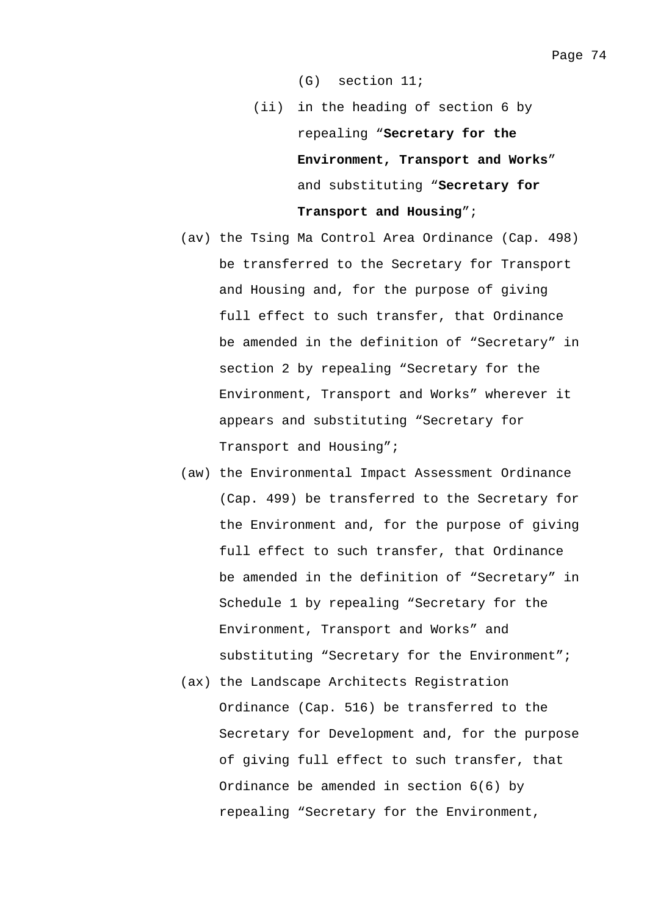(G) section 11;

- (ii) in the heading of section 6 by repealing "**Secretary for the Environment, Transport and Works**" and substituting "**Secretary for Transport and Housing**";
- (av) the Tsing Ma Control Area Ordinance (Cap. 498) be transferred to the Secretary for Transport and Housing and, for the purpose of giving full effect to such transfer, that Ordinance be amended in the definition of "Secretary" in section 2 by repealing "Secretary for the Environment, Transport and Works" wherever it appears and substituting "Secretary for Transport and Housing";
- (aw) the Environmental Impact Assessment Ordinance (Cap. 499) be transferred to the Secretary for the Environment and, for the purpose of giving full effect to such transfer, that Ordinance be amended in the definition of "Secretary" in Schedule 1 by repealing "Secretary for the Environment, Transport and Works" and substituting "Secretary for the Environment";
- (ax) the Landscape Architects Registration Ordinance (Cap. 516) be transferred to the Secretary for Development and, for the purpose of giving full effect to such transfer, that Ordinance be amended in section 6(6) by repealing "Secretary for the Environment,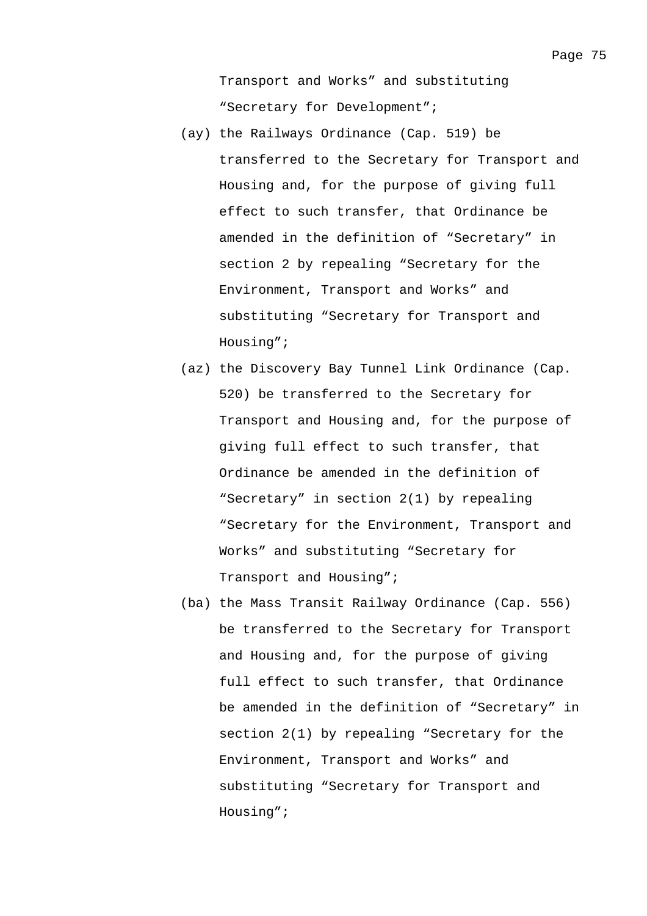Transport and Works" and substituting "Secretary for Development";

- (ay) the Railways Ordinance (Cap. 519) be transferred to the Secretary for Transport and Housing and, for the purpose of giving full effect to such transfer, that Ordinance be amended in the definition of "Secretary" in section 2 by repealing "Secretary for the Environment, Transport and Works" and substituting "Secretary for Transport and Housing";
- (az) the Discovery Bay Tunnel Link Ordinance (Cap. 520) be transferred to the Secretary for Transport and Housing and, for the purpose of giving full effect to such transfer, that Ordinance be amended in the definition of "Secretary" in section 2(1) by repealing "Secretary for the Environment, Transport and Works" and substituting "Secretary for Transport and Housing";
- (ba) the Mass Transit Railway Ordinance (Cap. 556) be transferred to the Secretary for Transport and Housing and, for the purpose of giving full effect to such transfer, that Ordinance be amended in the definition of "Secretary" in section 2(1) by repealing "Secretary for the Environment, Transport and Works" and substituting "Secretary for Transport and Housing";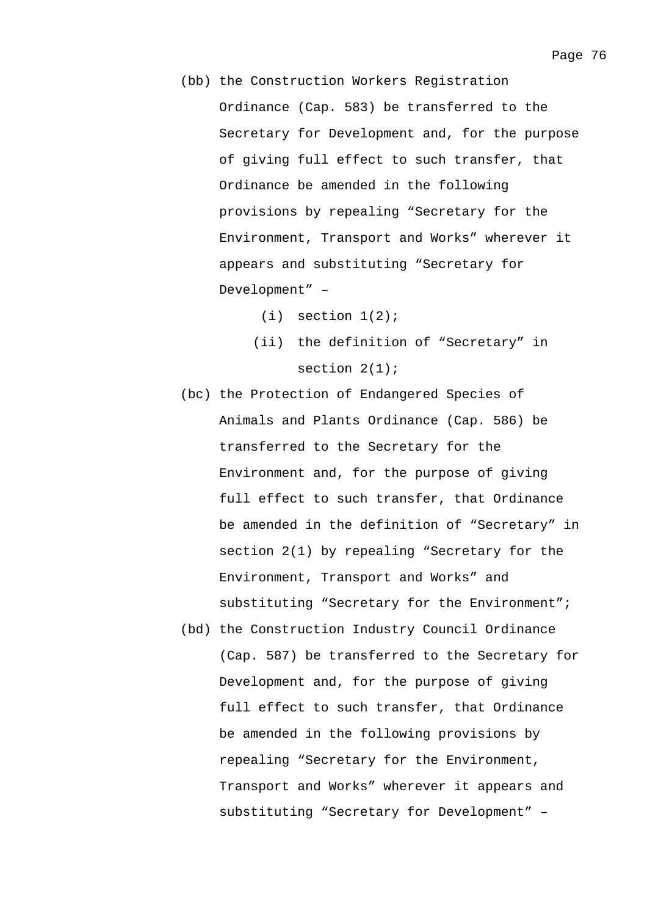- (bb) the Construction Workers Registration Ordinance (Cap. 583) be transferred to the Secretary for Development and, for the purpose of giving full effect to such transfer, that Ordinance be amended in the following provisions by repealing "Secretary for the Environment, Transport and Works" wherever it appears and substituting "Secretary for Development" –
	- $(i)$  section  $1(2)$ ;
	- (ii) the definition of "Secretary" in section  $2(1)$ ;
- (bc) the Protection of Endangered Species of Animals and Plants Ordinance (Cap. 586) be transferred to the Secretary for the Environment and, for the purpose of giving full effect to such transfer, that Ordinance be amended in the definition of "Secretary" in section 2(1) by repealing "Secretary for the Environment, Transport and Works" and substituting "Secretary for the Environment";
- (bd) the Construction Industry Council Ordinance (Cap. 587) be transferred to the Secretary for Development and, for the purpose of giving full effect to such transfer, that Ordinance be amended in the following provisions by repealing "Secretary for the Environment, Transport and Works" wherever it appears and substituting "Secretary for Development" –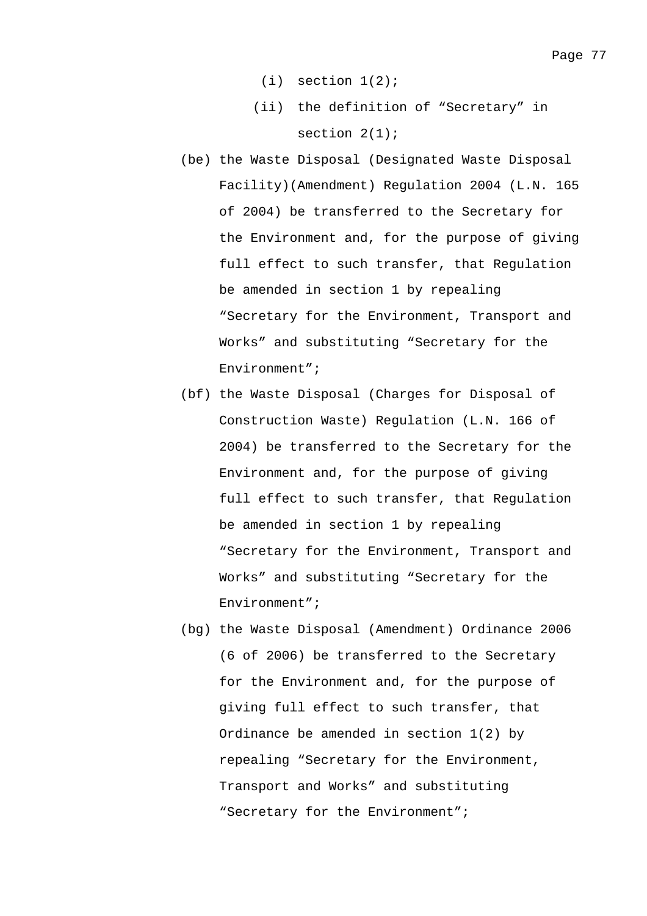- $(i)$  section  $1(2)$ ;
- (ii) the definition of "Secretary" in section  $2(1)$ ;
- (be) the Waste Disposal (Designated Waste Disposal Facility)(Amendment) Regulation 2004 (L.N. 165 of 2004) be transferred to the Secretary for the Environment and, for the purpose of giving full effect to such transfer, that Regulation be amended in section 1 by repealing "Secretary for the Environment, Transport and Works" and substituting "Secretary for the Environment";
- (bf) the Waste Disposal (Charges for Disposal of Construction Waste) Regulation (L.N. 166 of 2004) be transferred to the Secretary for the Environment and, for the purpose of giving full effect to such transfer, that Regulation be amended in section 1 by repealing "Secretary for the Environment, Transport and Works" and substituting "Secretary for the Environment";
- (bg) the Waste Disposal (Amendment) Ordinance 2006 (6 of 2006) be transferred to the Secretary for the Environment and, for the purpose of giving full effect to such transfer, that Ordinance be amended in section 1(2) by repealing "Secretary for the Environment, Transport and Works" and substituting "Secretary for the Environment";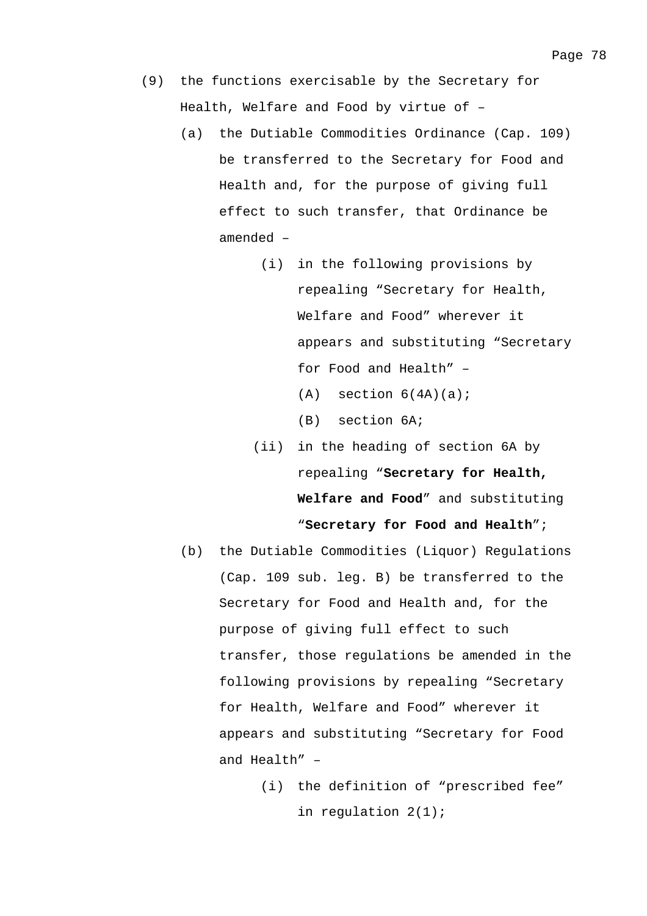- (9) the functions exercisable by the Secretary for Health, Welfare and Food by virtue of –
	- (a) the Dutiable Commodities Ordinance (Cap. 109) be transferred to the Secretary for Food and Health and, for the purpose of giving full effect to such transfer, that Ordinance be amended –
		- (i) in the following provisions by repealing "Secretary for Health, Welfare and Food" wherever it appears and substituting "Secretary for Food and Health" –
			- $(A)$  section  $6(4A)(a)$ ;
			- (B) section 6A;
		- (ii) in the heading of section 6A by repealing "**Secretary for Health, Welfare and Food**" and substituting "**Secretary for Food and Health**";
	- (b) the Dutiable Commodities (Liquor) Regulations (Cap. 109 sub. leg. B) be transferred to the Secretary for Food and Health and, for the purpose of giving full effect to such transfer, those regulations be amended in the following provisions by repealing "Secretary for Health, Welfare and Food" wherever it appears and substituting "Secretary for Food and Health" –
		- (i) the definition of "prescribed fee" in regulation 2(1);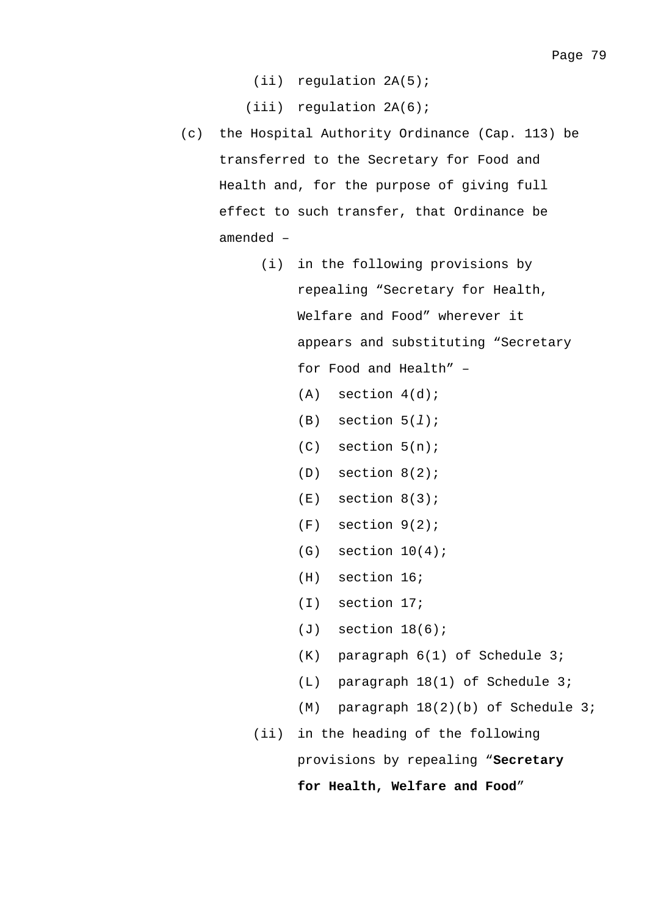(ii) regulation 2A(5);

(iii) regulation 2A(6);

- (c) the Hospital Authority Ordinance (Cap. 113) be transferred to the Secretary for Food and Health and, for the purpose of giving full effect to such transfer, that Ordinance be amended –
	- (i) in the following provisions by repealing "Secretary for Health, Welfare and Food" wherever it appears and substituting "Secretary for Food and Health" –
		- $(A)$  section  $4(d)$ ;
		- (B) section 5(*l*);
		- (C) section 5(n);
		- (D) section 8(2);
		- $(E)$  section  $8(3)$ ;
		- (F) section 9(2);
		- $(G)$  section  $10(4)$ ;
		- (H) section 16;
		- (I) section 17;
		- (J) section 18(6);
		- (K) paragraph 6(1) of Schedule 3;
		- (L) paragraph 18(1) of Schedule 3;
		- (M) paragraph 18(2)(b) of Schedule 3;
	- (ii) in the heading of the following

provisions by repealing "**Secretary** 

**for Health, Welfare and Food**"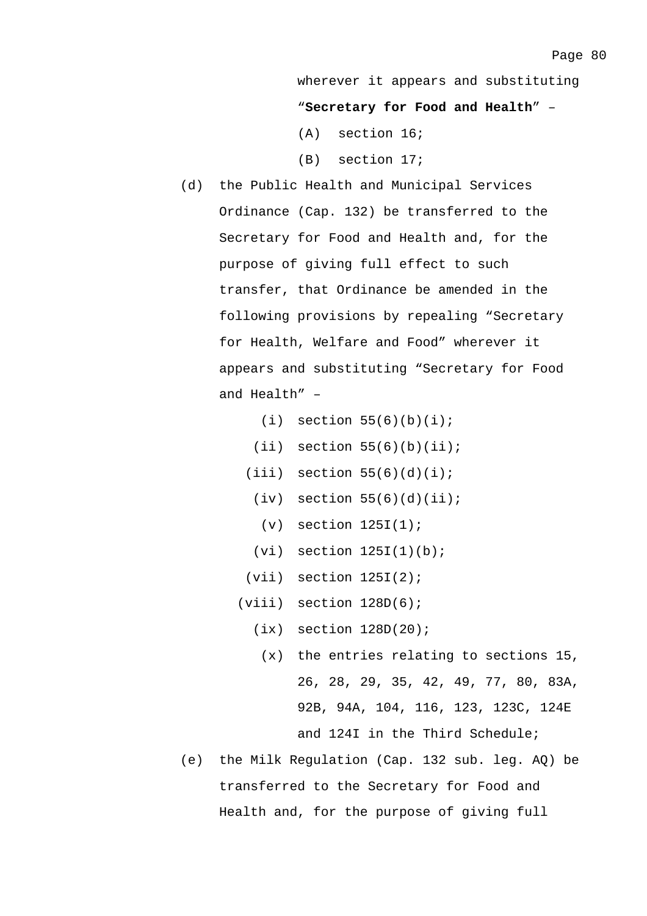wherever it appears and substituting

"**Secretary for Food and Health**" –

- (A) section 16;
- (B) section 17;
- (d) the Public Health and Municipal Services Ordinance (Cap. 132) be transferred to the Secretary for Food and Health and, for the purpose of giving full effect to such transfer, that Ordinance be amended in the following provisions by repealing "Secretary for Health, Welfare and Food" wherever it appears and substituting "Secretary for Food and Health" –
	- $(i)$  section 55(6)(b)(i);
	- $(iii)$  section  $55(6)(b)(ii);$
	- $(iii)$  section  $55(6)(d)(i)$ ;
		- $(iv)$  section  $55(6)(d)(ii)$ ;
		- $(v)$  section  $125I(1)$ ;
	- $(vi)$  section  $125I(1)(b)$ ;
	- $(vii)$  section  $125I(2)$ ;
	- (viii) section 128D(6);
		- $(ix)$  section  $128D(20)$ ;
			- (x) the entries relating to sections 15, 26, 28, 29, 35, 42, 49, 77, 80, 83A, 92B, 94A, 104, 116, 123, 123C, 124E and 124I in the Third Schedule;
- (e) the Milk Regulation (Cap. 132 sub. leg. AQ) be transferred to the Secretary for Food and Health and, for the purpose of giving full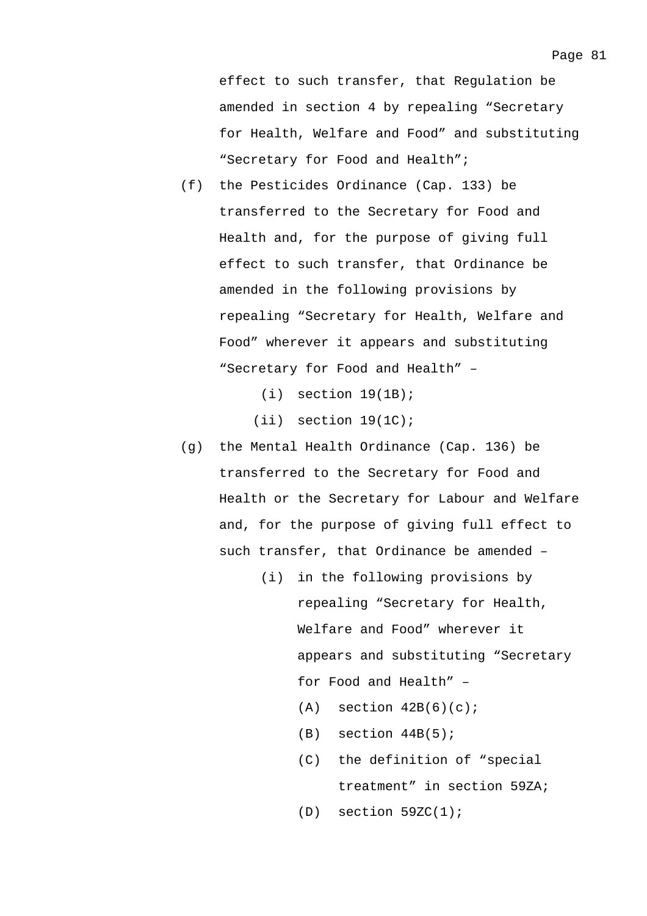effect to such transfer, that Regulation be amended in section 4 by repealing "Secretary for Health, Welfare and Food" and substituting "Secretary for Food and Health";

(f) the Pesticides Ordinance (Cap. 133) be transferred to the Secretary for Food and Health and, for the purpose of giving full effect to such transfer, that Ordinance be amended in the following provisions by repealing "Secretary for Health, Welfare and Food" wherever it appears and substituting "Secretary for Food and Health" –

 $(i)$  section  $19(1B)$ ;

 $(i)$  section  $19(1)$ ;

- (g) the Mental Health Ordinance (Cap. 136) be transferred to the Secretary for Food and Health or the Secretary for Labour and Welfare and, for the purpose of giving full effect to such transfer, that Ordinance be amended –
	- (i) in the following provisions by repealing "Secretary for Health, Welfare and Food" wherever it appears and substituting "Secretary for Food and Health" –
		- $(A)$  section  $42B(6)(c)$ ;
		- $(B)$  section  $44B(5)$ ;
		- (C) the definition of "special treatment" in section 59ZA;

 $(D)$  section  $59ZC(1)$ ;

Page 81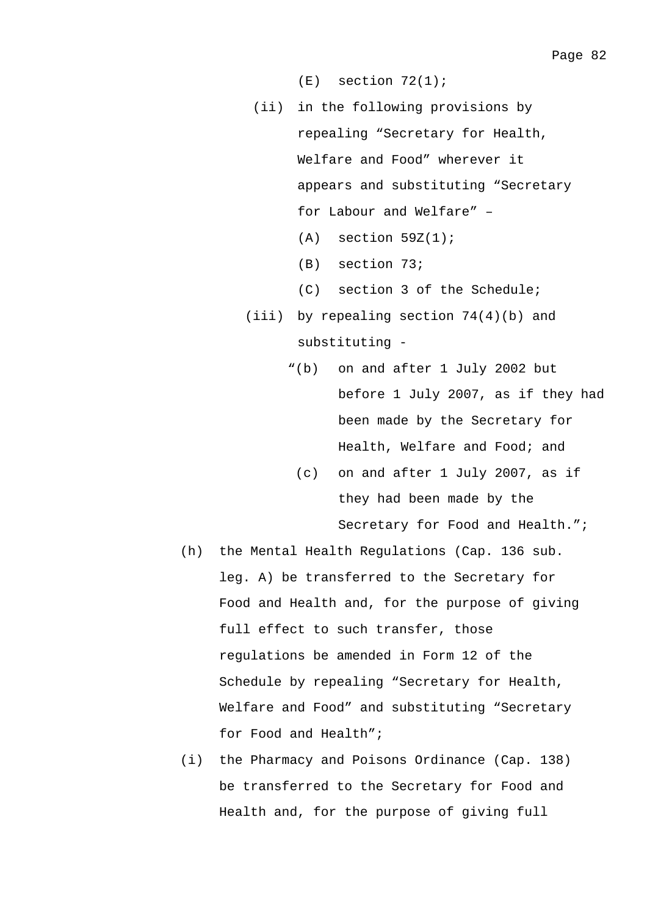$(E)$  section  $72(1)$ ;

- (ii) in the following provisions by repealing "Secretary for Health, Welfare and Food" wherever it appears and substituting "Secretary for Labour and Welfare" –  $(A)$  section 59Z $(1)$ ;
	- (B) section 73;
	- (C) section 3 of the Schedule;
- (iii) by repealing section  $74(4)(b)$  and substituting -
	- "(b) on and after 1 July 2002 but before 1 July 2007, as if they had been made by the Secretary for Health, Welfare and Food; and
		- (c) on and after 1 July 2007, as if they had been made by the Secretary for Food and Health.";
- (h) the Mental Health Regulations (Cap. 136 sub. leg. A) be transferred to the Secretary for Food and Health and, for the purpose of giving full effect to such transfer, those regulations be amended in Form 12 of the Schedule by repealing "Secretary for Health, Welfare and Food" and substituting "Secretary for Food and Health";
- (i) the Pharmacy and Poisons Ordinance (Cap. 138) be transferred to the Secretary for Food and Health and, for the purpose of giving full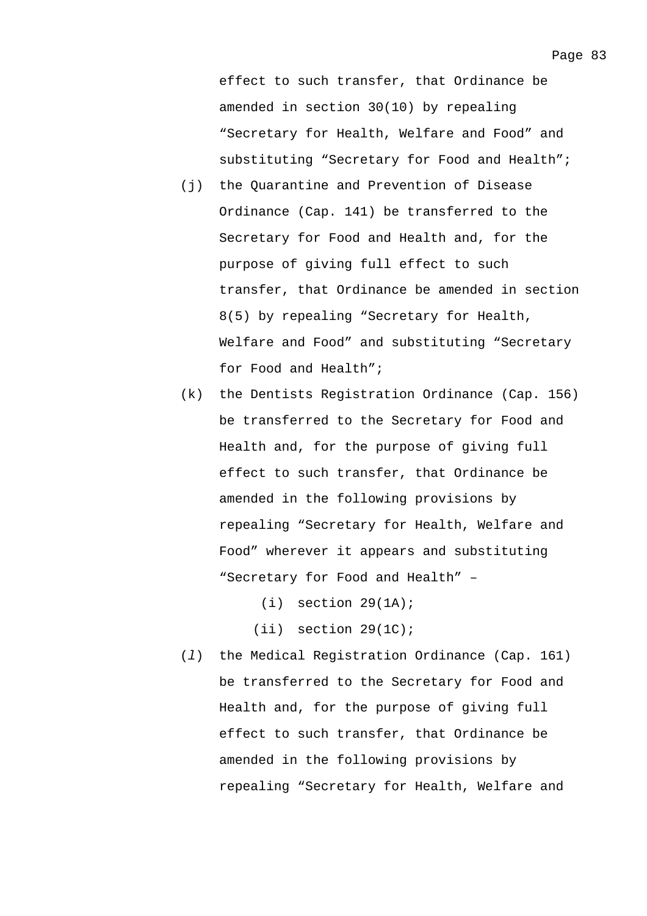effect to such transfer, that Ordinance be amended in section 30(10) by repealing "Secretary for Health, Welfare and Food" and substituting "Secretary for Food and Health";

- (j) the Quarantine and Prevention of Disease Ordinance (Cap. 141) be transferred to the Secretary for Food and Health and, for the purpose of giving full effect to such transfer, that Ordinance be amended in section 8(5) by repealing "Secretary for Health, Welfare and Food" and substituting "Secretary for Food and Health";
- (k) the Dentists Registration Ordinance (Cap. 156) be transferred to the Secretary for Food and Health and, for the purpose of giving full effect to such transfer, that Ordinance be amended in the following provisions by repealing "Secretary for Health, Welfare and Food" wherever it appears and substituting "Secretary for Food and Health" –

 $(i)$  section  $29(1A)$ ;

 $(iii)$  section  $29(1C)$ ;

(*l*) the Medical Registration Ordinance (Cap. 161) be transferred to the Secretary for Food and Health and, for the purpose of giving full effect to such transfer, that Ordinance be amended in the following provisions by repealing "Secretary for Health, Welfare and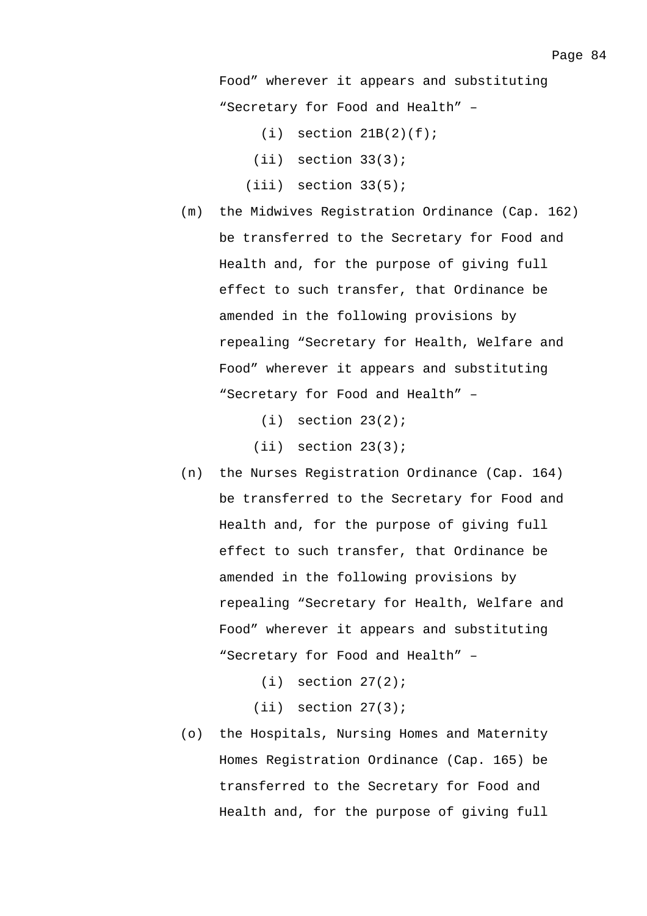Food" wherever it appears and substituting "Secretary for Food and Health" –

- $(i)$  section  $21B(2)(f)$ ;
- (ii) section 33(3);
- $(iii)$  section  $33(5)$ ;
- (m) the Midwives Registration Ordinance (Cap. 162) be transferred to the Secretary for Food and Health and, for the purpose of giving full effect to such transfer, that Ordinance be amended in the following provisions by repealing "Secretary for Health, Welfare and Food" wherever it appears and substituting "Secretary for Food and Health" –
	- $(i)$  section  $23(2)$ ;
	- $(iii)$  section  $23(3)$ ;
- (n) the Nurses Registration Ordinance (Cap. 164) be transferred to the Secretary for Food and Health and, for the purpose of giving full effect to such transfer, that Ordinance be amended in the following provisions by repealing "Secretary for Health, Welfare and Food" wherever it appears and substituting "Secretary for Food and Health" –
	- $(i)$  section  $27(2)$ ;

(ii) section 27(3);

(o) the Hospitals, Nursing Homes and Maternity Homes Registration Ordinance (Cap. 165) be transferred to the Secretary for Food and Health and, for the purpose of giving full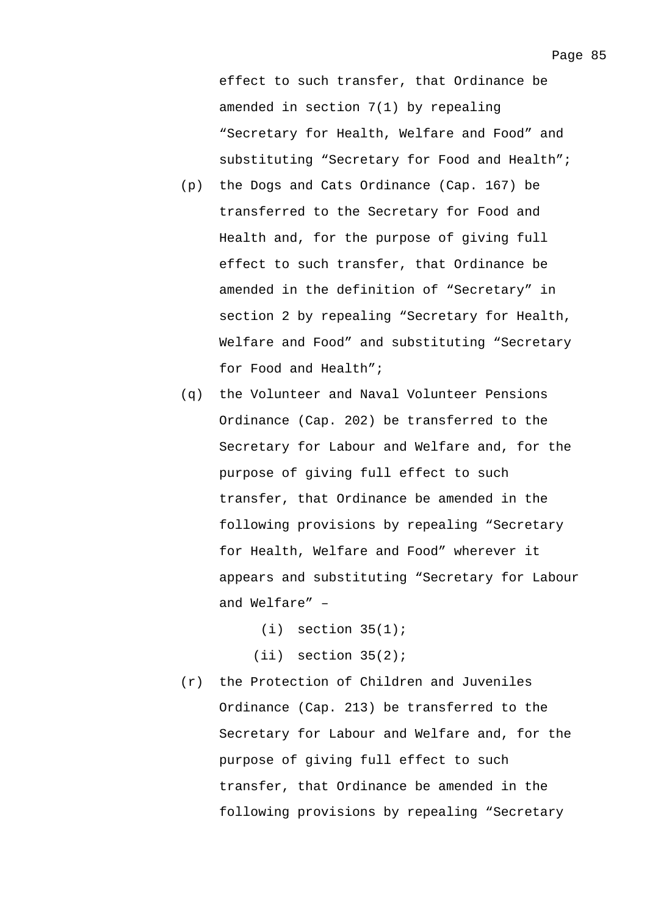effect to such transfer, that Ordinance be amended in section 7(1) by repealing "Secretary for Health, Welfare and Food" and substituting "Secretary for Food and Health";

- (p) the Dogs and Cats Ordinance (Cap. 167) be transferred to the Secretary for Food and Health and, for the purpose of giving full effect to such transfer, that Ordinance be amended in the definition of "Secretary" in section 2 by repealing "Secretary for Health, Welfare and Food" and substituting "Secretary for Food and Health";
- (q) the Volunteer and Naval Volunteer Pensions Ordinance (Cap. 202) be transferred to the Secretary for Labour and Welfare and, for the purpose of giving full effect to such transfer, that Ordinance be amended in the following provisions by repealing "Secretary for Health, Welfare and Food" wherever it appears and substituting "Secretary for Labour and Welfare" –
	- $(i)$  section  $35(1)$ ;
	- $(iii)$  section  $35(2)$ ;
- (r) the Protection of Children and Juveniles Ordinance (Cap. 213) be transferred to the Secretary for Labour and Welfare and, for the purpose of giving full effect to such transfer, that Ordinance be amended in the following provisions by repealing "Secretary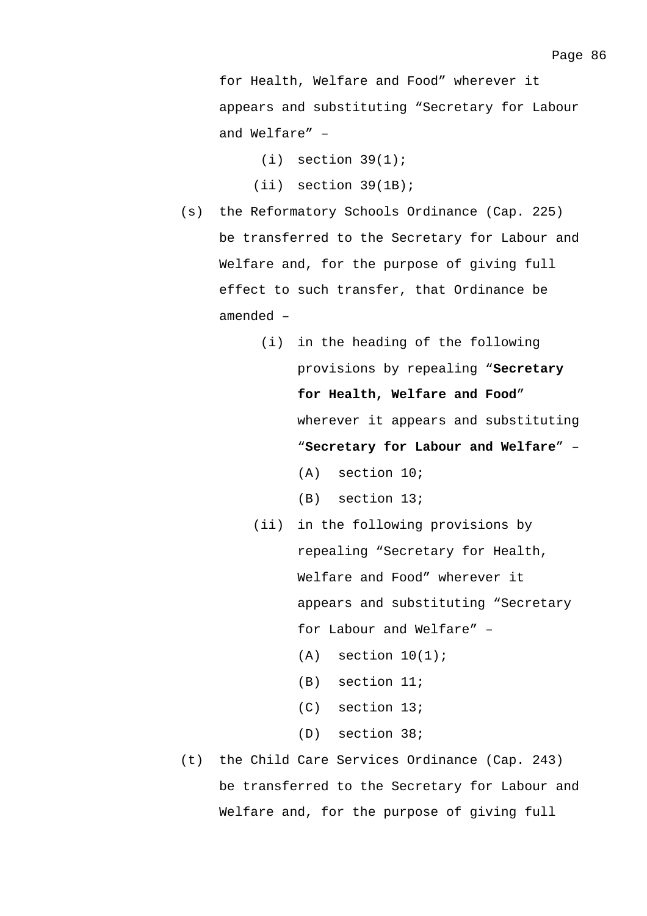for Health, Welfare and Food" wherever it appears and substituting "Secretary for Labour and Welfare" –

- $(i)$  section 39(1);
- (ii) section 39(1B);
- (s) the Reformatory Schools Ordinance (Cap. 225) be transferred to the Secretary for Labour and Welfare and, for the purpose of giving full effect to such transfer, that Ordinance be amended –
	- (i) in the heading of the following provisions by repealing "**Secretary for Health, Welfare and Food**" wherever it appears and substituting "**Secretary for Labour and Welfare**" – (A) section 10;
		- (B) section 13;
	- (ii) in the following provisions by repealing "Secretary for Health, Welfare and Food" wherever it appears and substituting "Secretary for Labour and Welfare" –
		- $(A)$  section  $10(1)$ ;
		- (B) section 11;
		- (C) section 13;
		- (D) section 38;
- (t) the Child Care Services Ordinance (Cap. 243) be transferred to the Secretary for Labour and Welfare and, for the purpose of giving full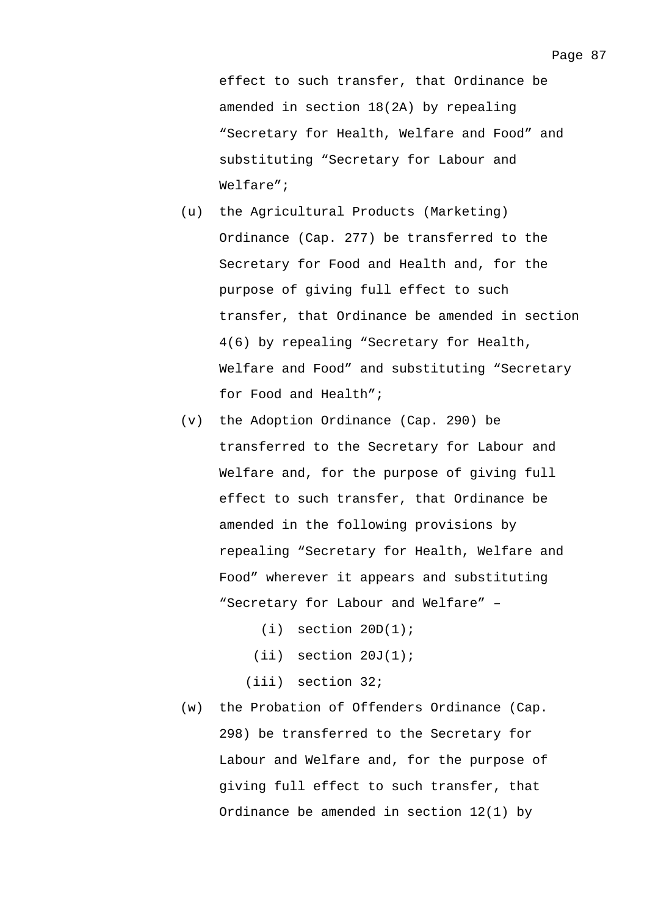effect to such transfer, that Ordinance be amended in section 18(2A) by repealing "Secretary for Health, Welfare and Food" and substituting "Secretary for Labour and Welfare";

- (u) the Agricultural Products (Marketing) Ordinance (Cap. 277) be transferred to the Secretary for Food and Health and, for the purpose of giving full effect to such transfer, that Ordinance be amended in section 4(6) by repealing "Secretary for Health, Welfare and Food" and substituting "Secretary for Food and Health";
- (v) the Adoption Ordinance (Cap. 290) be transferred to the Secretary for Labour and Welfare and, for the purpose of giving full effect to such transfer, that Ordinance be amended in the following provisions by repealing "Secretary for Health, Welfare and Food" wherever it appears and substituting "Secretary for Labour and Welfare" –
	- $(i)$  section  $20D(1)$ ;
	- $(iii)$  section  $20J(1)$ ;
	- (iii) section 32;
- (w) the Probation of Offenders Ordinance (Cap. 298) be transferred to the Secretary for Labour and Welfare and, for the purpose of giving full effect to such transfer, that Ordinance be amended in section 12(1) by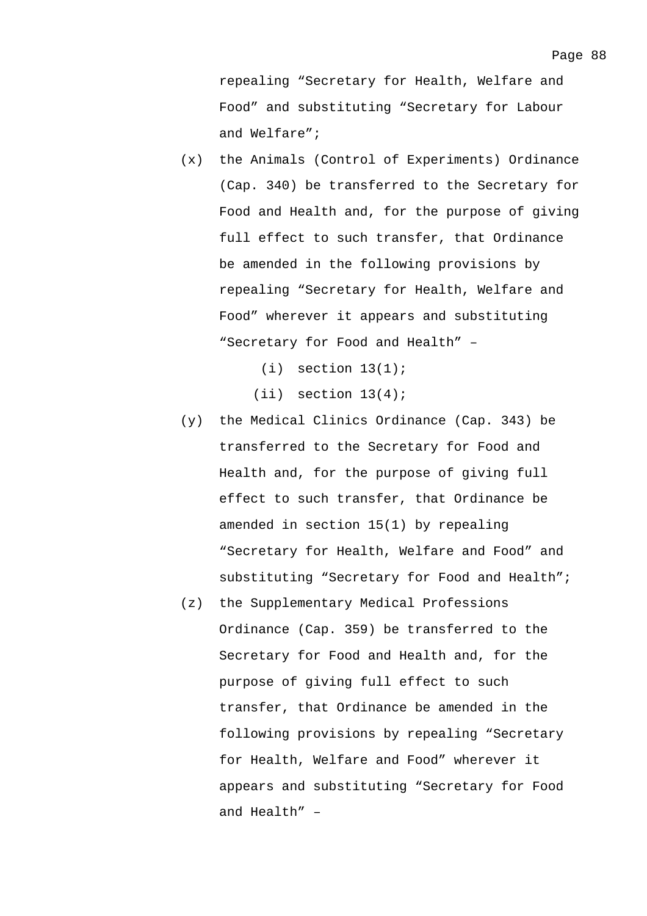repealing "Secretary for Health, Welfare and Food" and substituting "Secretary for Labour and Welfare";

- (x) the Animals (Control of Experiments) Ordinance (Cap. 340) be transferred to the Secretary for Food and Health and, for the purpose of giving full effect to such transfer, that Ordinance be amended in the following provisions by repealing "Secretary for Health, Welfare and Food" wherever it appears and substituting "Secretary for Food and Health" –
	- $(i)$  section  $13(1)$ ;
	- $(iii)$  section  $13(4)$ ;
- (y) the Medical Clinics Ordinance (Cap. 343) be transferred to the Secretary for Food and Health and, for the purpose of giving full effect to such transfer, that Ordinance be amended in section 15(1) by repealing "Secretary for Health, Welfare and Food" and substituting "Secretary for Food and Health";
- (z) the Supplementary Medical Professions Ordinance (Cap. 359) be transferred to the Secretary for Food and Health and, for the purpose of giving full effect to such transfer, that Ordinance be amended in the following provisions by repealing "Secretary for Health, Welfare and Food" wherever it appears and substituting "Secretary for Food and Health" –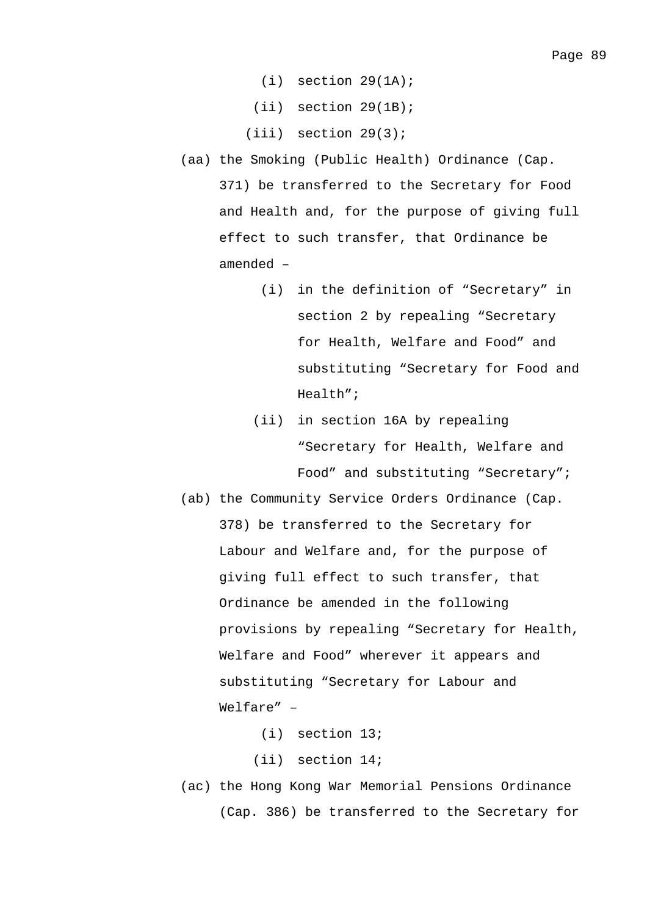- $(i)$  section  $29(1A)$ ;
- (ii) section 29(1B);
- $(iii)$  section  $29(3)$ ;
- (aa) the Smoking (Public Health) Ordinance (Cap. 371) be transferred to the Secretary for Food and Health and, for the purpose of giving full effect to such transfer, that Ordinance be amended –
	- (i) in the definition of "Secretary" in section 2 by repealing "Secretary for Health, Welfare and Food" and substituting "Secretary for Food and Health";
	- (ii) in section 16A by repealing "Secretary for Health, Welfare and Food" and substituting "Secretary";
- (ab) the Community Service Orders Ordinance (Cap. 378) be transferred to the Secretary for Labour and Welfare and, for the purpose of giving full effect to such transfer, that Ordinance be amended in the following provisions by repealing "Secretary for Health, Welfare and Food" wherever it appears and substituting "Secretary for Labour and Welfare" –

(i) section 13;

(ii) section 14;

(ac) the Hong Kong War Memorial Pensions Ordinance (Cap. 386) be transferred to the Secretary for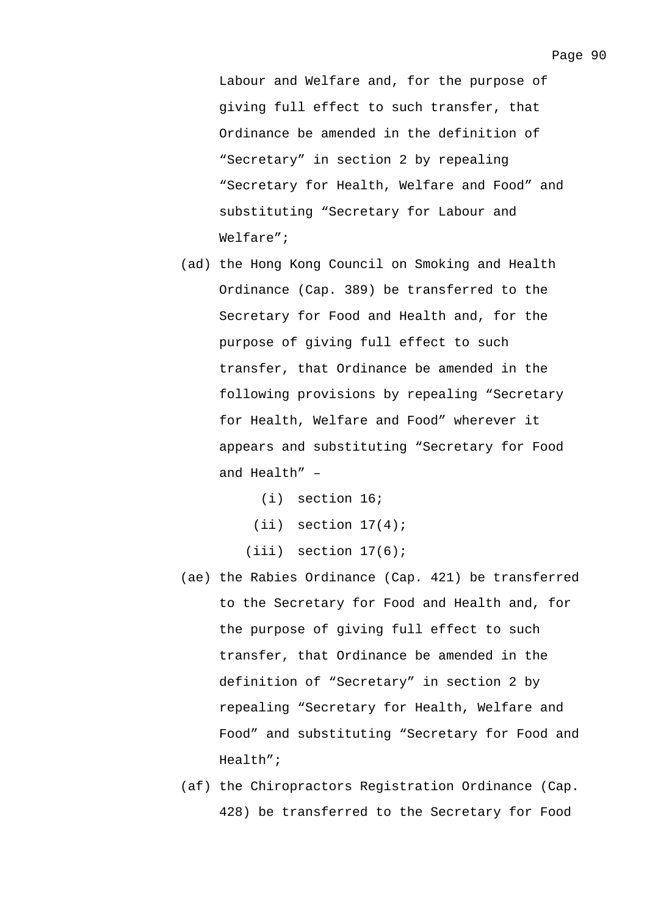Labour and Welfare and, for the purpose of giving full effect to such transfer, that Ordinance be amended in the definition of "Secretary" in section 2 by repealing "Secretary for Health, Welfare and Food" and substituting "Secretary for Labour and Welfare";

- (ad) the Hong Kong Council on Smoking and Health Ordinance (Cap. 389) be transferred to the Secretary for Food and Health and, for the purpose of giving full effect to such transfer, that Ordinance be amended in the following provisions by repealing "Secretary for Health, Welfare and Food" wherever it appears and substituting "Secretary for Food and  $Health" -$ 
	- (i) section 16;
	- $(iii)$  section  $17(4)$ ;
	- $(iii)$  section  $17(6)$ ;
- (ae) the Rabies Ordinance (Cap. 421) be transferred to the Secretary for Food and Health and, for the purpose of giving full effect to such transfer, that Ordinance be amended in the definition of "Secretary" in section 2 by repealing "Secretary for Health, Welfare and Food" and substituting "Secretary for Food and Health";
- (af) the Chiropractors Registration Ordinance (Cap. 428) be transferred to the Secretary for Food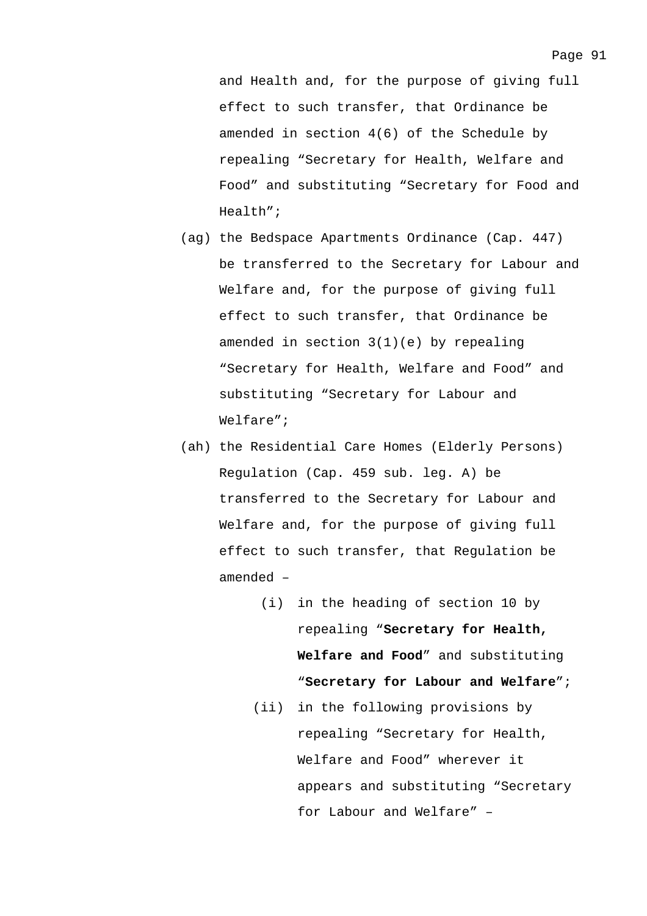and Health and, for the purpose of giving full effect to such transfer, that Ordinance be amended in section 4(6) of the Schedule by repealing "Secretary for Health, Welfare and Food" and substituting "Secretary for Food and Health";

- (ag) the Bedspace Apartments Ordinance (Cap. 447) be transferred to the Secretary for Labour and Welfare and, for the purpose of giving full effect to such transfer, that Ordinance be amended in section 3(1)(e) by repealing "Secretary for Health, Welfare and Food" and substituting "Secretary for Labour and Welfare";
- (ah) the Residential Care Homes (Elderly Persons) Regulation (Cap. 459 sub. leg. A) be transferred to the Secretary for Labour and Welfare and, for the purpose of giving full effect to such transfer, that Regulation be amended –
	- (i) in the heading of section 10 by repealing "**Secretary for Health, Welfare and Food**" and substituting "**Secretary for Labour and Welfare**";
	- (ii) in the following provisions by repealing "Secretary for Health, Welfare and Food" wherever it appears and substituting "Secretary for Labour and Welfare" –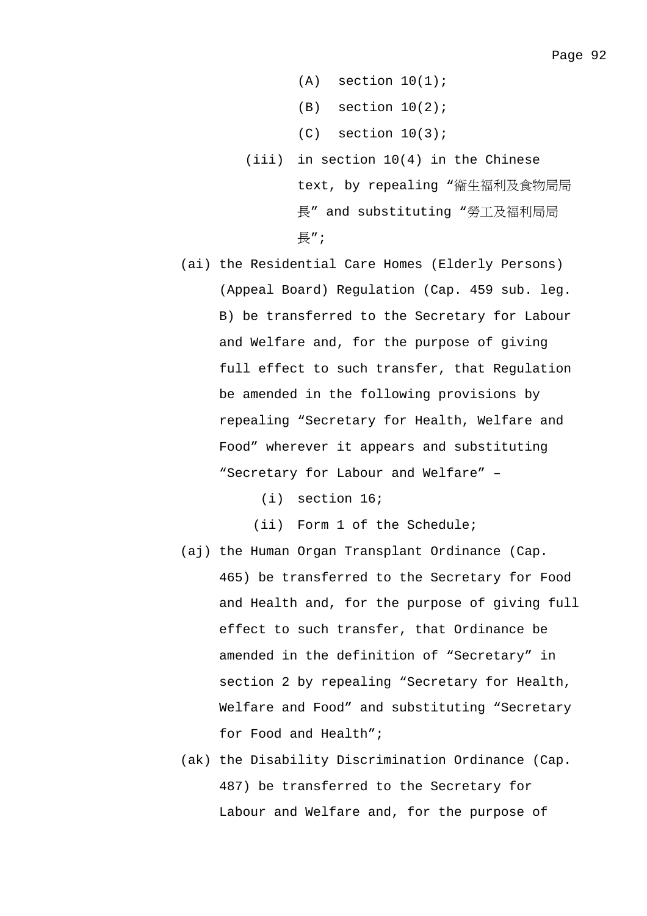- $(A)$  section  $10(1)$ ;
- $(B)$  section  $10(2)$ ;
- $(C)$  section  $10(3)$ ;
- (iii) in section 10(4) in the Chinese text, by repealing "衞生福利及食物局局 長" and substituting "勞工及福利局局 長";
- (ai) the Residential Care Homes (Elderly Persons) (Appeal Board) Regulation (Cap. 459 sub. leg. B) be transferred to the Secretary for Labour and Welfare and, for the purpose of giving full effect to such transfer, that Regulation be amended in the following provisions by repealing "Secretary for Health, Welfare and Food" wherever it appears and substituting "Secretary for Labour and Welfare" –
	- (i) section 16;
	- (ii) Form 1 of the Schedule;
- (aj) the Human Organ Transplant Ordinance (Cap. 465) be transferred to the Secretary for Food and Health and, for the purpose of giving full effect to such transfer, that Ordinance be amended in the definition of "Secretary" in section 2 by repealing "Secretary for Health, Welfare and Food" and substituting "Secretary for Food and Health";
- (ak) the Disability Discrimination Ordinance (Cap. 487) be transferred to the Secretary for Labour and Welfare and, for the purpose of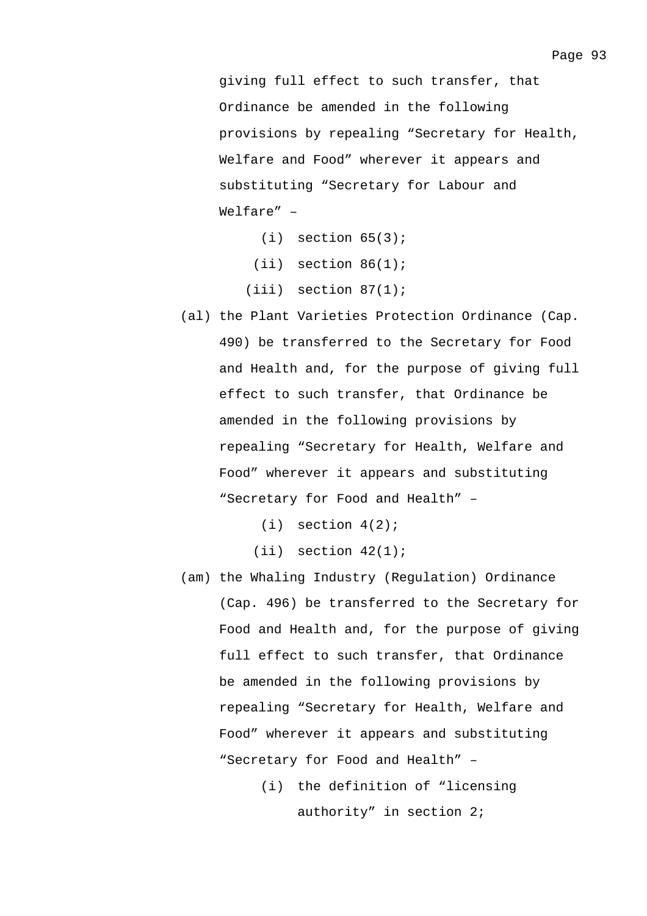giving full effect to such transfer, that Ordinance be amended in the following provisions by repealing "Secretary for Health, Welfare and Food" wherever it appears and substituting "Secretary for Labour and Welfare" –

- $(i)$  section  $65(3)$ ;
- $(iii)$  section  $86(1)$ ;
- $(iii)$  section  $87(1)$ ;
- (al) the Plant Varieties Protection Ordinance (Cap. 490) be transferred to the Secretary for Food and Health and, for the purpose of giving full effect to such transfer, that Ordinance be amended in the following provisions by repealing "Secretary for Health, Welfare and Food" wherever it appears and substituting "Secretary for Food and Health" –

 $(i)$  section  $4(2)$ ;

 $(iii)$  section  $42(1)$ ;

- (am) the Whaling Industry (Regulation) Ordinance (Cap. 496) be transferred to the Secretary for Food and Health and, for the purpose of giving full effect to such transfer, that Ordinance be amended in the following provisions by repealing "Secretary for Health, Welfare and Food" wherever it appears and substituting "Secretary for Food and Health" –
	- (i) the definition of "licensing authority" in section 2;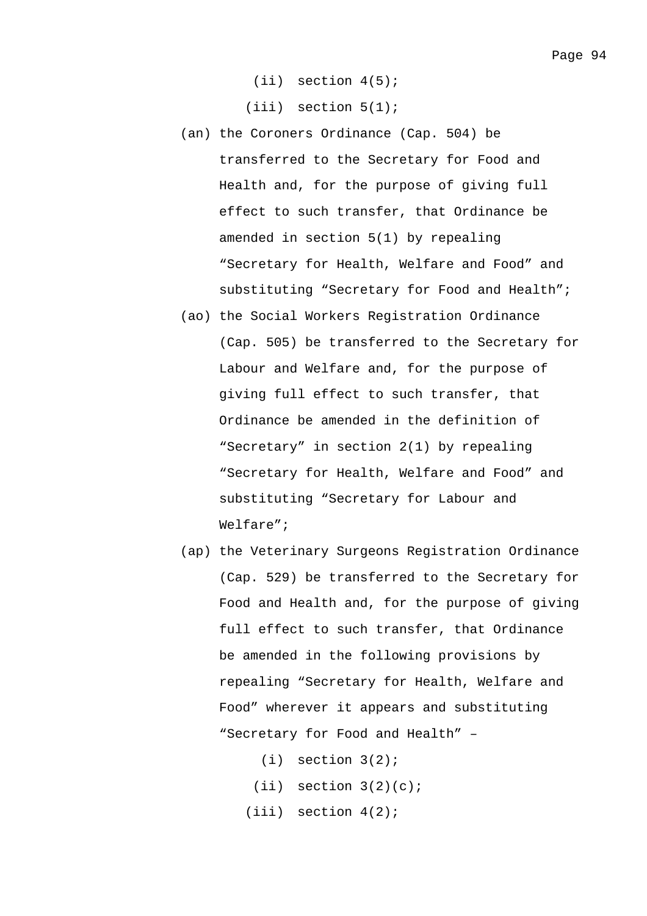(ii) section 4(5);

(iii) section 5(1);

- (an) the Coroners Ordinance (Cap. 504) be transferred to the Secretary for Food and Health and, for the purpose of giving full effect to such transfer, that Ordinance be amended in section 5(1) by repealing "Secretary for Health, Welfare and Food" and substituting "Secretary for Food and Health";
- (ao) the Social Workers Registration Ordinance (Cap. 505) be transferred to the Secretary for Labour and Welfare and, for the purpose of giving full effect to such transfer, that Ordinance be amended in the definition of "Secretary" in section 2(1) by repealing "Secretary for Health, Welfare and Food" and substituting "Secretary for Labour and Welfare";
- (ap) the Veterinary Surgeons Registration Ordinance (Cap. 529) be transferred to the Secretary for Food and Health and, for the purpose of giving full effect to such transfer, that Ordinance be amended in the following provisions by repealing "Secretary for Health, Welfare and Food" wherever it appears and substituting "Secretary for Food and Health" –

 $(i)$  section  $3(2)$ ;  $(iii)$  section  $3(2)(c)i$ (iii) section 4(2);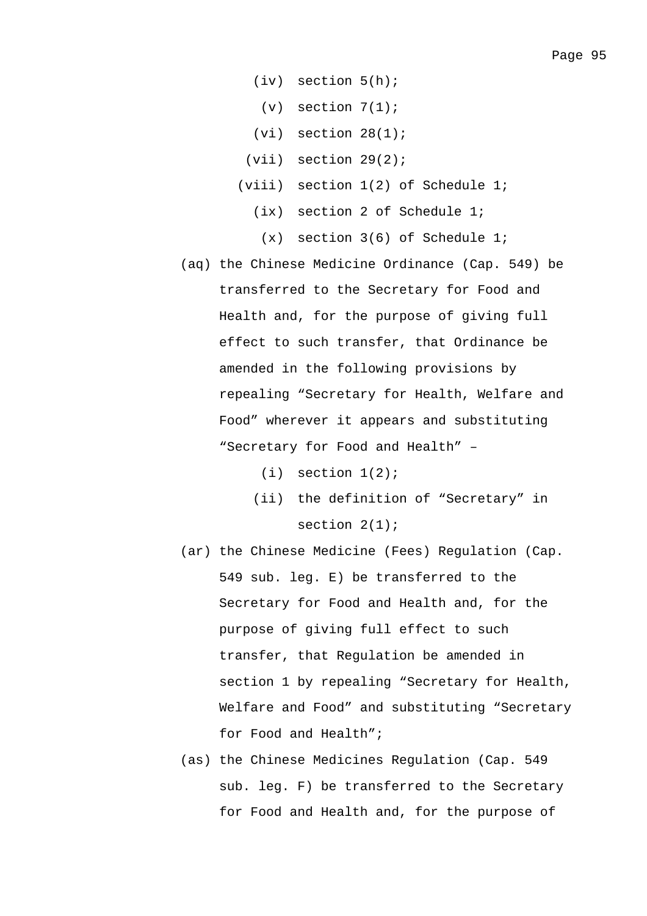- (iv) section 5(h);
	- $(v)$  section  $7(1)$ ;
- $(vi)$  section  $28(1)$ ;
- (vii) section 29(2);
- (viii) section 1(2) of Schedule 1;
	- (ix) section 2 of Schedule 1;
	- (x) section 3(6) of Schedule 1;
- (aq) the Chinese Medicine Ordinance (Cap. 549) be transferred to the Secretary for Food and Health and, for the purpose of giving full effect to such transfer, that Ordinance be amended in the following provisions by repealing "Secretary for Health, Welfare and Food" wherever it appears and substituting "Secretary for Food and Health" –
	- $(i)$  section  $1(2)$ ;
	- (ii) the definition of "Secretary" in section 2(1);
- (ar) the Chinese Medicine (Fees) Regulation (Cap. 549 sub. leg. E) be transferred to the Secretary for Food and Health and, for the purpose of giving full effect to such transfer, that Regulation be amended in section 1 by repealing "Secretary for Health, Welfare and Food" and substituting "Secretary for Food and Health";
- (as) the Chinese Medicines Regulation (Cap. 549 sub. leg. F) be transferred to the Secretary for Food and Health and, for the purpose of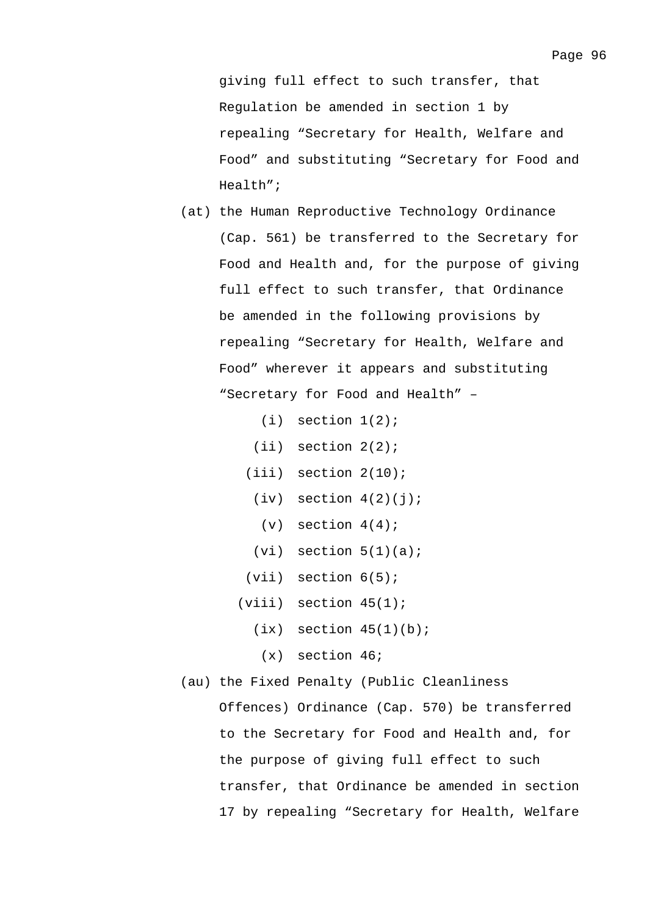giving full effect to such transfer, that Regulation be amended in section 1 by repealing "Secretary for Health, Welfare and Food" and substituting "Secretary for Food and Health";

- (at) the Human Reproductive Technology Ordinance (Cap. 561) be transferred to the Secretary for Food and Health and, for the purpose of giving full effect to such transfer, that Ordinance be amended in the following provisions by repealing "Secretary for Health, Welfare and Food" wherever it appears and substituting "Secretary for Food and Health" –
	- $(i)$  section  $1(2)$ ;
	- (ii) section 2(2);
	- $(iii)$  section  $2(10)$ ;
		- $(iv)$  section  $4(2)(j)$ ;
		- $(v)$  section  $4(4)$ ;
	- $(vi)$  section  $5(1)(a)$ ;
	- $(vii)$  section  $6(5)$ ;
	- $(viii)$  section  $45(1)$ ;
		- $(ix)$  section  $45(1)(b)$ ;
		- (x) section 46;
- (au) the Fixed Penalty (Public Cleanliness

Offences) Ordinance (Cap. 570) be transferred to the Secretary for Food and Health and, for the purpose of giving full effect to such transfer, that Ordinance be amended in section 17 by repealing "Secretary for Health, Welfare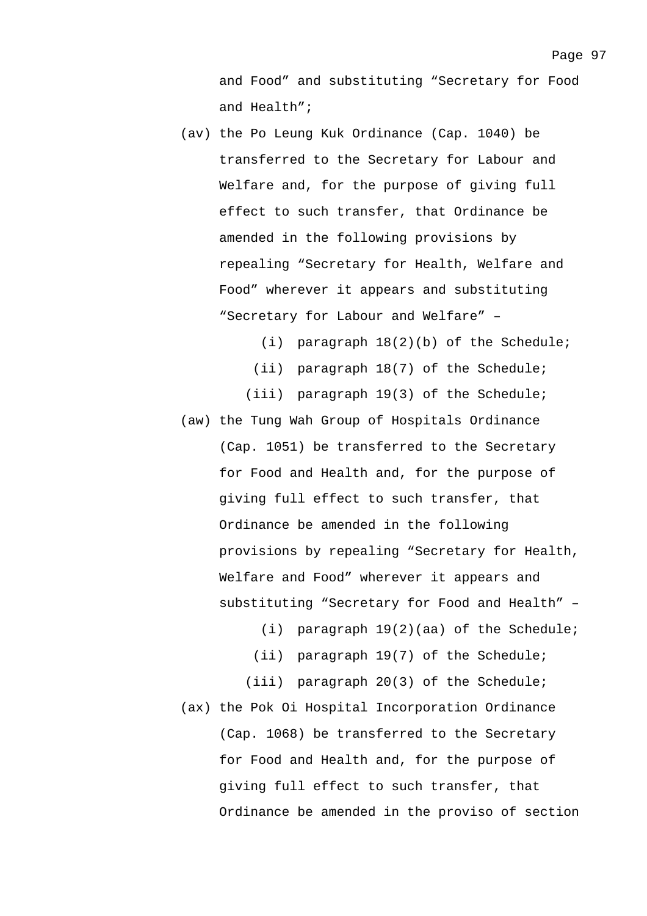and Food" and substituting "Secretary for Food and Health";

- (av) the Po Leung Kuk Ordinance (Cap. 1040) be transferred to the Secretary for Labour and Welfare and, for the purpose of giving full effect to such transfer, that Ordinance be amended in the following provisions by repealing "Secretary for Health, Welfare and Food" wherever it appears and substituting "Secretary for Labour and Welfare" –
	- (i) paragraph 18(2)(b) of the Schedule;
	- (ii) paragraph 18(7) of the Schedule;
	- (iii) paragraph 19(3) of the Schedule;
- (aw) the Tung Wah Group of Hospitals Ordinance (Cap. 1051) be transferred to the Secretary for Food and Health and, for the purpose of giving full effect to such transfer, that Ordinance be amended in the following provisions by repealing "Secretary for Health, Welfare and Food" wherever it appears and substituting "Secretary for Food and Health" –
	- (i) paragraph 19(2)(aa) of the Schedule;
	- (ii) paragraph 19(7) of the Schedule;
	- (iii) paragraph 20(3) of the Schedule;
- (ax) the Pok Oi Hospital Incorporation Ordinance (Cap. 1068) be transferred to the Secretary for Food and Health and, for the purpose of giving full effect to such transfer, that Ordinance be amended in the proviso of section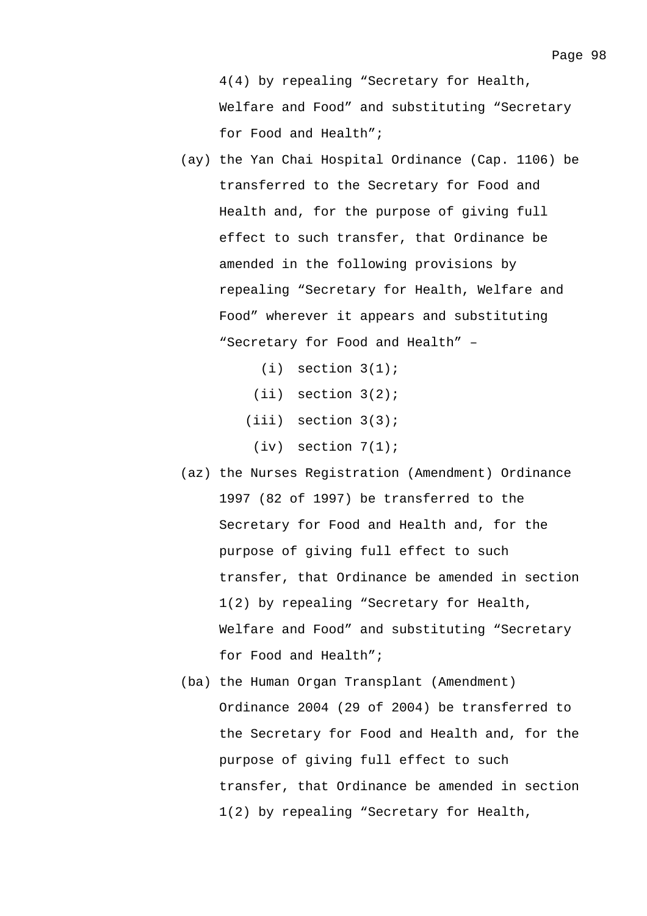for Food and Health";

- (ay) the Yan Chai Hospital Ordinance (Cap. 1106) be transferred to the Secretary for Food and Health and, for the purpose of giving full effect to such transfer, that Ordinance be amended in the following provisions by repealing "Secretary for Health, Welfare and Food" wherever it appears and substituting "Secretary for Food and Health" –
	- $(i)$  section  $3(1)$ ;
	- (ii) section 3(2);
	- (iii) section 3(3);
	- (iv) section 7(1);
- (az) the Nurses Registration (Amendment) Ordinance 1997 (82 of 1997) be transferred to the Secretary for Food and Health and, for the purpose of giving full effect to such transfer, that Ordinance be amended in section 1(2) by repealing "Secretary for Health, Welfare and Food" and substituting "Secretary for Food and Health";
- (ba) the Human Organ Transplant (Amendment) Ordinance 2004 (29 of 2004) be transferred to the Secretary for Food and Health and, for the purpose of giving full effect to such transfer, that Ordinance be amended in section 1(2) by repealing "Secretary for Health,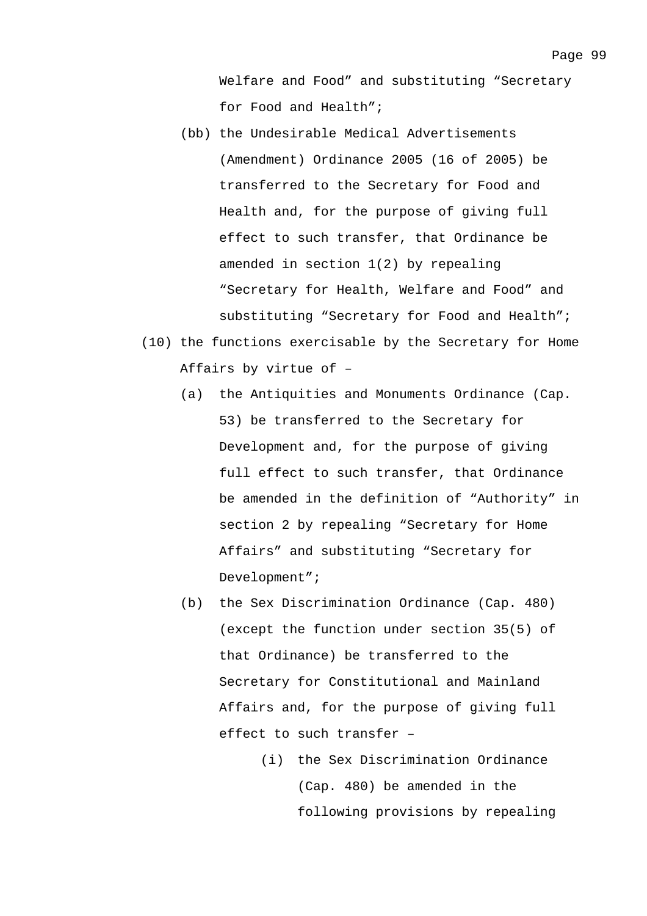Welfare and Food" and substituting "Secretary for Food and Health";

- (bb) the Undesirable Medical Advertisements (Amendment) Ordinance 2005 (16 of 2005) be transferred to the Secretary for Food and Health and, for the purpose of giving full effect to such transfer, that Ordinance be amended in section 1(2) by repealing "Secretary for Health, Welfare and Food" and substituting "Secretary for Food and Health";
- (10) the functions exercisable by the Secretary for Home Affairs by virtue of –
	- (a) the Antiquities and Monuments Ordinance (Cap. 53) be transferred to the Secretary for Development and, for the purpose of giving full effect to such transfer, that Ordinance be amended in the definition of "Authority" in section 2 by repealing "Secretary for Home Affairs" and substituting "Secretary for Development";
	- (b) the Sex Discrimination Ordinance (Cap. 480) (except the function under section 35(5) of that Ordinance) be transferred to the Secretary for Constitutional and Mainland Affairs and, for the purpose of giving full effect to such transfer –
		- (i) the Sex Discrimination Ordinance (Cap. 480) be amended in the following provisions by repealing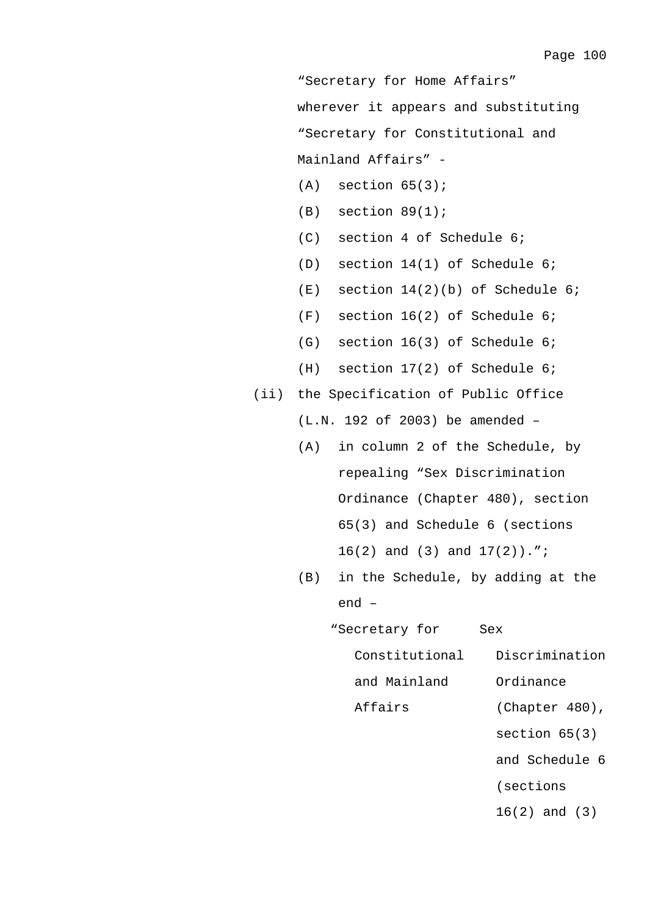"Secretary for Home Affairs" wherever it appears and substituting "Secretary for Constitutional and Mainland Affairs" -

- $(A)$  section  $65(3)$ ;
- $(B)$  section  $89(1)$ ;
- (C) section 4 of Schedule 6;
- (D) section 14(1) of Schedule 6;
- (E) section 14(2)(b) of Schedule 6;
- (F) section 16(2) of Schedule 6;
- (G) section 16(3) of Schedule 6;
- (H) section 17(2) of Schedule 6;
- (ii) the Specification of Public Office
	- (L.N. 192 of 2003) be amended –
	- (A) in column 2 of the Schedule, by repealing "Sex Discrimination Ordinance (Chapter 480), section 65(3) and Schedule 6 (sections 16(2) and (3) and 17(2)).";
	- (B) in the Schedule, by adding at the end –
		- "Secretary for Constitutional and Mainland Affairs Sex Discrimination Ordinance (Chapter 480),
			- section 65(3)
			- and Schedule 6
			- (sections
			- 16(2) and (3)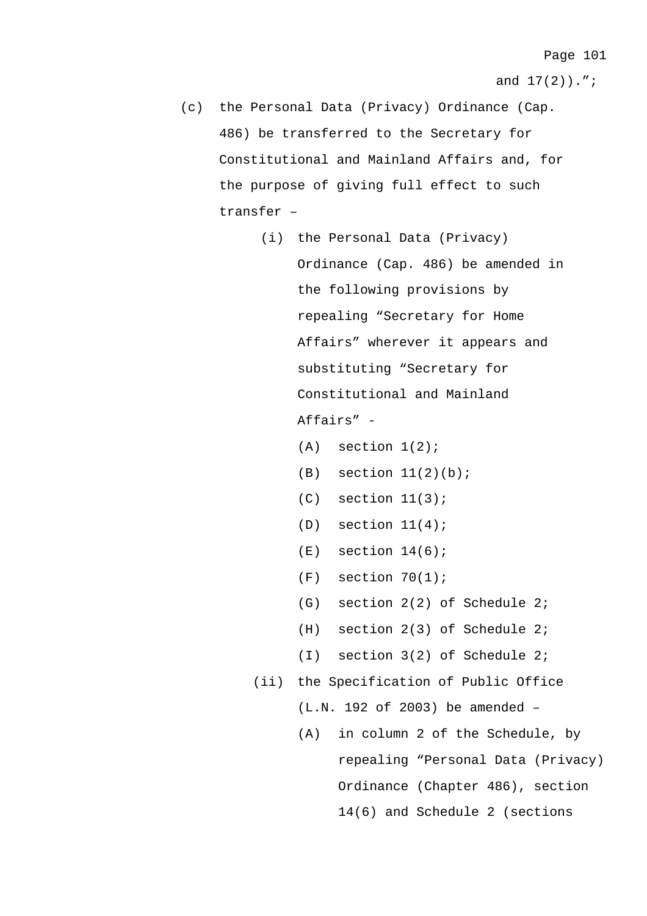- (c) the Personal Data (Privacy) Ordinance (Cap. 486) be transferred to the Secretary for Constitutional and Mainland Affairs and, for the purpose of giving full effect to such transfer –
	- (i) the Personal Data (Privacy) Ordinance (Cap. 486) be amended in the following provisions by repealing "Secretary for Home Affairs" wherever it appears and substituting "Secretary for Constitutional and Mainland Affairs" -
		- $(A)$  section  $1(2)$ ;
		- $(B)$  section  $11(2)(b)$ ;
		- $(C)$  section  $11(3)$ ;
		- $(D)$  section  $11(4)$ ;
		- $(E)$  section  $14(6)$ ;
		- $(F)$  section  $70(1)$ ;
		- (G) section 2(2) of Schedule 2;
		- (H) section 2(3) of Schedule 2;
		- (I) section 3(2) of Schedule 2;
	- (ii) the Specification of Public Office
		- (L.N. 192 of 2003) be amended –
		- (A) in column 2 of the Schedule, by repealing "Personal Data (Privacy) Ordinance (Chapter 486), section 14(6) and Schedule 2 (sections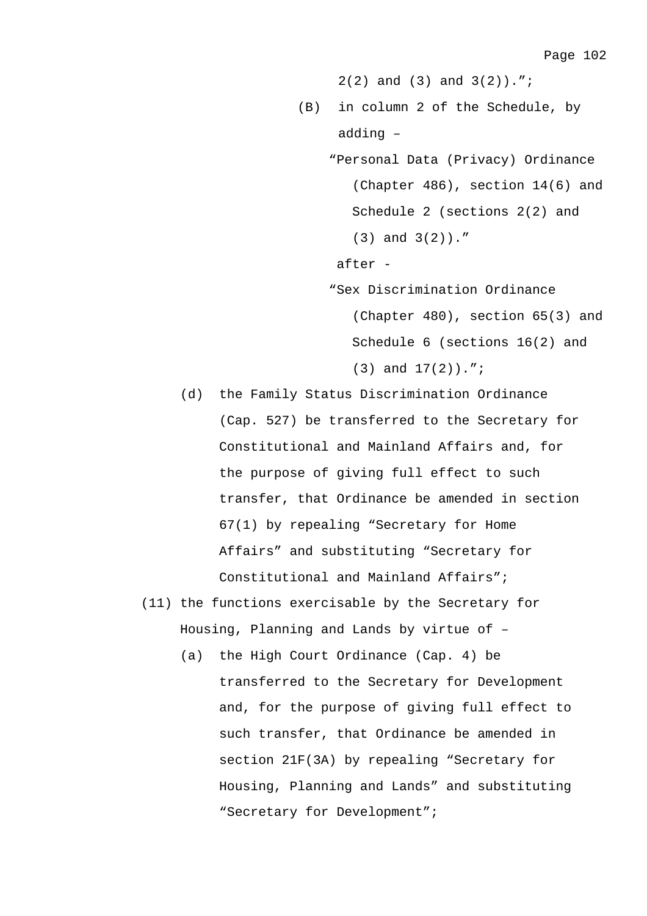2(2) and (3) and 3(2)).";

- (B) in column 2 of the Schedule, by adding –
	- "Personal Data (Privacy) Ordinance (Chapter 486), section 14(6) and Schedule 2 (sections 2(2) and (3) and 3(2))."

after -

"Sex Discrimination Ordinance

(Chapter 480), section 65(3) and Schedule 6 (sections 16(2) and

(3) and 17(2)).";

- (d) the Family Status Discrimination Ordinance (Cap. 527) be transferred to the Secretary for Constitutional and Mainland Affairs and, for the purpose of giving full effect to such transfer, that Ordinance be amended in section 67(1) by repealing "Secretary for Home Affairs" and substituting "Secretary for Constitutional and Mainland Affairs";
- (11) the functions exercisable by the Secretary for Housing, Planning and Lands by virtue of –
	- (a) the High Court Ordinance (Cap. 4) be transferred to the Secretary for Development and, for the purpose of giving full effect to such transfer, that Ordinance be amended in section 21F(3A) by repealing "Secretary for Housing, Planning and Lands" and substituting "Secretary for Development";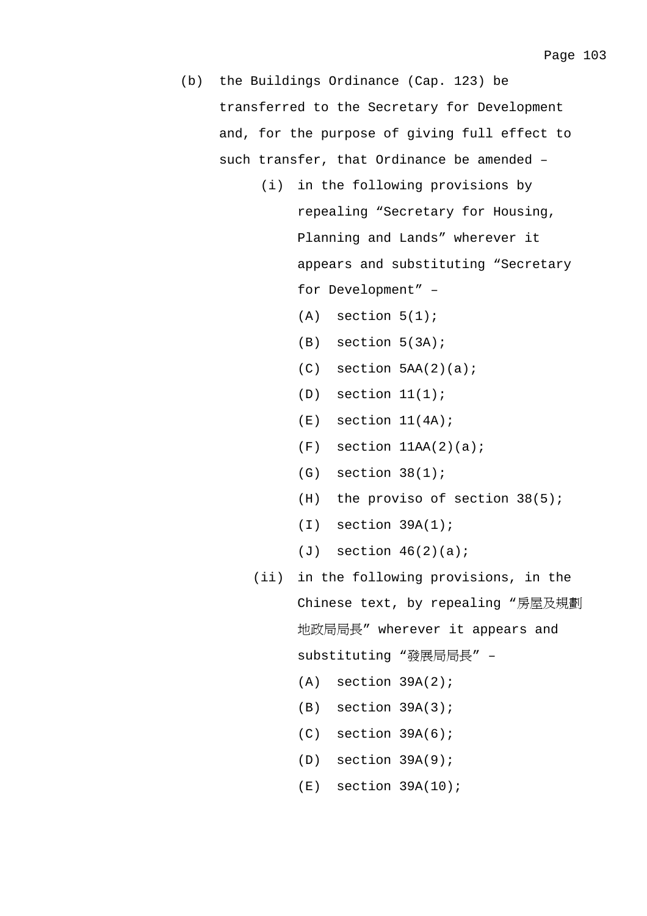- (b) the Buildings Ordinance (Cap. 123) be transferred to the Secretary for Development and, for the purpose of giving full effect to such transfer, that Ordinance be amended –
	- (i) in the following provisions by repealing "Secretary for Housing, Planning and Lands" wherever it appears and substituting "Secretary for Development" –
		- $(A)$  section  $5(1)$ ;
		- (B) section 5(3A);
		- $(C)$  section  $5AA(2)(a)$ ;
		- $(D)$  section  $11(1)$ ;
		- $(E)$  section  $11(4A)$ ;
		- $(F)$  section  $11AA(2)(a)$ ;
		- $(G)$  section  $38(1)$ ;
		- $(H)$  the proviso of section 38(5);
		- (I) section 39A(1);
		- $(J)$  section  $46(2)(a)$ ;
	- (ii) in the following provisions, in the Chinese text, by repealing "房屋及規劃 地政局局長" wherever it appears and substituting "發展局局長" –
		- $(A)$  section  $39A(2)$ ;
		- $(B)$  section  $39A(3)$ ;
		- $(C)$  section  $39A(6)$ ;
		- (D) section 39A(9);
		- $(E)$  section 39A(10);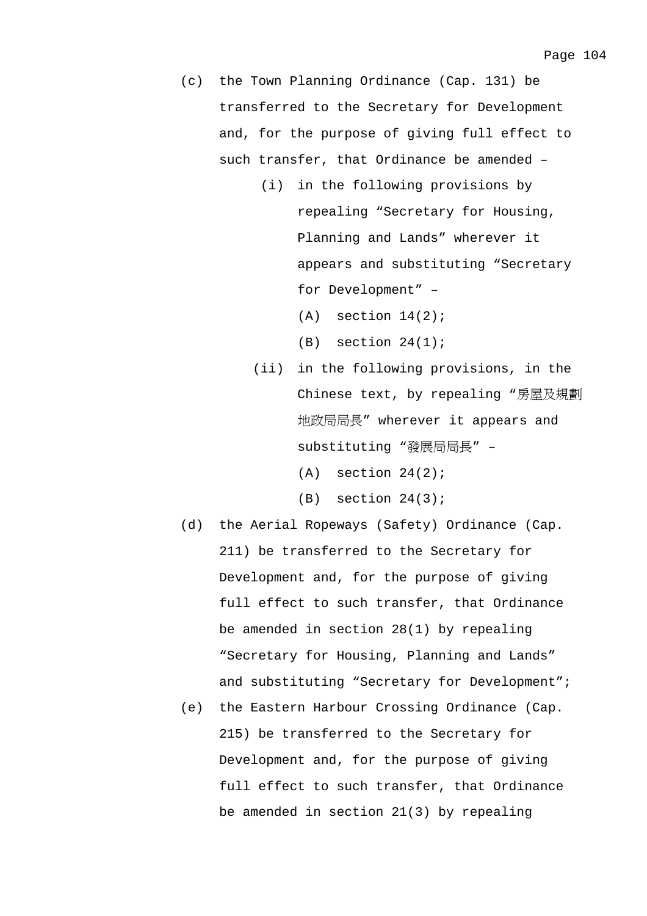- (c) the Town Planning Ordinance (Cap. 131) be transferred to the Secretary for Development and, for the purpose of giving full effect to such transfer, that Ordinance be amended –
	- (i) in the following provisions by repealing "Secretary for Housing, Planning and Lands" wherever it appears and substituting "Secretary for Development" –
		- $(A)$  section  $14(2)$ ;
		- $(B)$  section  $24(1)$ ;
	- (ii) in the following provisions, in the Chinese text, by repealing "房屋及規劃 地政局局長" wherever it appears and substituting "發展局局長" –
		- $(A)$  section  $24(2)$ ;
		- $(B)$  section  $24(3)$ ;
- (d) the Aerial Ropeways (Safety) Ordinance (Cap. 211) be transferred to the Secretary for Development and, for the purpose of giving full effect to such transfer, that Ordinance be amended in section 28(1) by repealing "Secretary for Housing, Planning and Lands" and substituting "Secretary for Development";
- (e) the Eastern Harbour Crossing Ordinance (Cap. 215) be transferred to the Secretary for Development and, for the purpose of giving full effect to such transfer, that Ordinance be amended in section 21(3) by repealing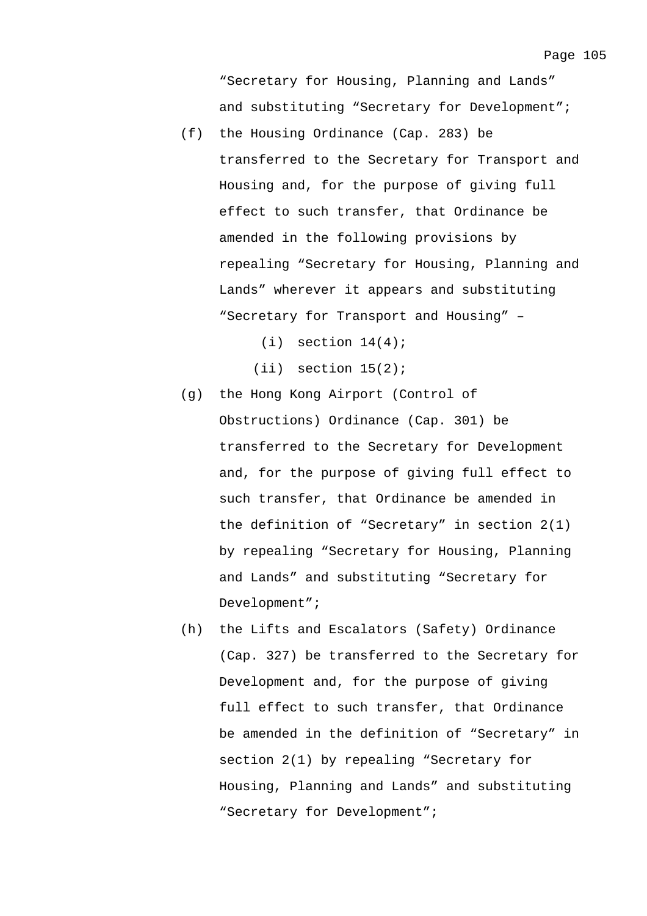"Secretary for Housing, Planning and Lands" and substituting "Secretary for Development";

- (f) the Housing Ordinance (Cap. 283) be transferred to the Secretary for Transport and Housing and, for the purpose of giving full effect to such transfer, that Ordinance be amended in the following provisions by repealing "Secretary for Housing, Planning and Lands" wherever it appears and substituting "Secretary for Transport and Housing" –
	- $(i)$  section  $14(4)$ ;
	- $(iii)$  section  $15(2)$ ;
- (g) the Hong Kong Airport (Control of Obstructions) Ordinance (Cap. 301) be transferred to the Secretary for Development and, for the purpose of giving full effect to such transfer, that Ordinance be amended in the definition of "Secretary" in section 2(1) by repealing "Secretary for Housing, Planning and Lands" and substituting "Secretary for Development";
- (h) the Lifts and Escalators (Safety) Ordinance (Cap. 327) be transferred to the Secretary for Development and, for the purpose of giving full effect to such transfer, that Ordinance be amended in the definition of "Secretary" in section 2(1) by repealing "Secretary for Housing, Planning and Lands" and substituting "Secretary for Development";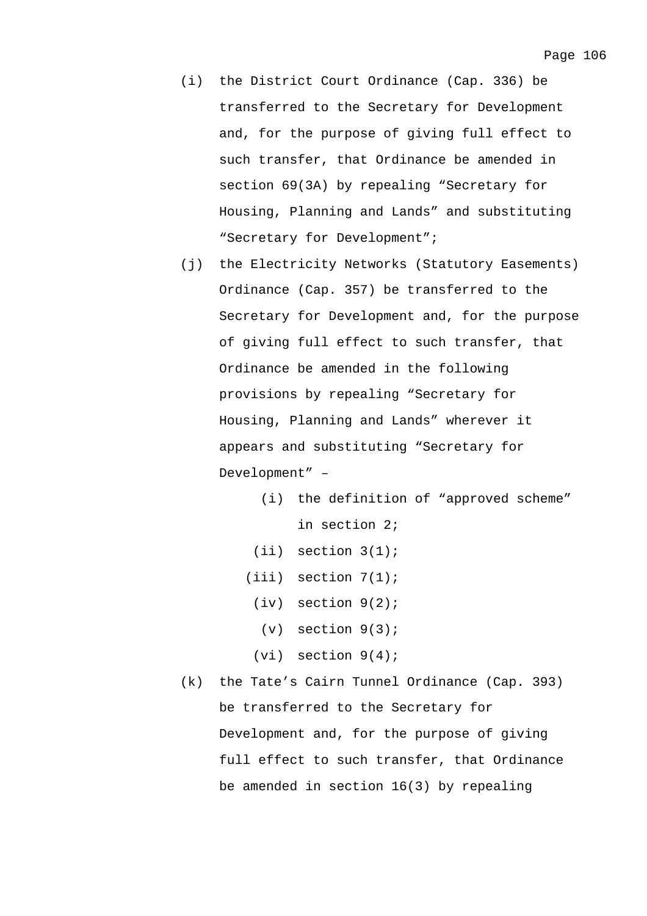- (i) the District Court Ordinance (Cap. 336) be transferred to the Secretary for Development and, for the purpose of giving full effect to such transfer, that Ordinance be amended in section 69(3A) by repealing "Secretary for Housing, Planning and Lands" and substituting "Secretary for Development";
- (j) the Electricity Networks (Statutory Easements) Ordinance (Cap. 357) be transferred to the Secretary for Development and, for the purpose of giving full effect to such transfer, that Ordinance be amended in the following provisions by repealing "Secretary for Housing, Planning and Lands" wherever it appears and substituting "Secretary for Development" –
	- (i) the definition of "approved scheme" in section 2;
	- (ii) section 3(1);
	- (iii) section 7(1);
	- (iv) section 9(2);
		- $(v)$  section  $9(3)$ ;
	- $(vi)$  section  $9(4)$ ;
- (k) the Tate's Cairn Tunnel Ordinance (Cap. 393) be transferred to the Secretary for Development and, for the purpose of giving full effect to such transfer, that Ordinance be amended in section 16(3) by repealing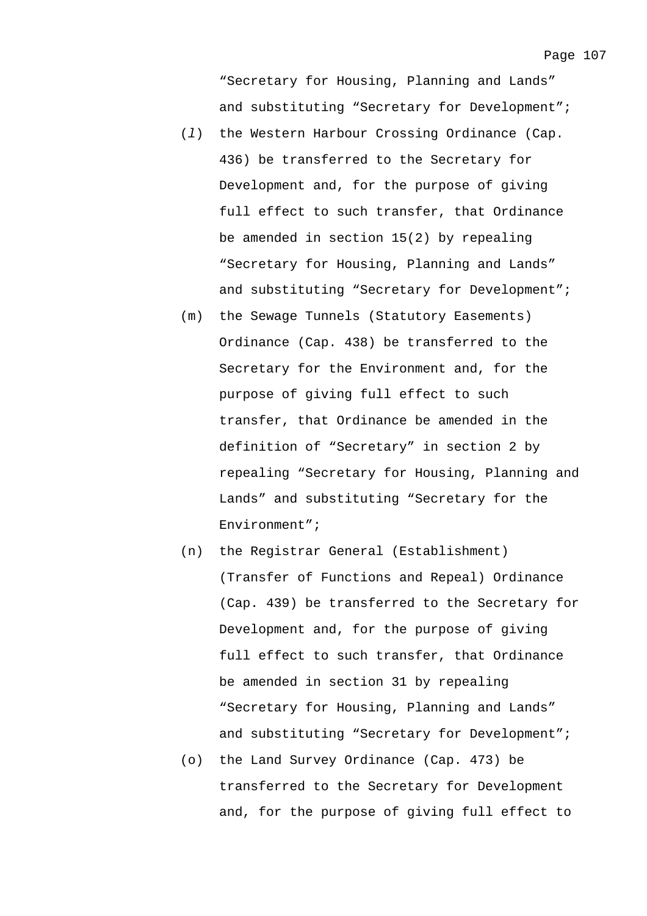"Secretary for Housing, Planning and Lands" and substituting "Secretary for Development";

- (*l*) the Western Harbour Crossing Ordinance (Cap. 436) be transferred to the Secretary for Development and, for the purpose of giving full effect to such transfer, that Ordinance be amended in section 15(2) by repealing "Secretary for Housing, Planning and Lands" and substituting "Secretary for Development";
- (m) the Sewage Tunnels (Statutory Easements) Ordinance (Cap. 438) be transferred to the Secretary for the Environment and, for the purpose of giving full effect to such transfer, that Ordinance be amended in the definition of "Secretary" in section 2 by repealing "Secretary for Housing, Planning and Lands" and substituting "Secretary for the Environment";
- (n) the Registrar General (Establishment) (Transfer of Functions and Repeal) Ordinance (Cap. 439) be transferred to the Secretary for Development and, for the purpose of giving full effect to such transfer, that Ordinance be amended in section 31 by repealing "Secretary for Housing, Planning and Lands" and substituting "Secretary for Development";
- (o) the Land Survey Ordinance (Cap. 473) be transferred to the Secretary for Development and, for the purpose of giving full effect to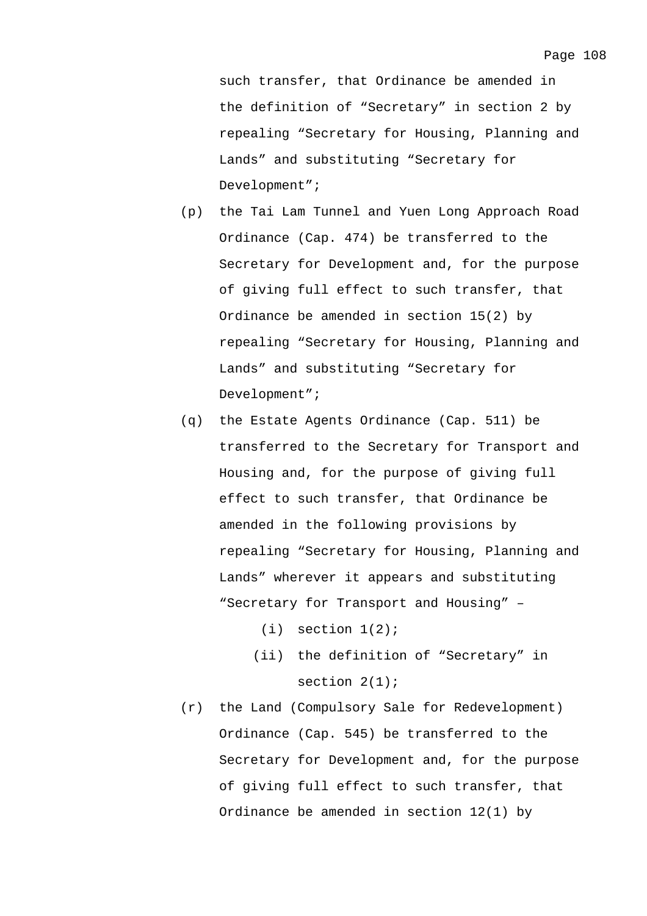such transfer, that Ordinance be amended in the definition of "Secretary" in section 2 by repealing "Secretary for Housing, Planning and Lands" and substituting "Secretary for Development";

- (p) the Tai Lam Tunnel and Yuen Long Approach Road Ordinance (Cap. 474) be transferred to the Secretary for Development and, for the purpose of giving full effect to such transfer, that Ordinance be amended in section 15(2) by repealing "Secretary for Housing, Planning and Lands" and substituting "Secretary for Development";
- (q) the Estate Agents Ordinance (Cap. 511) be transferred to the Secretary for Transport and Housing and, for the purpose of giving full effect to such transfer, that Ordinance be amended in the following provisions by repealing "Secretary for Housing, Planning and Lands" wherever it appears and substituting "Secretary for Transport and Housing" –
	- $(i)$  section  $1(2)$ ;
	- (ii) the definition of "Secretary" in section  $2(1)$ ;
- (r) the Land (Compulsory Sale for Redevelopment) Ordinance (Cap. 545) be transferred to the Secretary for Development and, for the purpose of giving full effect to such transfer, that Ordinance be amended in section 12(1) by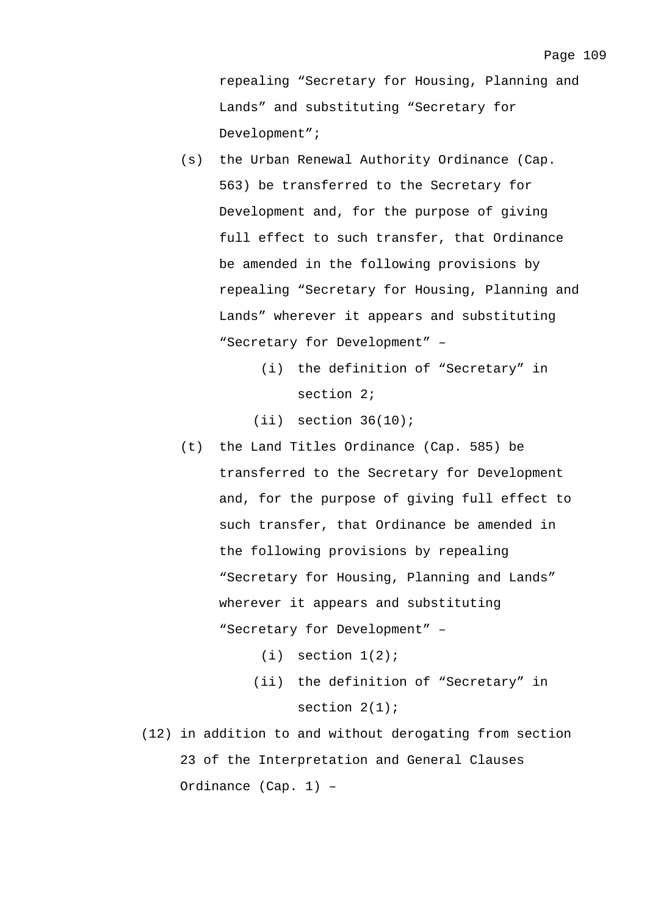repealing "Secretary for Housing, Planning and Lands" and substituting "Secretary for Development";

- (s) the Urban Renewal Authority Ordinance (Cap. 563) be transferred to the Secretary for Development and, for the purpose of giving full effect to such transfer, that Ordinance be amended in the following provisions by repealing "Secretary for Housing, Planning and Lands" wherever it appears and substituting "Secretary for Development" –
	- (i) the definition of "Secretary" in section 2;

 $(iii)$  section  $36(10)$ ;

- (t) the Land Titles Ordinance (Cap. 585) be transferred to the Secretary for Development and, for the purpose of giving full effect to such transfer, that Ordinance be amended in the following provisions by repealing "Secretary for Housing, Planning and Lands" wherever it appears and substituting "Secretary for Development" –
	- $(i)$  section  $1(2)$ ;
	- (ii) the definition of "Secretary" in section 2(1);
- (12) in addition to and without derogating from section 23 of the Interpretation and General Clauses Ordinance (Cap. 1) –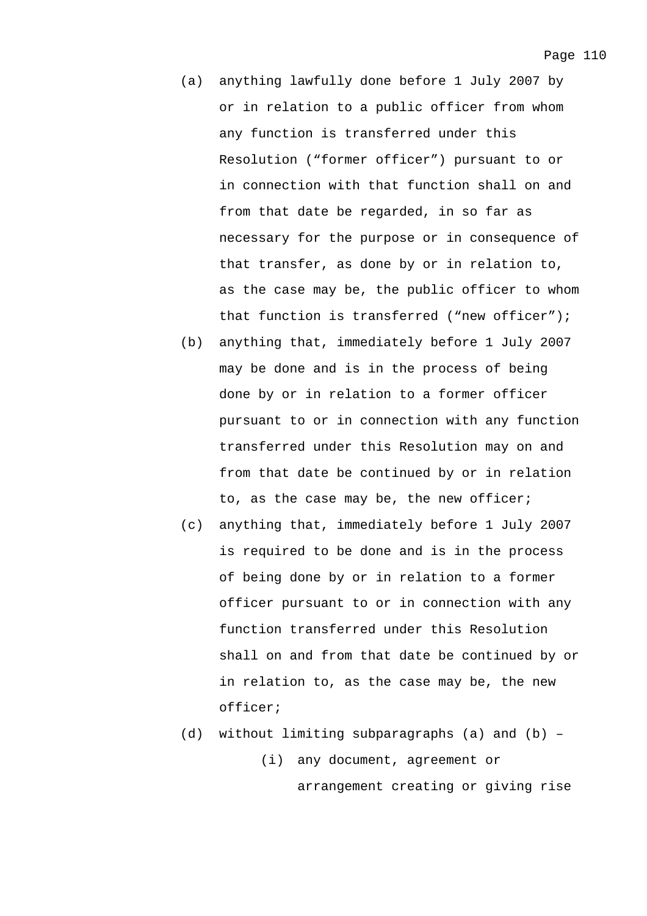- (a) anything lawfully done before 1 July 2007 by or in relation to a public officer from whom any function is transferred under this Resolution ("former officer") pursuant to or in connection with that function shall on and from that date be regarded, in so far as necessary for the purpose or in consequence of that transfer, as done by or in relation to, as the case may be, the public officer to whom that function is transferred ("new officer");
- (b) anything that, immediately before 1 July 2007 may be done and is in the process of being done by or in relation to a former officer pursuant to or in connection with any function transferred under this Resolution may on and from that date be continued by or in relation to, as the case may be, the new officer;
- (c) anything that, immediately before 1 July 2007 is required to be done and is in the process of being done by or in relation to a former officer pursuant to or in connection with any function transferred under this Resolution shall on and from that date be continued by or in relation to, as the case may be, the new officer;
- (d) without limiting subparagraphs (a) and (b) (i) any document, agreement or arrangement creating or giving rise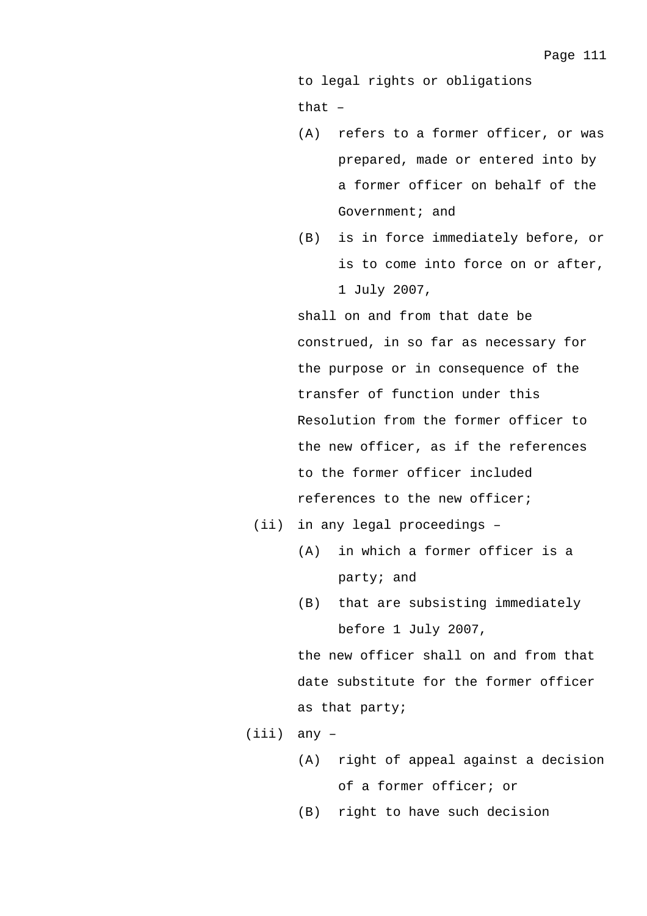to legal rights or obligations

that –

- (A) refers to a former officer, or was prepared, made or entered into by a former officer on behalf of the Government; and
- (B) is in force immediately before, or is to come into force on or after, 1 July 2007,

shall on and from that date be construed, in so far as necessary for the purpose or in consequence of the transfer of function under this Resolution from the former officer to the new officer, as if the references to the former officer included references to the new officer;

- (ii) in any legal proceedings
	- (A) in which a former officer is a party; and
	- (B) that are subsisting immediately before 1 July 2007,

the new officer shall on and from that date substitute for the former officer as that party;

- (iii) any
	- (A) right of appeal against a decision of a former officer; or

(B) right to have such decision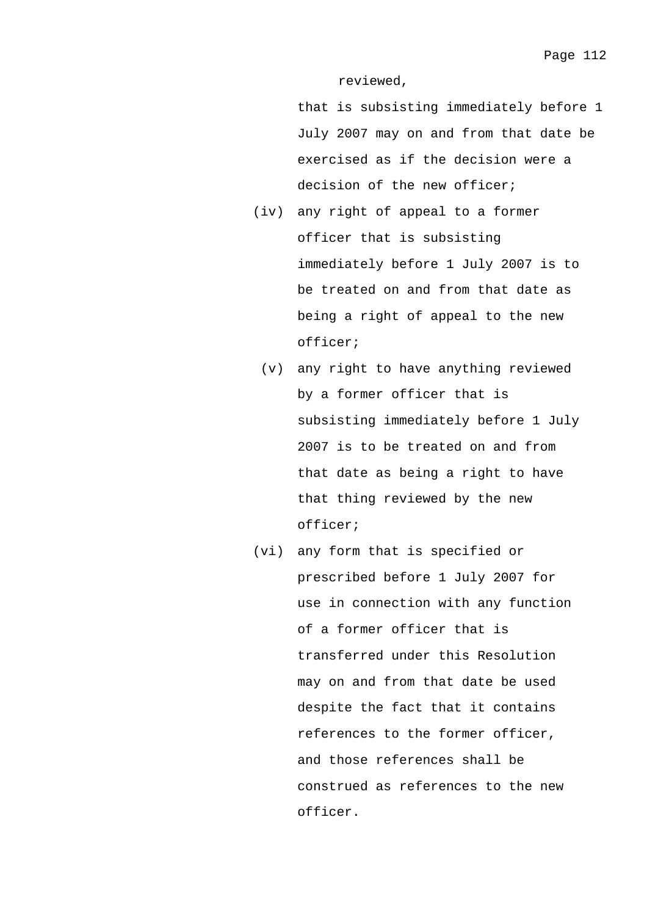reviewed,

that is subsisting immediately before 1 July 2007 may on and from that date be exercised as if the decision were a decision of the new officer;

- (iv) any right of appeal to a former officer that is subsisting immediately before 1 July 2007 is to be treated on and from that date as being a right of appeal to the new officer;
	- (v) any right to have anything reviewed by a former officer that is subsisting immediately before 1 July 2007 is to be treated on and from that date as being a right to have that thing reviewed by the new officer;
- (vi) any form that is specified or prescribed before 1 July 2007 for use in connection with any function of a former officer that is transferred under this Resolution may on and from that date be used despite the fact that it contains references to the former officer, and those references shall be construed as references to the new officer.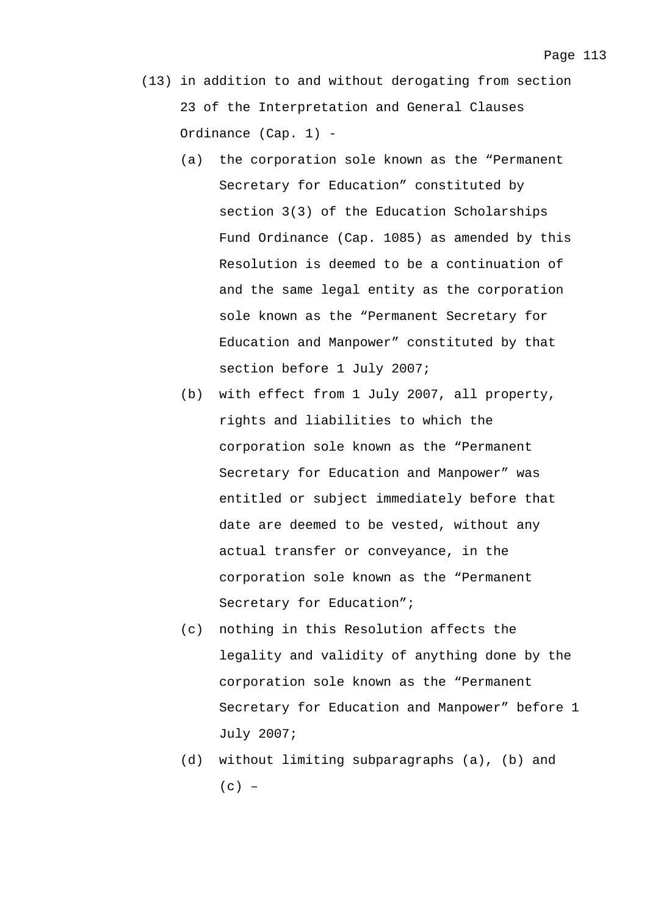- (13) in addition to and without derogating from section 23 of the Interpretation and General Clauses Ordinance (Cap. 1) -
	- (a) the corporation sole known as the "Permanent Secretary for Education" constituted by section 3(3) of the Education Scholarships Fund Ordinance (Cap. 1085) as amended by this Resolution is deemed to be a continuation of and the same legal entity as the corporation sole known as the "Permanent Secretary for Education and Manpower" constituted by that section before 1 July 2007;
	- (b) with effect from 1 July 2007, all property, rights and liabilities to which the corporation sole known as the "Permanent Secretary for Education and Manpower" was entitled or subject immediately before that date are deemed to be vested, without any actual transfer or conveyance, in the corporation sole known as the "Permanent Secretary for Education";
	- (c) nothing in this Resolution affects the legality and validity of anything done by the corporation sole known as the "Permanent Secretary for Education and Manpower" before 1 July 2007;
	- (d) without limiting subparagraphs (a), (b) and  $(c)$  –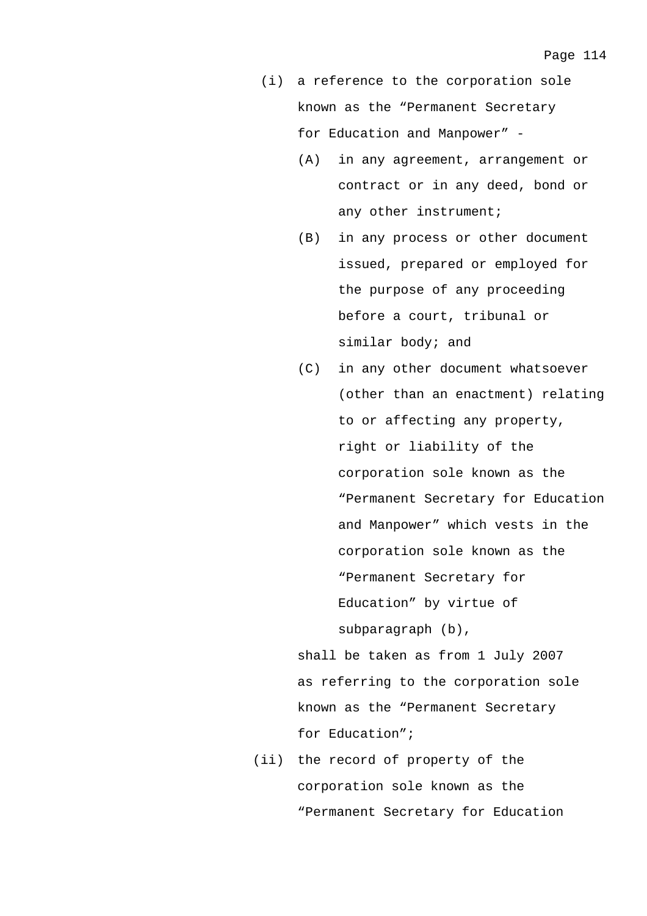- (i) a reference to the corporation sole known as the "Permanent Secretary for Education and Manpower" -
	- (A) in any agreement, arrangement or contract or in any deed, bond or any other instrument;
	- (B) in any process or other document issued, prepared or employed for the purpose of any proceeding before a court, tribunal or similar body; and
	- (C) in any other document whatsoever (other than an enactment) relating to or affecting any property, right or liability of the corporation sole known as the "Permanent Secretary for Education and Manpower" which vests in the corporation sole known as the "Permanent Secretary for Education" by virtue of subparagraph (b),

 shall be taken as from 1 July 2007 as referring to the corporation sole known as the "Permanent Secretary for Education";

 (ii) the record of property of the corporation sole known as the "Permanent Secretary for Education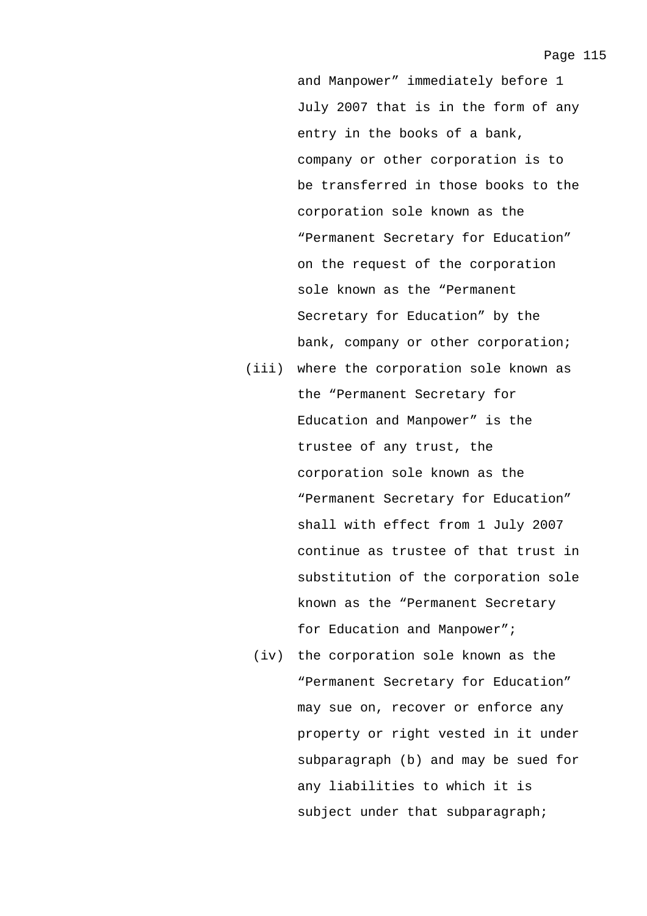and Manpower" immediately before 1 July 2007 that is in the form of any entry in the books of a bank, company or other corporation is to be transferred in those books to the corporation sole known as the "Permanent Secretary for Education" on the request of the corporation sole known as the "Permanent Secretary for Education" by the bank, company or other corporation;

- (iii) where the corporation sole known as the "Permanent Secretary for Education and Manpower" is the trustee of any trust, the corporation sole known as the "Permanent Secretary for Education" shall with effect from 1 July 2007 continue as trustee of that trust in substitution of the corporation sole known as the "Permanent Secretary for Education and Manpower";
	- (iv) the corporation sole known as the "Permanent Secretary for Education" may sue on, recover or enforce any property or right vested in it under subparagraph (b) and may be sued for any liabilities to which it is subject under that subparagraph;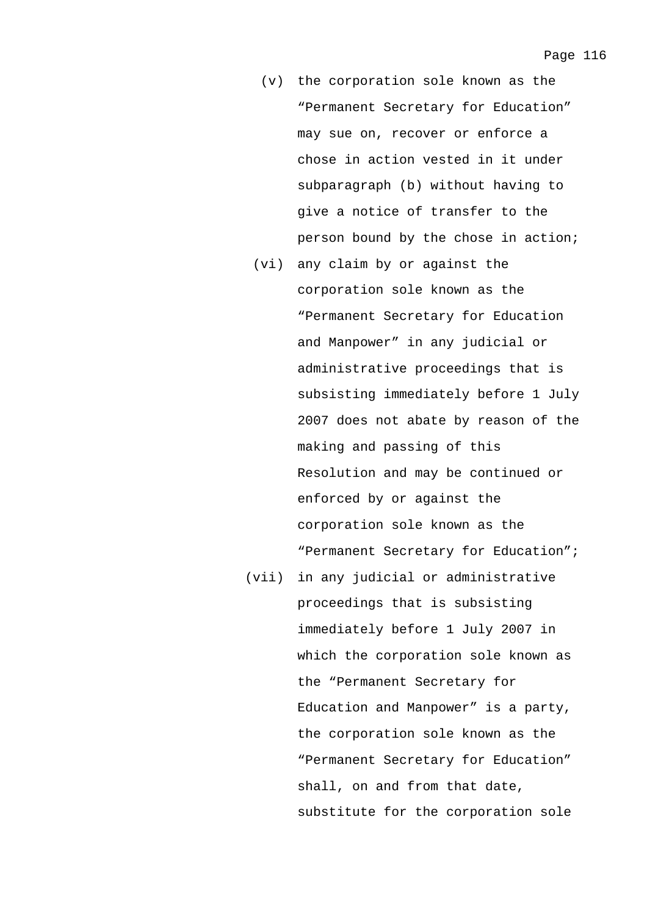- (v) the corporation sole known as the "Permanent Secretary for Education" may sue on, recover or enforce a chose in action vested in it under subparagraph (b) without having to give a notice of transfer to the person bound by the chose in action;
- (vi) any claim by or against the corporation sole known as the "Permanent Secretary for Education and Manpower" in any judicial or administrative proceedings that is subsisting immediately before 1 July 2007 does not abate by reason of the making and passing of this Resolution and may be continued or enforced by or against the corporation sole known as the "Permanent Secretary for Education";
- (vii) in any judicial or administrative proceedings that is subsisting immediately before 1 July 2007 in which the corporation sole known as the "Permanent Secretary for Education and Manpower" is a party, the corporation sole known as the "Permanent Secretary for Education" shall, on and from that date, substitute for the corporation sole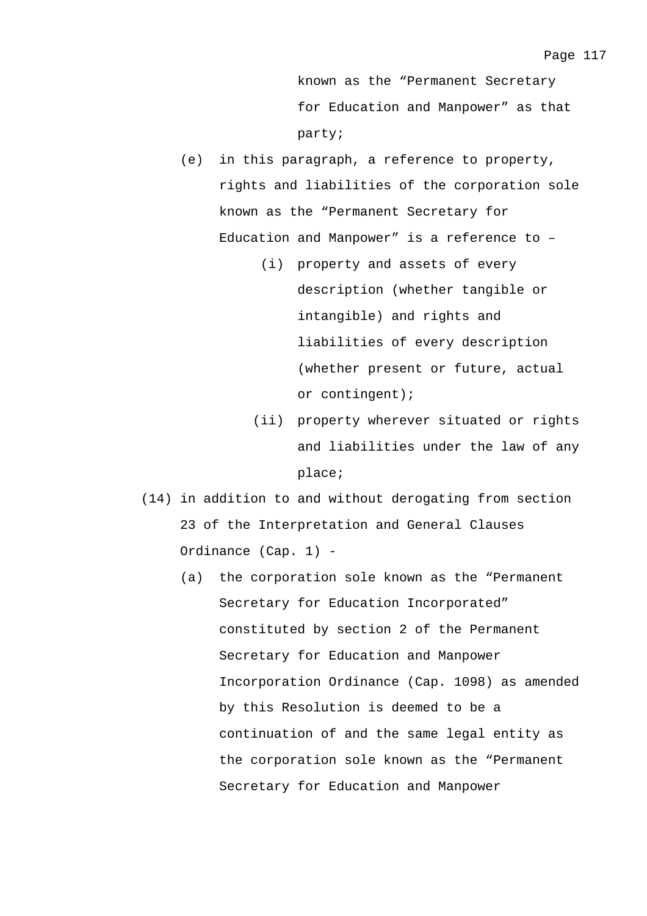Page 117

party;

- (e) in this paragraph, a reference to property, rights and liabilities of the corporation sole known as the "Permanent Secretary for Education and Manpower" is a reference to –
	- (i) property and assets of every description (whether tangible or intangible) and rights and liabilities of every description (whether present or future, actual or contingent);
	- (ii) property wherever situated or rights and liabilities under the law of any place;
- (14) in addition to and without derogating from section 23 of the Interpretation and General Clauses Ordinance (Cap. 1) -
	- (a) the corporation sole known as the "Permanent Secretary for Education Incorporated" constituted by section 2 of the Permanent Secretary for Education and Manpower Incorporation Ordinance (Cap. 1098) as amended by this Resolution is deemed to be a continuation of and the same legal entity as the corporation sole known as the "Permanent Secretary for Education and Manpower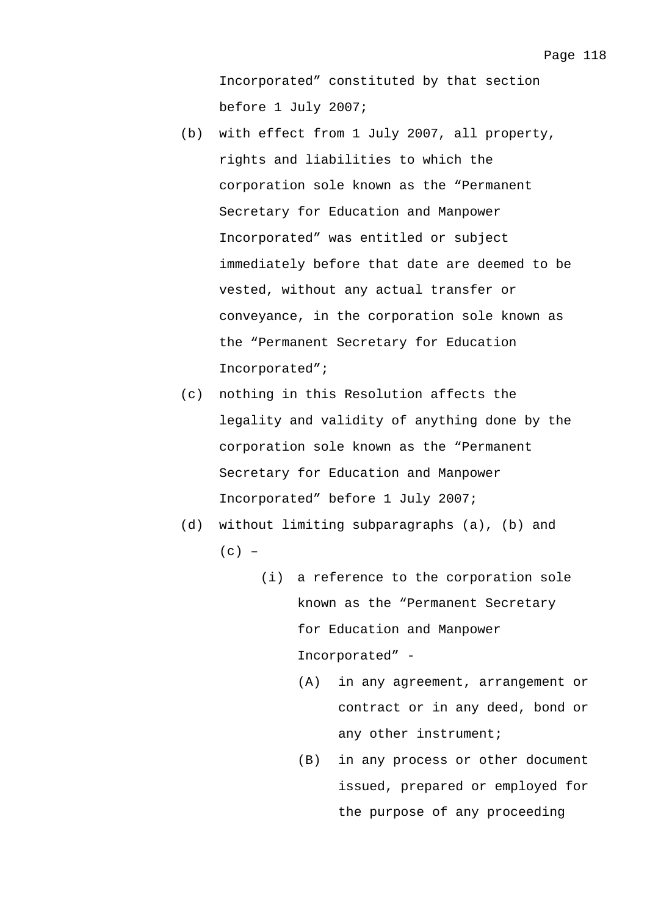- (b) with effect from 1 July 2007, all property, rights and liabilities to which the corporation sole known as the "Permanent Secretary for Education and Manpower Incorporated" was entitled or subject immediately before that date are deemed to be vested, without any actual transfer or conveyance, in the corporation sole known as the "Permanent Secretary for Education Incorporated";
- (c) nothing in this Resolution affects the legality and validity of anything done by the corporation sole known as the "Permanent Secretary for Education and Manpower Incorporated" before 1 July 2007;
- (d) without limiting subparagraphs (a), (b) and  $(c)$  –
	- (i) a reference to the corporation sole known as the "Permanent Secretary for Education and Manpower Incorporated" -
		- (A) in any agreement, arrangement or contract or in any deed, bond or any other instrument;
		- (B) in any process or other document issued, prepared or employed for the purpose of any proceeding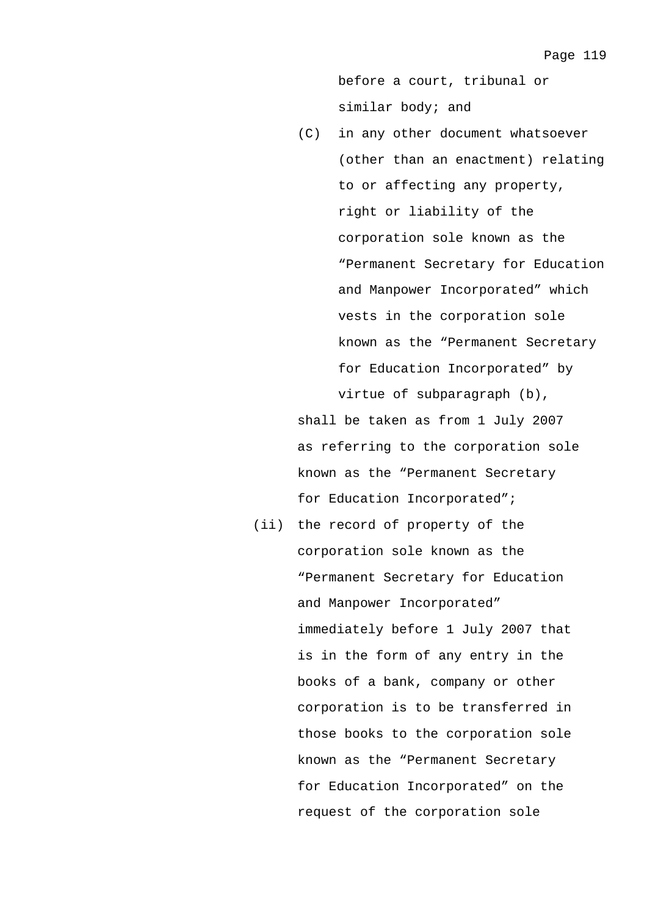before a court, tribunal or similar body; and

(C) in any other document whatsoever (other than an enactment) relating to or affecting any property, right or liability of the corporation sole known as the "Permanent Secretary for Education and Manpower Incorporated" which vests in the corporation sole known as the "Permanent Secretary for Education Incorporated" by virtue of subparagraph (b),

 shall be taken as from 1 July 2007 as referring to the corporation sole known as the "Permanent Secretary for Education Incorporated";

 (ii) the record of property of the corporation sole known as the "Permanent Secretary for Education and Manpower Incorporated" immediately before 1 July 2007 that is in the form of any entry in the books of a bank, company or other corporation is to be transferred in those books to the corporation sole known as the "Permanent Secretary for Education Incorporated" on the request of the corporation sole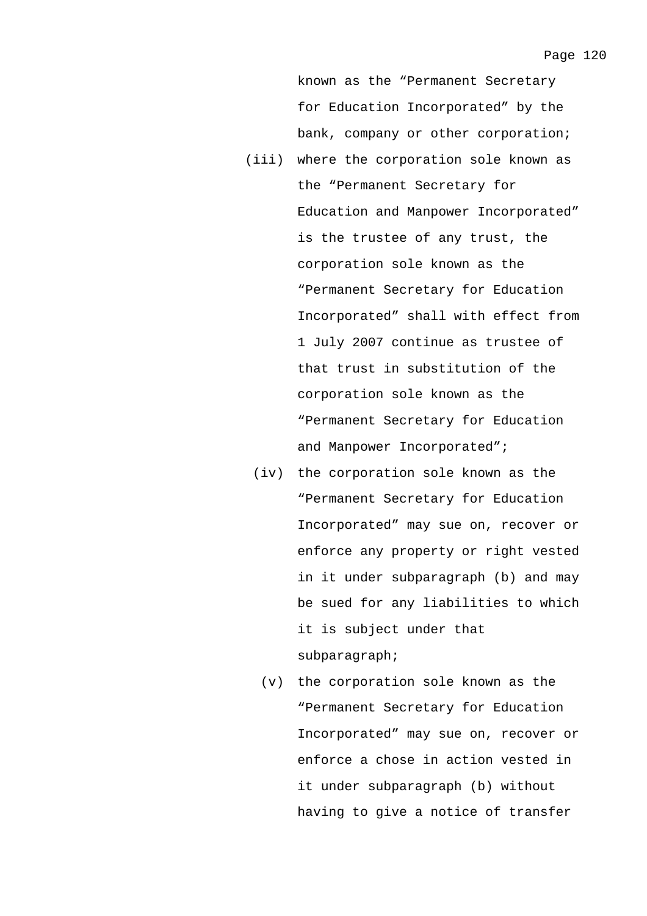known as the "Permanent Secretary for Education Incorporated" by the bank, company or other corporation;

- (iii) where the corporation sole known as the "Permanent Secretary for Education and Manpower Incorporated" is the trustee of any trust, the corporation sole known as the "Permanent Secretary for Education Incorporated" shall with effect from 1 July 2007 continue as trustee of that trust in substitution of the corporation sole known as the "Permanent Secretary for Education and Manpower Incorporated";
	- (iv) the corporation sole known as the "Permanent Secretary for Education Incorporated" may sue on, recover or enforce any property or right vested in it under subparagraph (b) and may be sued for any liabilities to which it is subject under that subparagraph;
		- (v) the corporation sole known as the "Permanent Secretary for Education Incorporated" may sue on, recover or enforce a chose in action vested in it under subparagraph (b) without having to give a notice of transfer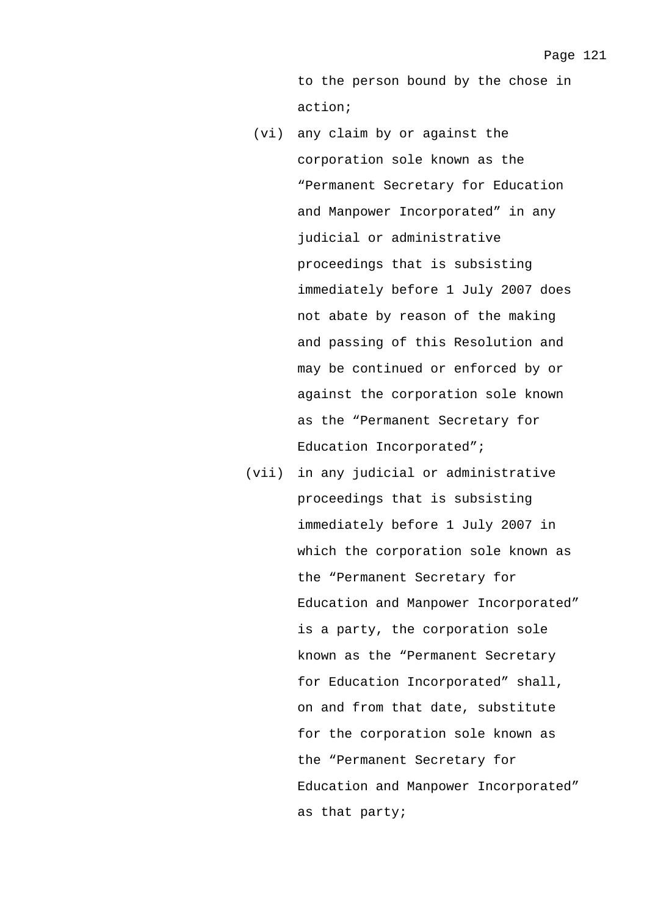to the person bound by the chose in action;

- (vi) any claim by or against the corporation sole known as the "Permanent Secretary for Education and Manpower Incorporated" in any judicial or administrative proceedings that is subsisting immediately before 1 July 2007 does not abate by reason of the making and passing of this Resolution and may be continued or enforced by or against the corporation sole known as the "Permanent Secretary for Education Incorporated";
- (vii) in any judicial or administrative proceedings that is subsisting immediately before 1 July 2007 in which the corporation sole known as the "Permanent Secretary for Education and Manpower Incorporated" is a party, the corporation sole known as the "Permanent Secretary for Education Incorporated" shall, on and from that date, substitute for the corporation sole known as the "Permanent Secretary for Education and Manpower Incorporated" as that party;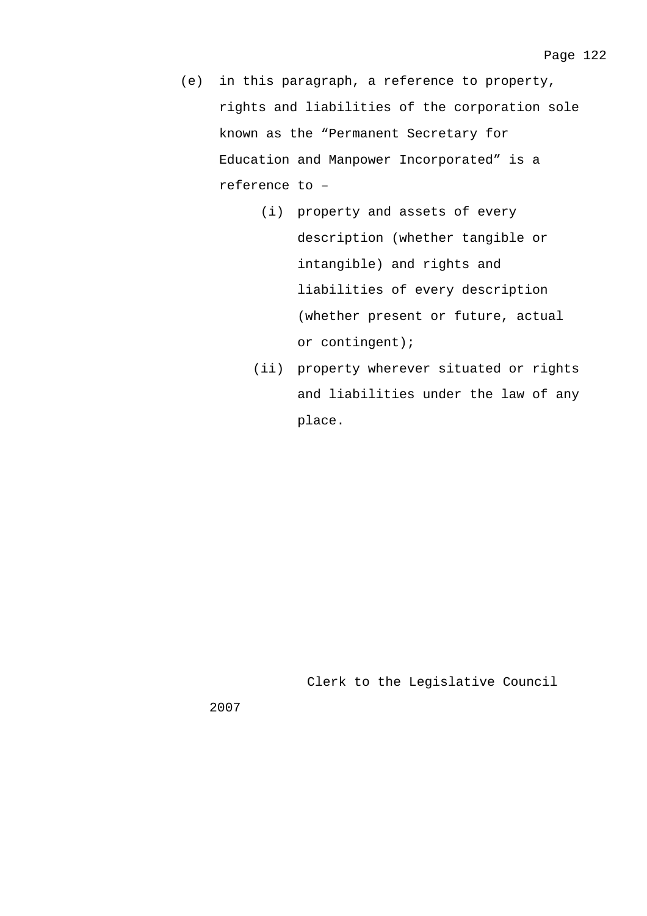- (e) in this paragraph, a reference to property, rights and liabilities of the corporation sole known as the "Permanent Secretary for Education and Manpower Incorporated" is a reference to –
	- (i) property and assets of every description (whether tangible or intangible) and rights and liabilities of every description (whether present or future, actual or contingent);
	- (ii) property wherever situated or rights and liabilities under the law of any place.

Clerk to the Legislative Council

2007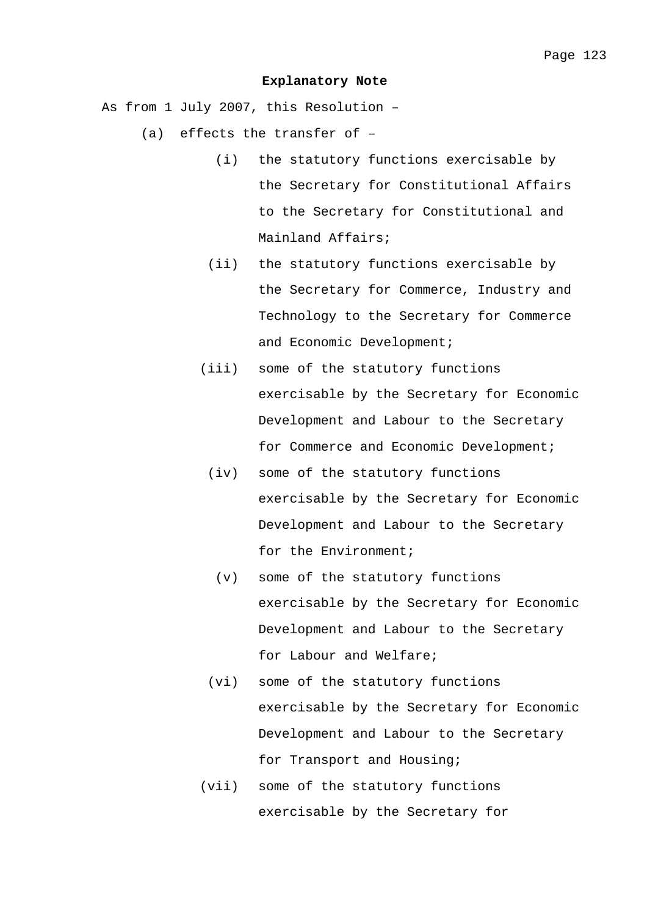#### **Explanatory Note**

As from 1 July 2007, this Resolution –

- (a) effects the transfer of
	- (i) the statutory functions exercisable by the Secretary for Constitutional Affairs to the Secretary for Constitutional and Mainland Affairs;
	- (ii) the statutory functions exercisable by the Secretary for Commerce, Industry and Technology to the Secretary for Commerce and Economic Development;
	- (iii) some of the statutory functions exercisable by the Secretary for Economic Development and Labour to the Secretary for Commerce and Economic Development;
		- (iv) some of the statutory functions exercisable by the Secretary for Economic Development and Labour to the Secretary for the Environment;
			- (v) some of the statutory functions exercisable by the Secretary for Economic Development and Labour to the Secretary for Labour and Welfare;
		- (vi) some of the statutory functions exercisable by the Secretary for Economic Development and Labour to the Secretary for Transport and Housing;
	- (vii) some of the statutory functions exercisable by the Secretary for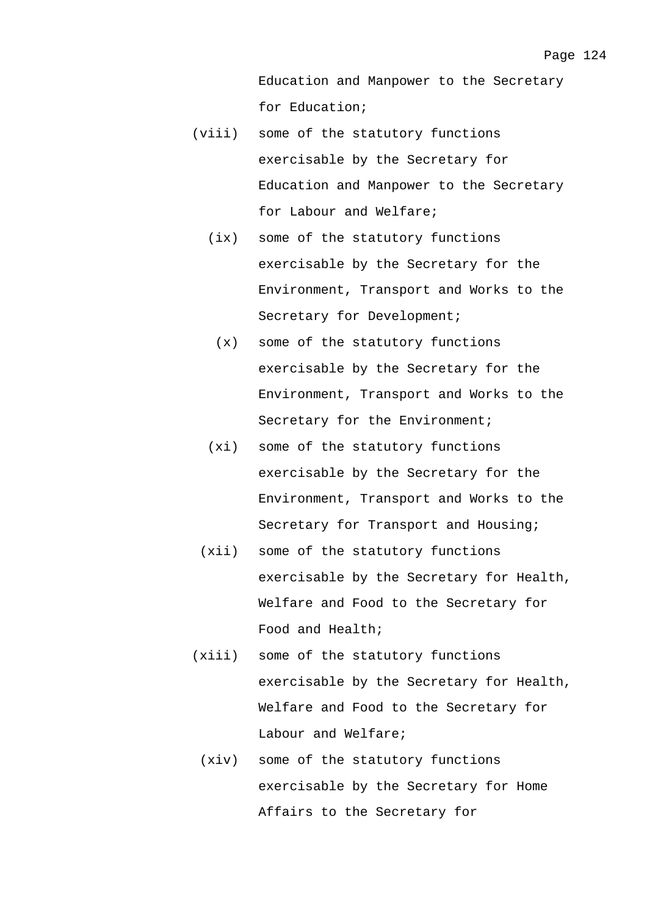- (viii) some of the statutory functions exercisable by the Secretary for Education and Manpower to the Secretary for Labour and Welfare;
	- (ix) some of the statutory functions exercisable by the Secretary for the Environment, Transport and Works to the Secretary for Development;
		- (x) some of the statutory functions exercisable by the Secretary for the Environment, Transport and Works to the Secretary for the Environment;
	- (xi) some of the statutory functions exercisable by the Secretary for the Environment, Transport and Works to the Secretary for Transport and Housing;
	- (xii) some of the statutory functions exercisable by the Secretary for Health, Welfare and Food to the Secretary for Food and Health;
- (xiii) some of the statutory functions exercisable by the Secretary for Health, Welfare and Food to the Secretary for Labour and Welfare;
	- (xiv) some of the statutory functions exercisable by the Secretary for Home Affairs to the Secretary for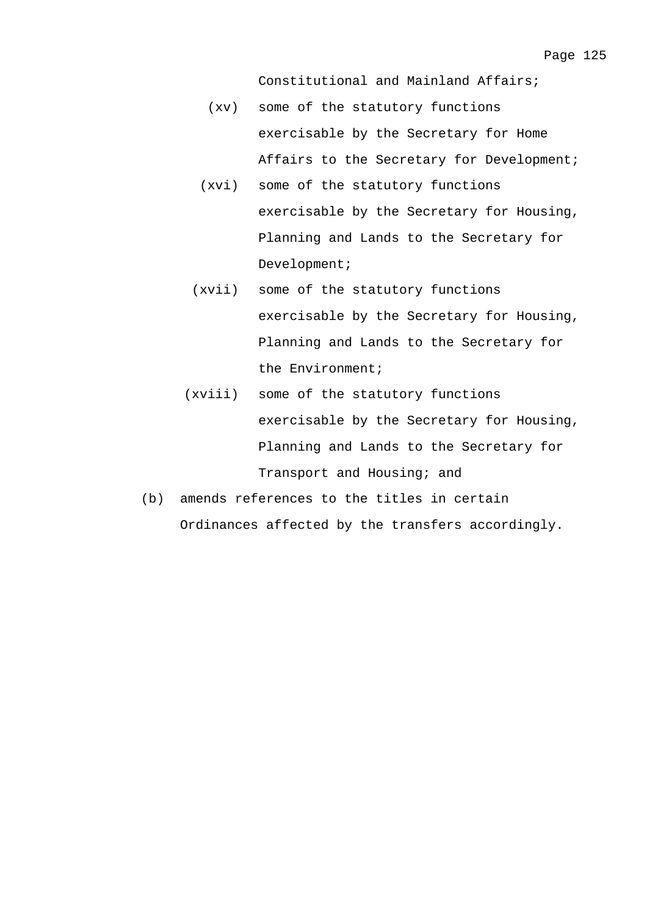Constitutional and Mainland Affairs;

- (xv) some of the statutory functions exercisable by the Secretary for Home Affairs to the Secretary for Development;
- (xvi) some of the statutory functions exercisable by the Secretary for Housing, Planning and Lands to the Secretary for Development;
- (xvii) some of the statutory functions exercisable by the Secretary for Housing, Planning and Lands to the Secretary for the Environment;
- (xviii) some of the statutory functions exercisable by the Secretary for Housing, Planning and Lands to the Secretary for Transport and Housing; and
- (b) amends references to the titles in certain Ordinances affected by the transfers accordingly.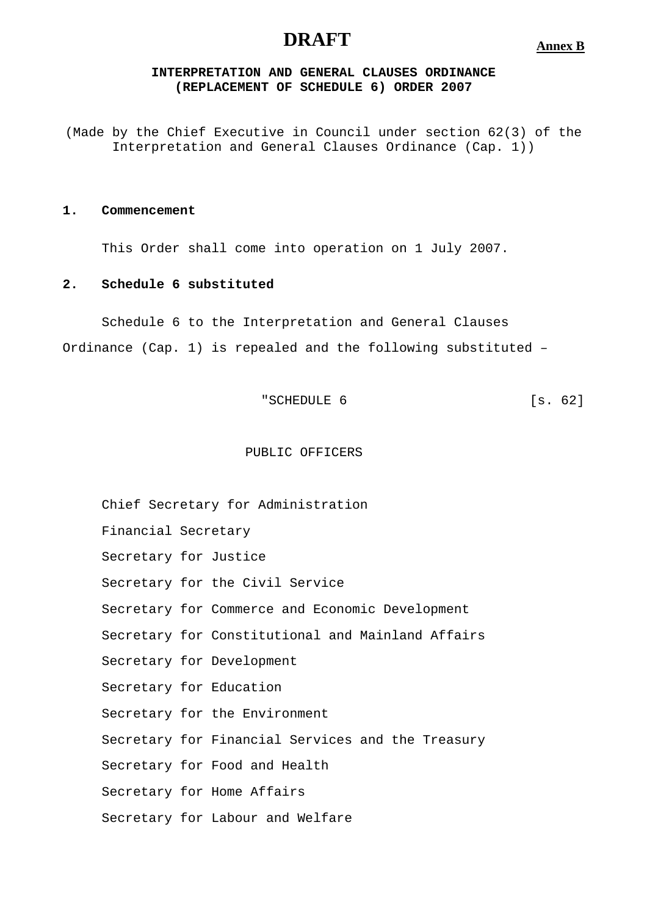# **DRAFT**

**Annex B**

# **INTERPRETATION AND GENERAL CLAUSES ORDINANCE (REPLACEMENT OF SCHEDULE 6) ORDER 2007**

(Made by the Chief Executive in Council under section 62(3) of the Interpretation and General Clauses Ordinance (Cap. 1))

### **1. Commencement**

This Order shall come into operation on 1 July 2007.

## **2. Schedule 6 substituted**

Schedule 6 to the Interpretation and General Clauses

Ordinance (Cap. 1) is repealed and the following substituted –

"SCHEDULE 6 [s. 62]

#### PUBLIC OFFICERS

Chief Secretary for Administration Financial Secretary Secretary for Justice Secretary for the Civil Service Secretary for Commerce and Economic Development Secretary for Constitutional and Mainland Affairs Secretary for Development Secretary for Education Secretary for the Environment Secretary for Financial Services and the Treasury Secretary for Food and Health Secretary for Home Affairs Secretary for Labour and Welfare